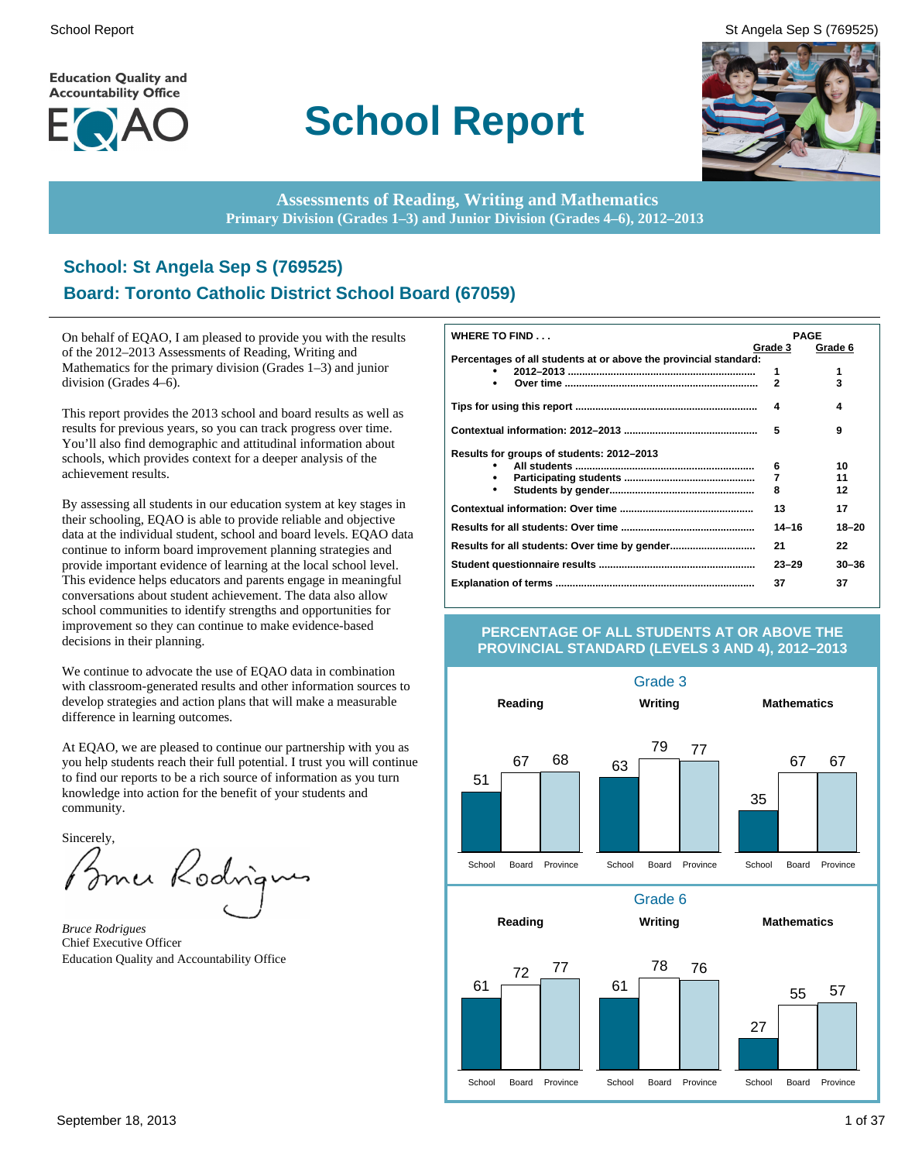**Education Quality and Accountability Office** 



# **School Report**

School Report St Angela Sep S (769525)



**Assessments of Reading, Writing and Mathematics Primary Division (Grades 1–3) and Junior Division (Grades 4–6), 2012–2013**

# **School: St Angela Sep S (769525) Board: Toronto Catholic District School Board (67059)**

On behalf of EQAO, I am pleased to provide you with the results of the 2012–2013 Assessments of Reading, Writing and Mathematics for the primary division (Grades 1–3) and junior division (Grades 4–6).

This report provides the 2013 school and board results as well as results for previous years, so you can track progress over time. You'll also find demographic and attitudinal information about schools, which provides context for a deeper analysis of the achievement results.

By assessing all students in our education system at key stages in their schooling, EQAO is able to provide reliable and objective data at the individual student, school and board levels. EQAO data continue to inform board improvement planning strategies and provide important evidence of learning at the local school level. This evidence helps educators and parents engage in meaningful conversations about student achievement. The data also allow school communities to identify strengths and opportunities for improvement so they can continue to make evidence-based decisions in their planning.

We continue to advocate the use of EQAO data in combination with classroom-generated results and other information sources to develop strategies and action plans that will make a measurable difference in learning outcomes.

At EQAO, we are pleased to continue our partnership with you as you help students reach their full potential. I trust you will continue to find our reports to be a rich source of information as you turn knowledge into action for the benefit of your students and community.

Sincerely,

Brner Rodrig

*Bruce Rodrigues* Chief Executive Officer Education Quality and Accountability Office

| <b>WHERE TO FIND</b>                                             | <b>PAGE</b>  |           |
|------------------------------------------------------------------|--------------|-----------|
|                                                                  | Grade 3      | Grade 6   |
| Percentages of all students at or above the provincial standard: |              |           |
|                                                                  | 1            | 1         |
| ٠                                                                | $\mathbf{2}$ | 3         |
|                                                                  | 4            | 4         |
|                                                                  | 5            | 9         |
| Results for groups of students: 2012-2013                        |              |           |
|                                                                  | 6            | 10        |
| ٠                                                                | 7            | 11        |
| ٠                                                                | 8            | 12        |
|                                                                  | 13           | 17        |
|                                                                  | $14 - 16$    | $18 - 20$ |
|                                                                  | 21           | 22        |
|                                                                  | $23 - 29$    | $30 - 36$ |
|                                                                  | 37           | 37        |

#### **PERCENTAGE OF ALL STUDENTS AT OR ABOVE THE PROVINCIAL STANDARD (LEVELS 3 AND 4), 2012–2013**

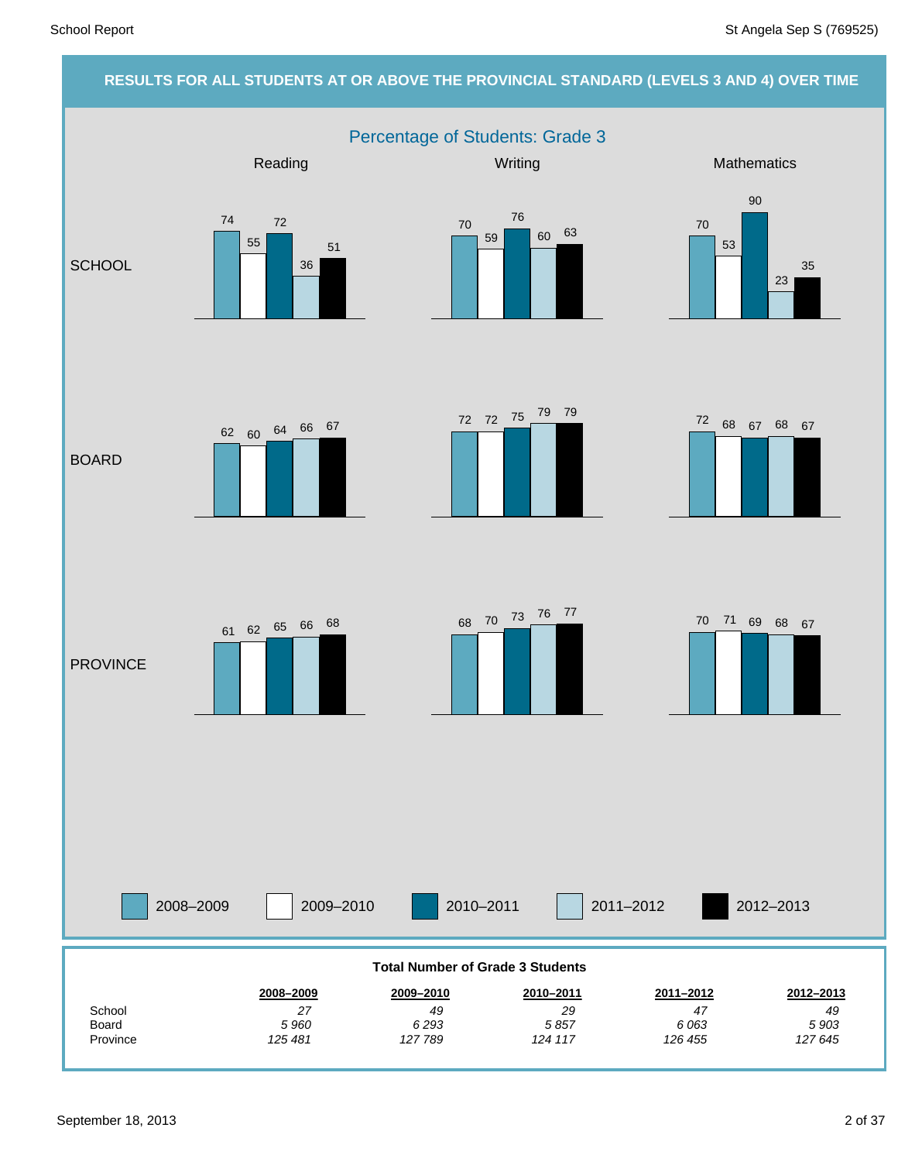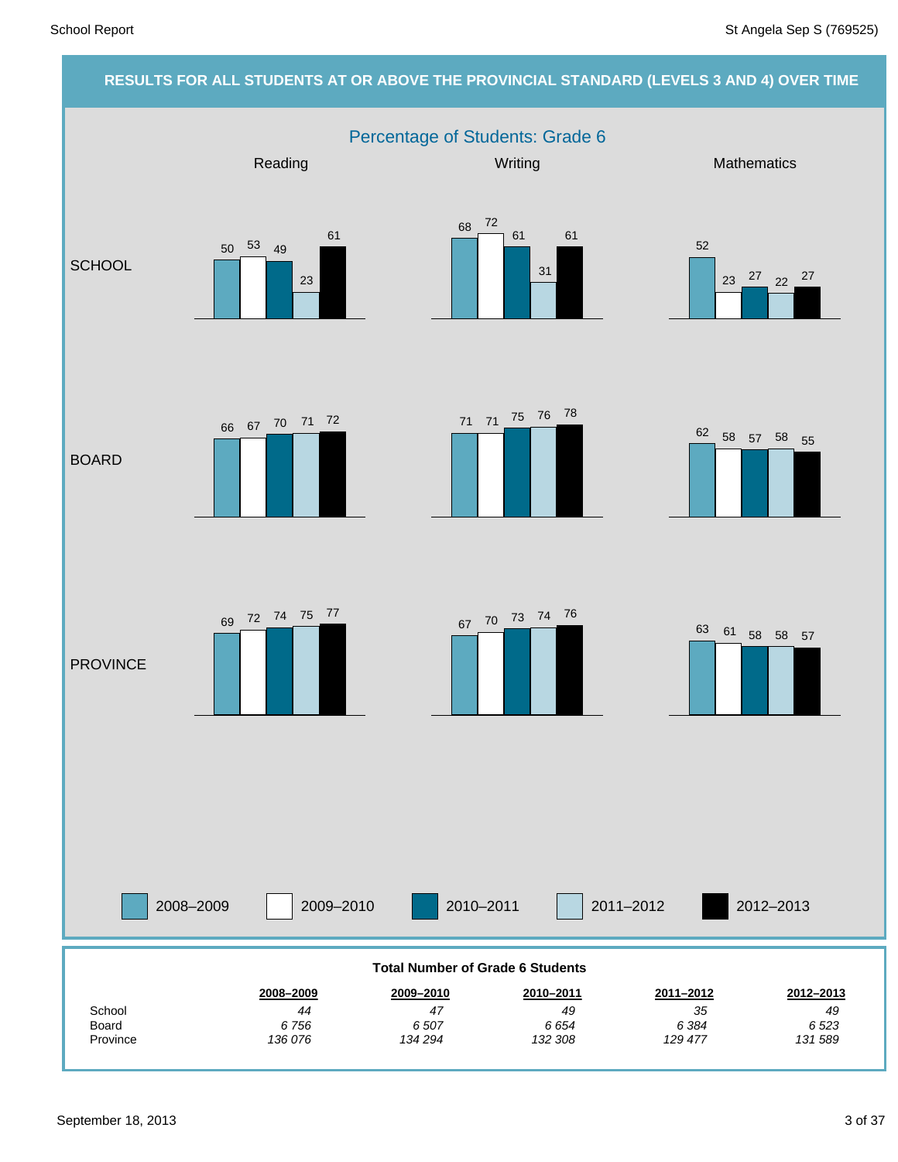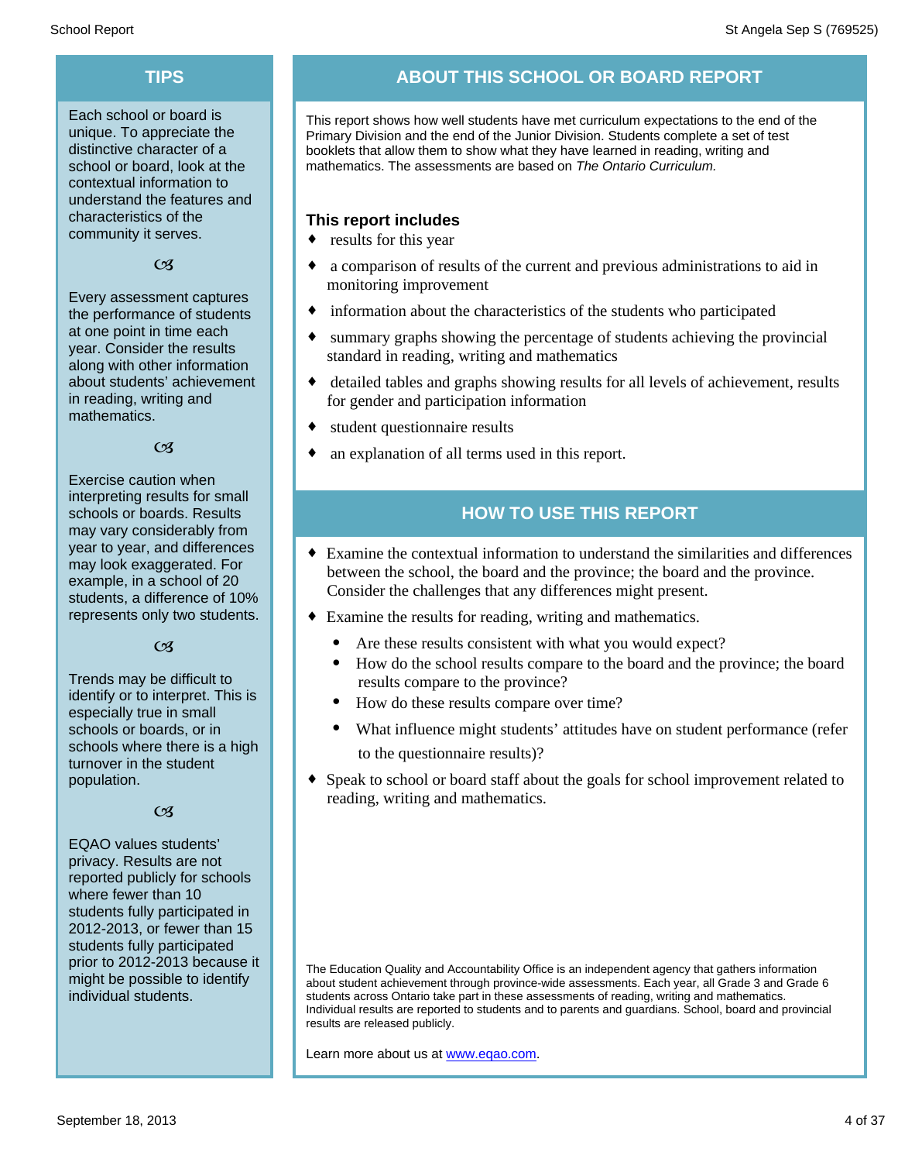Each school or board is unique. To appreciate the distinctive character of a school or board, look at the contextual information to understand the features and characteristics of the community it serves.

 $CZ$ 

Every assessment captures the performance of students at one point in time each year. Consider the results along with other information about students' achievement in reading, writing and mathematics.

#### $\alpha$

Exercise caution when interpreting results for small schools or boards. Results may vary considerably from year to year, and differences may look exaggerated. For example, in a school of 20 students, a difference of 10% represents only two students.

#### $C<sub>3</sub>$

Trends may be difficult to identify or to interpret. This is especially true in small schools or boards, or in schools where there is a high turnover in the student population.

#### $\alpha$

EQAO values students' privacy. Results are not reported publicly for schools where fewer than 10 students fully participated in 2012-2013, or fewer than 15 students fully participated prior to 2012-2013 because it might be possible to identify individual students.

# **TIPS ABOUT THIS SCHOOL OR BOARD REPORT**

This report shows how well students have met curriculum expectations to the end of the Primary Division and the end of the Junior Division. Students complete a set of test booklets that allow them to show what they have learned in reading, writing and mathematics. The assessments are based on *The Ontario Curriculum.*

#### **This report includes**

- $\bullet$  results for this year
- a comparison of results of the current and previous administrations to aid in monitoring improvement
- $\bullet$  information about the characteristics of the students who participated
- summary graphs showing the percentage of students achieving the provincial standard in reading, writing and mathematics
- detailed tables and graphs showing results for all levels of achievement, results for gender and participation information
- $\bullet$  student questionnaire results
- an explanation of all terms used in this report.

# **HOW TO USE THIS REPORT**

- ¨ Examine the contextual information to understand the similarities and differences between the school, the board and the province; the board and the province. Consider the challenges that any differences might present.
- Examine the results for reading, writing and mathematics.
	- Are these results consistent with what you would expect?
	- · How do the school results compare to the board and the province; the board results compare to the province?
	- How do these results compare over time?
	- What influence might students' attitudes have on student performance (refer to the questionnaire results)?
- Speak to school or board staff about the goals for school improvement related to reading, writing and mathematics.

Learn more about us at www.eqao.com.

The Education Quality and Accountability Office is an independent agency that gathers information about student achievement through province-wide assessments. Each year, all Grade 3 and Grade 6 students across Ontario take part in these assessments of reading, writing and mathematics. Individual results are reported to students and to parents and guardians. School, board and provincial results are released publicly.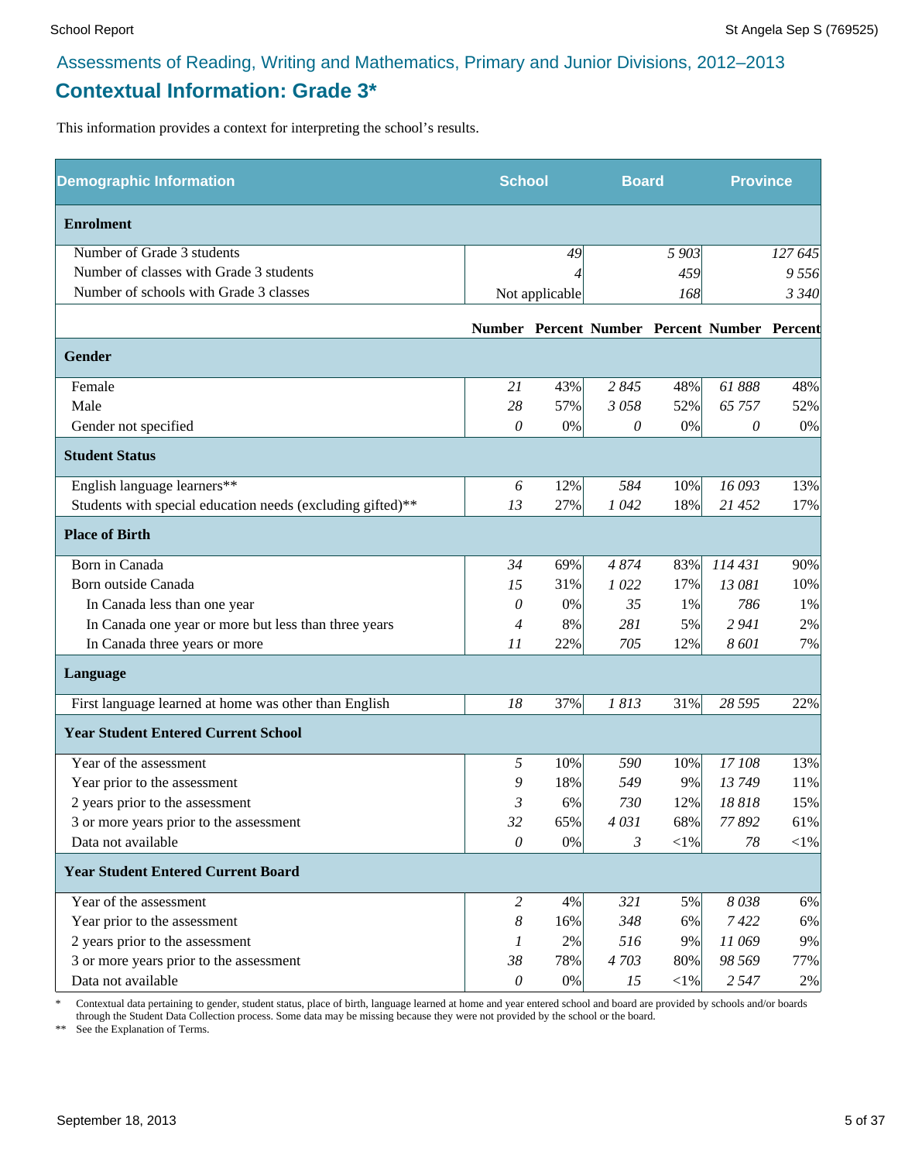# **Contextual Information: Grade 3\***

This information provides a context for interpreting the school's results.

| <b>Demographic Information</b>                             | <b>School</b>  |                | <b>Board</b> |            | <b>Province</b>                              |            |
|------------------------------------------------------------|----------------|----------------|--------------|------------|----------------------------------------------|------------|
| <b>Enrolment</b>                                           |                |                |              |            |                                              |            |
| Number of Grade 3 students                                 |                | 49             |              | 5 903      |                                              | 127 645    |
| Number of classes with Grade 3 students                    |                |                |              | 459        |                                              | 9556       |
| Number of schools with Grade 3 classes                     |                | Not applicable |              | 168        |                                              | 3 3 4 0    |
|                                                            |                |                |              |            | Number Percent Number Percent Number Percent |            |
| <b>Gender</b>                                              |                |                |              |            |                                              |            |
| Female                                                     | 21             | 43%            | 2845         | 48%        | 61888                                        | 48%        |
| Male                                                       | 28             | 57%            | 3058         | 52%        | 65 757                                       | 52%        |
| Gender not specified                                       | 0              | 0%             | 0            | 0%         | 0                                            | 0%         |
| <b>Student Status</b>                                      |                |                |              |            |                                              |            |
| English language learners**                                | 6              | 12%            | 584          | 10%        | 16 093                                       | 13%        |
| Students with special education needs (excluding gifted)** | 13             | 27%            | 1042         | 18%        | 21 452                                       | 17%        |
| <b>Place of Birth</b>                                      |                |                |              |            |                                              |            |
| Born in Canada                                             | 34             | 69%            | 4874         | 83%        | 114 431                                      | 90%        |
| Born outside Canada                                        | 15             | 31%            | 1022         | 17%        | 13 081                                       | 10%        |
| In Canada less than one year                               | 0              | 0%             | 35           | 1%         | 786                                          | 1%         |
| In Canada one year or more but less than three years       | 4              | 8%             | 281          | 5%         | 2 9 4 1                                      | 2%         |
| In Canada three years or more                              | 11             | 22%            | 705          | 12%        | 8601                                         | 7%         |
| Language                                                   |                |                |              |            |                                              |            |
| First language learned at home was other than English      | 18             | 37%            | 1813         | 31%        | 28 5 95                                      | 22%        |
| <b>Year Student Entered Current School</b>                 |                |                |              |            |                                              |            |
| Year of the assessment                                     | 5              | 10%            | 590          | 10%        | 17 108                                       | 13%        |
| Year prior to the assessment                               | 9              | 18%            | 549          | 9%         | 13749                                        | 11%        |
| 2 years prior to the assessment                            | 3              | 6%             | 730          | 12%        | 18818                                        | 15%        |
| 3 or more years prior to the assessment                    | 32             | 65%            | 4031         | 68%        | 77892                                        | 61%        |
| Data not available                                         | $\theta$       | 0%             | 3            | $<\!\!1\%$ | 78                                           | $<\!\!1\%$ |
| <b>Year Student Entered Current Board</b>                  |                |                |              |            |                                              |            |
| Year of the assessment                                     | $\overline{c}$ | 4%             | 321          | 5%         | 8038                                         | 6%         |
| Year prior to the assessment                               | 8              | 16%            | 348          | 6%         | 7422                                         | 6%         |
| 2 years prior to the assessment                            | 1              | 2%             | 516          | 9%         | 11 069                                       | 9%         |
| 3 or more years prior to the assessment                    | 38             | 78%            | 4703         | 80%        | 98 569                                       | 77%        |
| Data not available                                         | $\mathcal O$   | $0\%$          | 15           | ${<}1\%$   | 2 5 4 7                                      | 2%         |

\* Contextual data pertaining to gender, student status, place of birth, language learned at home and year entered school and board are provided by schools and/or boards through the Student Data Collection process. Some data may be missing because they were not provided by the school or the board.

\*\* See the Explanation of Terms.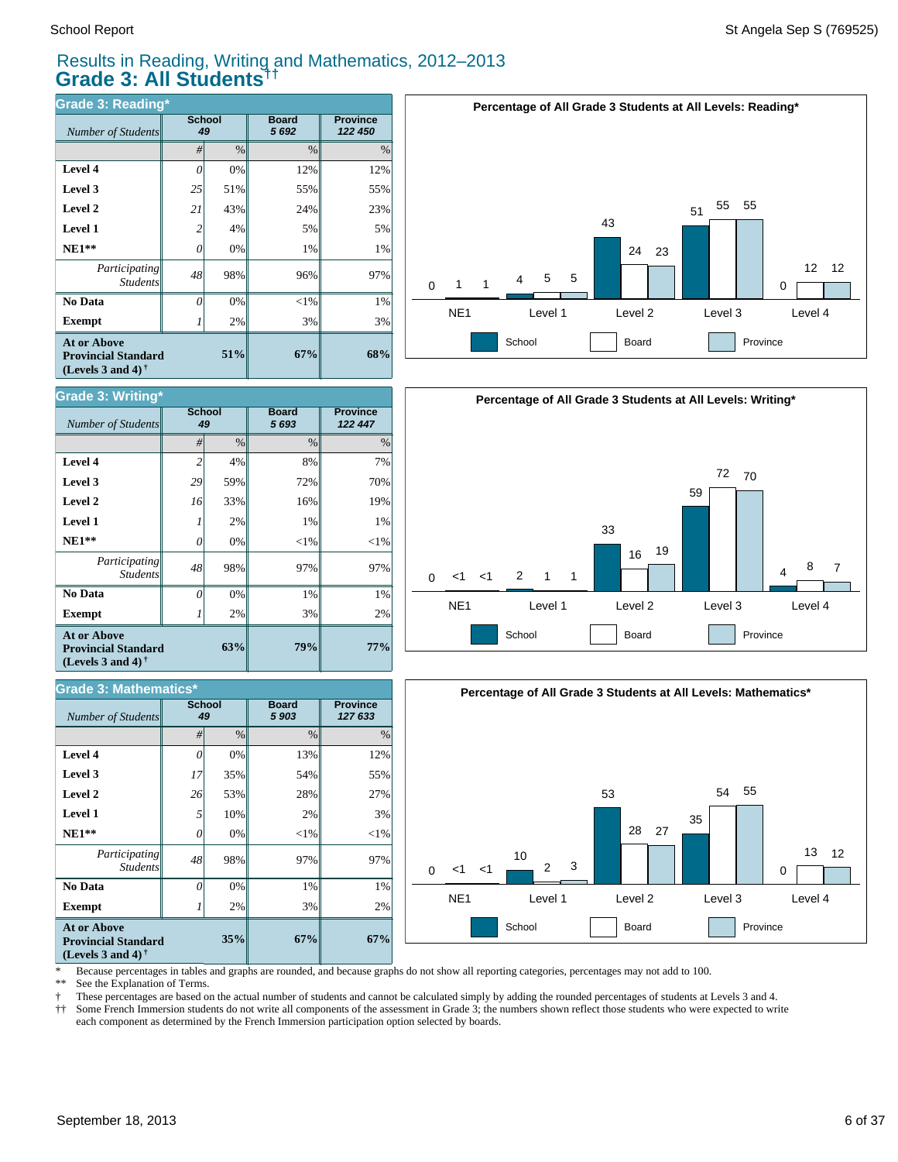#### Results in Reading, Writing and Mathematics, 2012–2013 **Grade 3: All Students††**

| <b>Grade 3: Reading*</b>                                                       |    |              |                      |                            |  |  |  |  |
|--------------------------------------------------------------------------------|----|--------------|----------------------|----------------------------|--|--|--|--|
| Number of Students                                                             |    | School<br>49 | <b>Board</b><br>5692 | <b>Province</b><br>122 450 |  |  |  |  |
|                                                                                | #  | $\%$         | $\frac{0}{0}$        | %                          |  |  |  |  |
| Level 4                                                                        | O  | 0%           | 12%                  | 12%                        |  |  |  |  |
| Level 3                                                                        | 25 | 51%          | 55%                  | 55%                        |  |  |  |  |
| Level 2                                                                        | 21 | 43%          | 24%                  | 23%                        |  |  |  |  |
| <b>Level 1</b>                                                                 | 2  | 4%           | 5%                   | 5%                         |  |  |  |  |
| $NE1**$                                                                        | 0  | 0%           | 1%                   | 1%                         |  |  |  |  |
| Participating<br><b>Students</b>                                               | 48 | 98%          | 96%                  | 97%                        |  |  |  |  |
| No Data                                                                        | 0  | 0%           | $<$ 1%               | 1%                         |  |  |  |  |
| <b>Exempt</b>                                                                  |    | 2%           | 3%                   | 3%                         |  |  |  |  |
| <b>At or Above</b><br><b>Provincial Standard</b><br>(Levels 3 and 4) $\dagger$ |    | 67%          | 68%                  |                            |  |  |  |  |

| <b>Grade 3: Writing*</b>                                                              |                |                     |                      |                            |  |  |  |  |
|---------------------------------------------------------------------------------------|----------------|---------------------|----------------------|----------------------------|--|--|--|--|
| Number of Students                                                                    |                | <b>School</b><br>49 | <b>Board</b><br>5693 | <b>Province</b><br>122 447 |  |  |  |  |
|                                                                                       | #              | $\frac{0}{0}$       | $\frac{0}{0}$        | $\%$                       |  |  |  |  |
| Level 4                                                                               | $\overline{2}$ | 4%                  | 8%                   | 7%                         |  |  |  |  |
| Level 3                                                                               | 29             | 59%                 | 72%                  | 70%                        |  |  |  |  |
| Level 2                                                                               | 16             | 33%                 | 16%                  | 19%                        |  |  |  |  |
| <b>Level 1</b>                                                                        |                | 2%                  | 1%                   | 1%                         |  |  |  |  |
| $NE1**$                                                                               | $\theta$       | 0%                  | $<$ 1%               | $<$ 1%                     |  |  |  |  |
| Participating<br><b>Students</b>                                                      | 48             | 98%                 | 97%                  | 97%                        |  |  |  |  |
| No Data                                                                               | $\Omega$       | 0%                  | 1%                   | 1%                         |  |  |  |  |
| <b>Exempt</b>                                                                         |                | 2%                  | 3%                   | 2%                         |  |  |  |  |
| <b>At or Above</b><br>63%<br><b>Provincial Standard</b><br>(Levels 3 and 4) $\dagger$ |                |                     | 79%                  | 77%                        |  |  |  |  |

#### *#* % % % **Province** *127 633* **Board** *5 903* **School**  $Number of Students$ **67%** 2% 1% 97%  $<$ 1% 3% 27% 55% 12% **67%** 3% 1% 97%  $<$ 1% 2% 28% 54% 13% **35%** 2% 0% 98% 0% 10% 53% 35% 0% *0 48 0 5 26 17 0* **Exempt** *1*  **No Data** *Participating Students*  **NE1\*\* Level 1 Level 2 Level 3 Level 4 At or Above Provincial Standard (Levels 3 and 4) † Grade 3: Mathematics\***







\* Because percentages in tables and graphs are rounded, and because graphs do not show all reporting categories, percentages may not add to 100.

See the Explanation of Terms.

† These percentages are based on the actual number of students and cannot be calculated simply by adding the rounded percentages of students at Levels 3 and 4.

†† Some French Immersion students do not write all components of the assessment in Grade 3; the numbers shown reflect those students who were expected to write each component as determined by the French Immersion participation option selected by boards.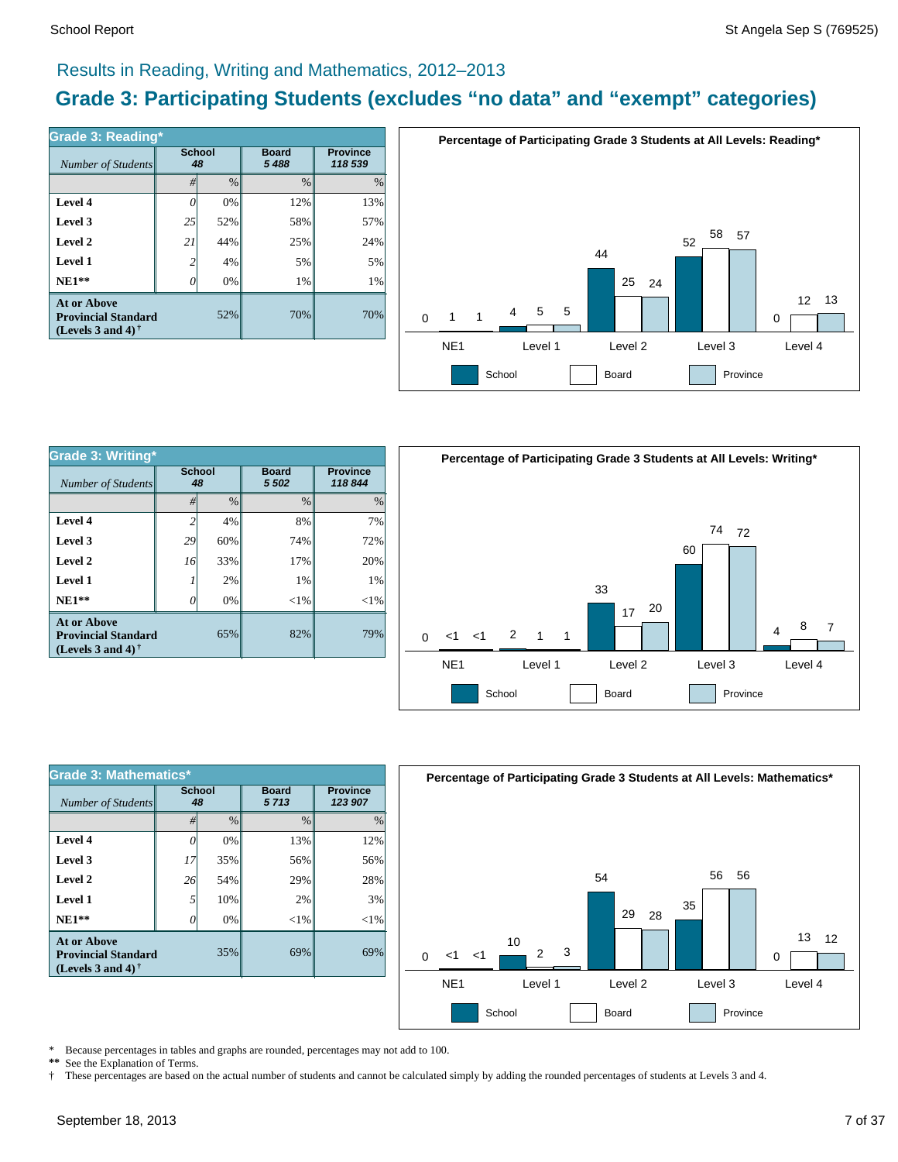### Results in Reading, Writing and Mathematics, 2012–2013

# **Grade 3: Participating Students (excludes "no data" and "exempt" categories)**

| Grade 3: Reading*                                                                 |                     |      |                         |                            |  |  |  |  |
|-----------------------------------------------------------------------------------|---------------------|------|-------------------------|----------------------------|--|--|--|--|
| Number of Students                                                                | <b>School</b><br>48 |      | <b>Board</b><br>5 4 8 8 | <b>Province</b><br>118 539 |  |  |  |  |
|                                                                                   | #                   | $\%$ | $\%$                    | $\%$                       |  |  |  |  |
| Level 4                                                                           |                     | 0%   | 12%                     | 13%                        |  |  |  |  |
| Level 3                                                                           | 25                  | 52%  | 58%                     | 57%                        |  |  |  |  |
| Level 2                                                                           | 21                  | 44%  | 25%                     | 24%                        |  |  |  |  |
| Level 1                                                                           | 2                   | 4%   | 5%                      | 5%                         |  |  |  |  |
| $NE1**$                                                                           |                     | 0%   | 1%                      | 1%                         |  |  |  |  |
| <b>At or Above</b><br><b>Provincial Standard</b><br>(Levels 3 and 4) $^{\dagger}$ |                     | 52%  | 70%                     | 70%                        |  |  |  |  |



| <b>Grade 3: Writing*</b><br>Number of Students                                 | <b>School</b>  |       | <b>Board</b><br>48 |          | <b>Province</b><br>118844<br>5 5 0 2 |  | Perce |
|--------------------------------------------------------------------------------|----------------|-------|--------------------|----------|--------------------------------------|--|-------|
|                                                                                | #              | $\%$  | $\frac{0}{0}$      | $\%$     |                                      |  |       |
| Level 4                                                                        | $\overline{c}$ | 4%    | 8%                 | 7%       |                                      |  |       |
| Level 3                                                                        | 29             | 60%   | 74%                | 72%      |                                      |  |       |
| Level 2                                                                        | 16             | 33%   | 17%                | 20%      |                                      |  |       |
| Level 1                                                                        |                | 2%    | 1%                 | 1%       |                                      |  |       |
| $NE1**$                                                                        | 0              | $0\%$ | ${<}1\%$           | ${<}1\%$ |                                      |  |       |
| <b>At or Above</b><br><b>Provincial Standard</b><br>(Levels 3 and 4) $\dagger$ |                | 65%   | 82%                | 79%      | ا><br>∩                              |  |       |
|                                                                                |                |       |                    |          | NF <sub>1</sub>                      |  |       |



| <b>Grade 3: Mathematics*</b>                                                   |                     |               |                      |                            |  |  |  |  |  |
|--------------------------------------------------------------------------------|---------------------|---------------|----------------------|----------------------------|--|--|--|--|--|
| Number of Students                                                             | <b>School</b><br>48 |               | <b>Board</b><br>5713 | <b>Province</b><br>123 907 |  |  |  |  |  |
|                                                                                | #                   | $\frac{0}{0}$ | $\frac{0}{0}$        | $\%$                       |  |  |  |  |  |
| Level 4                                                                        |                     | 0%            | 13%                  | 12%                        |  |  |  |  |  |
| Level 3                                                                        | 17                  | 35%           | 56%                  | 56%                        |  |  |  |  |  |
| Level 2                                                                        | 26                  | 54%           | 29%                  | 28%                        |  |  |  |  |  |
| Level 1                                                                        | 5                   | 10%           | 2%                   | 3%                         |  |  |  |  |  |
| $NE1**$                                                                        |                     | 0%            | $<$ 1%               | $<$ 1%                     |  |  |  |  |  |
| <b>At or Above</b><br><b>Provincial Standard</b><br>(Levels 3 and 4) $\dagger$ |                     | 69%           | 69%                  |                            |  |  |  |  |  |



\* Because percentages in tables and graphs are rounded, percentages may not add to 100.<br>\*\* See the Explanation of Terms

See the Explanation of Terms.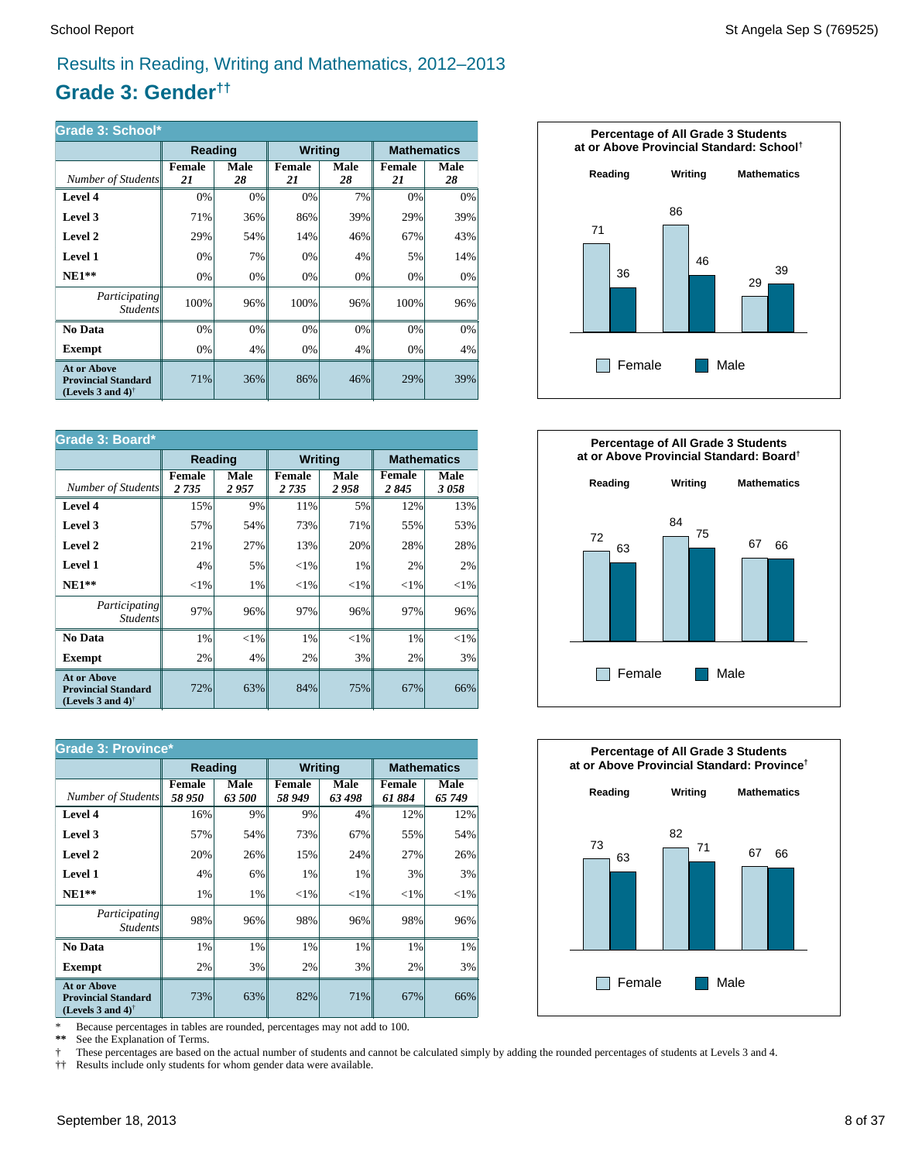# Results in Reading, Writing and Mathematics, 2012–2013

# **Grade 3: Gender††**

| Grade 3: School*                                                                                     |                     |            |                     |            |                     |            |  |  |  |
|------------------------------------------------------------------------------------------------------|---------------------|------------|---------------------|------------|---------------------|------------|--|--|--|
|                                                                                                      | Reading             |            | <b>Writing</b>      |            | <b>Mathematics</b>  |            |  |  |  |
| Number of Students                                                                                   | <b>Female</b><br>21 | Male<br>28 | <b>Female</b><br>21 | Male<br>28 | <b>Female</b><br>21 | Male<br>28 |  |  |  |
| Level 4                                                                                              | 0%                  | 0%         | 0%                  | 7%         | 0%                  | 0%         |  |  |  |
| Level 3                                                                                              | 71%                 | 36%        | 86%                 | 39%        | 29%                 | 39%        |  |  |  |
| Level 2                                                                                              | 29%                 | 54%        | 14%                 | 46%        | 67%                 | 43%        |  |  |  |
| Level 1                                                                                              | 0%                  | 7%         | 0%                  | 4%         | 5%                  | 14%        |  |  |  |
| $NE1**$                                                                                              | 0%                  | 0%         | 0%                  | 0%         | 0%                  | 0%         |  |  |  |
| Participating<br><b>Students</b>                                                                     | 100%                | 96%        | 100%                | 96%        | 100%                | 96%        |  |  |  |
| No Data                                                                                              | 0%                  | 0%         | 0%                  | 0%         | 0%                  | 0%         |  |  |  |
| Exempt                                                                                               | 0%                  | 4%         | 0%                  | 4%         | 0%                  | 4%         |  |  |  |
| <b>At or Above</b><br><b>Provincial Standard</b><br>(Levels 3 and 4) <sup><math>\dagger</math></sup> | 71%                 | 36%        | 86%                 | 46%        | 29%                 | 39%        |  |  |  |

| Grade 3: Board*                                                                                      |                   |              |                          |              |                    |              |  |
|------------------------------------------------------------------------------------------------------|-------------------|--------------|--------------------------|--------------|--------------------|--------------|--|
|                                                                                                      | Reading           |              | <b>Writing</b>           |              | <b>Mathematics</b> |              |  |
| Number of Students                                                                                   | Female<br>2 7 3 5 | Male<br>2957 | <b>Female</b><br>2 7 3 5 | Male<br>2958 | Female<br>2845     | Male<br>3058 |  |
| Level 4                                                                                              | 15%               | 9%           | 11%                      | 5%           | 12%                | 13%          |  |
| Level 3                                                                                              | 57%               | 54%          | 73%                      | 71%          | 55%                | 53%          |  |
| Level 2                                                                                              | 21%               | 27%          | 13%                      | 20%          | 28%                | 28%          |  |
| Level 1                                                                                              | 4%                | 5%           | ${<}1\%$                 | 1%           | 2%                 | 2%           |  |
| $NE1**$                                                                                              | ${<}1\%$          | 1%           | ${<}1\%$                 | ${<}1\%$     | ${<}1\%$           | ${<}1\%$     |  |
| Participating<br><b>Students</b>                                                                     | 97%               | 96%          | 97%                      | 96%          | 97%                | 96%          |  |
| No Data                                                                                              | 1%                | ${<}1\%$     | 1%                       | $<$ 1%       | 1%                 | $<$ 1%       |  |
| <b>Exempt</b>                                                                                        | 2%                | 4%           | 2%                       | 3%           | 2%                 | 3%           |  |
| <b>At or Above</b><br><b>Provincial Standard</b><br>(Levels 3 and 4) <sup><math>\dagger</math></sup> | 72%               | 63%          | 84%                      | 75%          | 67%                | 66%          |  |

| <b>Grade 3: Province*</b>                                                                            |                 |                |                         |                |                         |                    |  |  |
|------------------------------------------------------------------------------------------------------|-----------------|----------------|-------------------------|----------------|-------------------------|--------------------|--|--|
|                                                                                                      | Reading         |                | <b>Writing</b>          |                |                         | <b>Mathematics</b> |  |  |
| Number of Students                                                                                   | Female<br>58950 | Male<br>63 500 | <b>Female</b><br>58 949 | Male<br>63 498 | <b>Female</b><br>61 884 | Male<br>65 749     |  |  |
| Level 4                                                                                              | 16%             | 9%             | 9%                      | 4%             | 12%                     | 12%                |  |  |
| Level 3                                                                                              | 57%             | 54%            | 73%                     | 67%            | 55%                     | 54%                |  |  |
| Level 2                                                                                              | 20%             | 26%            | 15%                     | 24%            | 27%                     | 26%                |  |  |
| Level 1                                                                                              | 4%              | 6%             | 1%                      | 1%             | 3%                      | 3%                 |  |  |
| $NE1**$                                                                                              | 1%              | 1%             | ${<}1\%$                | ${<}1\%$       | ${<}1\%$                | ${<}1\%$           |  |  |
| <i>Participating</i><br><b>Students</b>                                                              | 98%             | 96%            | 98%                     | 96%            | 98%                     | 96%                |  |  |
| No Data                                                                                              | 1%              | 1%             | 1%                      | 1%             | 1%                      | 1%                 |  |  |
| <b>Exempt</b>                                                                                        | 2%              | 3%             | 2%                      | 3%             | 2%                      | 3%                 |  |  |
| <b>At or Above</b><br><b>Provincial Standard</b><br>(Levels 3 and 4) <sup><math>\dagger</math></sup> | 73%             | 63%            | 82%                     | 71%            | 67%                     | 66%                |  |  |

\* Because percentages in tables are rounded, percentages may not add to 100.<br>\*\* See the Explanation of Terms.

See the Explanation of Terms.

† These percentages are based on the actual number of students and cannot be calculated simply by adding the rounded percentages of students at Levels 3 and 4.<br>†† Results include only students for whom gender data were ava

†† Results include only students for whom gender data were available.





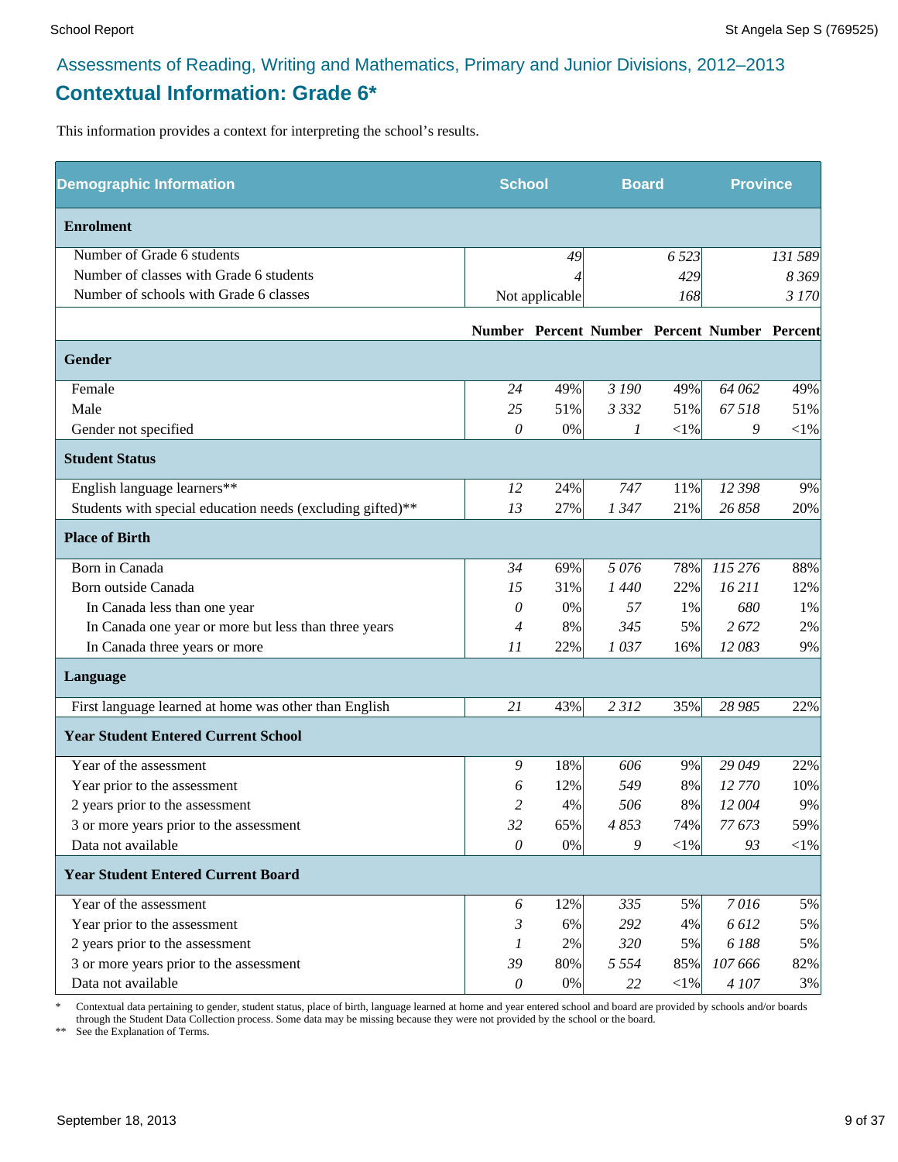# Assessments of Reading, Writing and Mathematics, Primary and Junior Divisions, 2012–2013 **Contextual Information: Grade 6\***

This information provides a context for interpreting the school's results.

| <b>Demographic Information</b>                             |              | <b>School</b><br><b>Board</b> |                                              |            | <b>Province</b> |            |
|------------------------------------------------------------|--------------|-------------------------------|----------------------------------------------|------------|-----------------|------------|
| <b>Enrolment</b>                                           |              |                               |                                              |            |                 |            |
| Number of Grade 6 students                                 |              | 49                            |                                              | 6 5 23     |                 | 131 589    |
| Number of classes with Grade 6 students                    |              |                               |                                              | 429        |                 | 8 3 6 9    |
| Number of schools with Grade 6 classes                     |              | Not applicable                |                                              | 168        |                 | 3 170      |
|                                                            |              |                               | Number Percent Number Percent Number Percent |            |                 |            |
| Gender                                                     |              |                               |                                              |            |                 |            |
| Female                                                     | 24           | 49%                           | 3 190                                        | 49%        | 64 062          | 49%        |
| Male                                                       | 25           | 51%                           | 3 3 3 2                                      | 51%        | 67518           | 51%        |
| Gender not specified                                       | 0            | $0\%$                         | 1                                            | $<$ 1%     | 9               | ${<}1\%$   |
| <b>Student Status</b>                                      |              |                               |                                              |            |                 |            |
| English language learners**                                | 12           | 24%                           | 747                                          | 11%        | 12 398          | 9%         |
| Students with special education needs (excluding gifted)** | 13           | 27%                           | 1347                                         | 21%        | 26 858          | 20%        |
| <b>Place of Birth</b>                                      |              |                               |                                              |            |                 |            |
| Born in Canada                                             | 34           | 69%                           | 5076                                         | 78%        | 115 276         | 88%        |
| Born outside Canada                                        | 15           | 31%                           | 1440                                         | 22%        | 16 211          | 12%        |
| In Canada less than one year                               | 0            | 0%                            | 57                                           | 1%         | 680             | 1%         |
| In Canada one year or more but less than three years       | 4            | 8%                            | 345                                          | 5%         | 2 672           | 2%         |
| In Canada three years or more                              | 11           | 22%                           | 1037                                         | 16%        | 12083           | 9%         |
| Language                                                   |              |                               |                                              |            |                 |            |
| First language learned at home was other than English      | 21           | 43%                           | 2 3 1 2                                      | 35%        | 28 985          | 22%        |
| <b>Year Student Entered Current School</b>                 |              |                               |                                              |            |                 |            |
| Year of the assessment                                     | 9            | 18%                           | 606                                          | 9%         | 29 049          | 22%        |
| Year prior to the assessment                               | 6            | 12%                           | 549                                          | 8%         | 12 770          | 10%        |
| 2 years prior to the assessment                            | 2            | 4%                            | 506                                          | 8%         | 12 004          | 9%         |
| 3 or more years prior to the assessment                    | 32           | 65%                           | 4853                                         | 74%        | 77 673          | 59%        |
| Data not available                                         | $\mathcal O$ | $0\%$                         | 9                                            | $<\!\!1\%$ | 93              | $<\!\!1\%$ |
| <b>Year Student Entered Current Board</b>                  |              |                               |                                              |            |                 |            |
| Year of the assessment                                     | 6            | 12%                           | 335                                          | 5%         | 7016            | 5%         |
| Year prior to the assessment                               | 3            | 6%                            | 292                                          | 4%         | 6612            | 5%         |
| 2 years prior to the assessment                            | 1            | 2%                            | 320                                          | 5%         | 6188            | 5%         |
| 3 or more years prior to the assessment                    | 39           | 80%                           | 5 5 5 4                                      | 85%        | 107 666         | 82%        |
| Data not available                                         | $\mathcal O$ | 0%                            | 22                                           | $<$ 1%     | 4 107           | 3%         |

\* Contextual data pertaining to gender, student status, place of birth, language learned at home and year entered school and board are provided by schools and/or boards through the Student Data Collection process. Some data may be missing because they were not provided by the school or the board.

\*\* See the Explanation of Terms.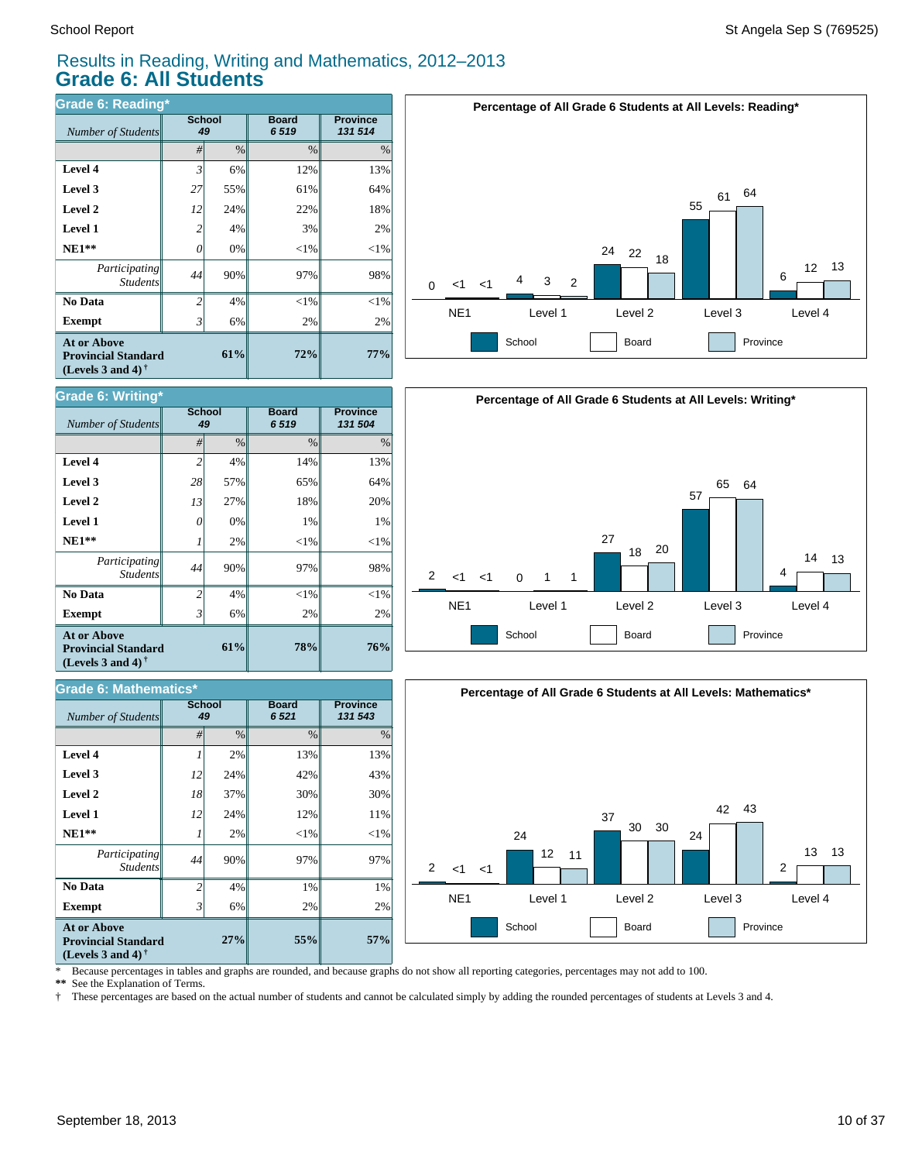#### Results in Reading, Writing and Mathematics, 2012–2013 **Grade 6: All Students**

| <b>Grade 6: Reading*</b>                                                       |                |                     |                      |                            |  |  |  |  |
|--------------------------------------------------------------------------------|----------------|---------------------|----------------------|----------------------------|--|--|--|--|
| Number of Students                                                             |                | <b>School</b><br>49 | <b>Board</b><br>6519 | <b>Province</b><br>131 514 |  |  |  |  |
|                                                                                | #              | $\%$                | $\frac{0}{0}$        | $\%$                       |  |  |  |  |
| Level 4                                                                        | $\mathfrak{Z}$ | 6%                  | 12%                  | 13%                        |  |  |  |  |
| Level 3                                                                        | 27             | 55%                 | 61%                  | 64%                        |  |  |  |  |
| Level 2                                                                        | 12             | 24%                 | 22%                  | 18%                        |  |  |  |  |
| <b>Level 1</b>                                                                 | 2              | 4%                  | 3%                   | 2%                         |  |  |  |  |
| $NE1**$                                                                        | 0              | 0%                  | $<$ 1%               | $<$ 1%                     |  |  |  |  |
| Participating<br><b>Students</b>                                               | 44             | 90%                 | 97%                  | 98%                        |  |  |  |  |
| No Data                                                                        | $\mathfrak{D}$ | 4%                  | $<$ 1%               | $<$ 1%                     |  |  |  |  |
| <b>Exempt</b>                                                                  | 3              | 6%                  | 2%                   | 2%                         |  |  |  |  |
| <b>At or Above</b><br><b>Provincial Standard</b><br>(Levels 3 and 4) $\dagger$ | 61%            | 72%                 | 77%                  |                            |  |  |  |  |

| <b>Grade 6: Writing*</b>                                                                             |                          |               |                      |                            |  |  |  |  |
|------------------------------------------------------------------------------------------------------|--------------------------|---------------|----------------------|----------------------------|--|--|--|--|
| Number of Students                                                                                   | <b>School</b><br>49      |               | <b>Board</b><br>6519 | <b>Province</b><br>131 504 |  |  |  |  |
|                                                                                                      | #                        | $\frac{0}{0}$ | $\frac{0}{0}$        | $\frac{0}{0}$              |  |  |  |  |
| Level 4                                                                                              | $\overline{2}$           | 4%            | 14%                  | 13%                        |  |  |  |  |
| Level 3                                                                                              | 28                       | 57%           | 65%                  | 64%                        |  |  |  |  |
| Level 2                                                                                              | 13                       | 27%           | 18%                  | 20%                        |  |  |  |  |
| <b>Level 1</b>                                                                                       | 0                        | 0%            | 1%                   | 1%                         |  |  |  |  |
| $NE1**$                                                                                              |                          | 2%            | $<$ 1%               | $<$ 1%                     |  |  |  |  |
| Participating<br><b>Students</b>                                                                     | 44                       | 90%           | 97%                  | 98%                        |  |  |  |  |
| No Data                                                                                              | $\overline{\mathcal{L}}$ | 4%            | $<$ 1%               | ${<}1\%$                   |  |  |  |  |
| <b>Exempt</b>                                                                                        | 3                        | 6%            | 2%                   | 2%                         |  |  |  |  |
| <b>At or Above</b><br><b>Provincial Standard</b><br>(Levels 3 and 4) <sup><math>\dagger</math></sup> |                          | 61%           | 78%                  | 76%                        |  |  |  |  |

#### *#* % % % **Province** *131 543* **Board** *6 521* **School**  $Number of Students$ **57%** 2% 1% 97%  $<$ 1% 11% 30% 43% 13% **55%** 2% 1% 97%  $<$ 1% 12% 30% 42% 13% **27%** 6% 4% 90% 2% 24% 37% 24% 2% *2 44 1 12 18 12 1* **Exempt** 3  **No Data** *Participating Students*  **NE1\*\* Level 1 Level 2 Level 3 Level 4 At or Above Provincial Standard (Levels 3 and 4) † Grade 6: Mathematics\***







\* Because percentages in tables and graphs are rounded, and because graphs do not show all reporting categories, percentages may not add to 100.

See the Explanation of Terms.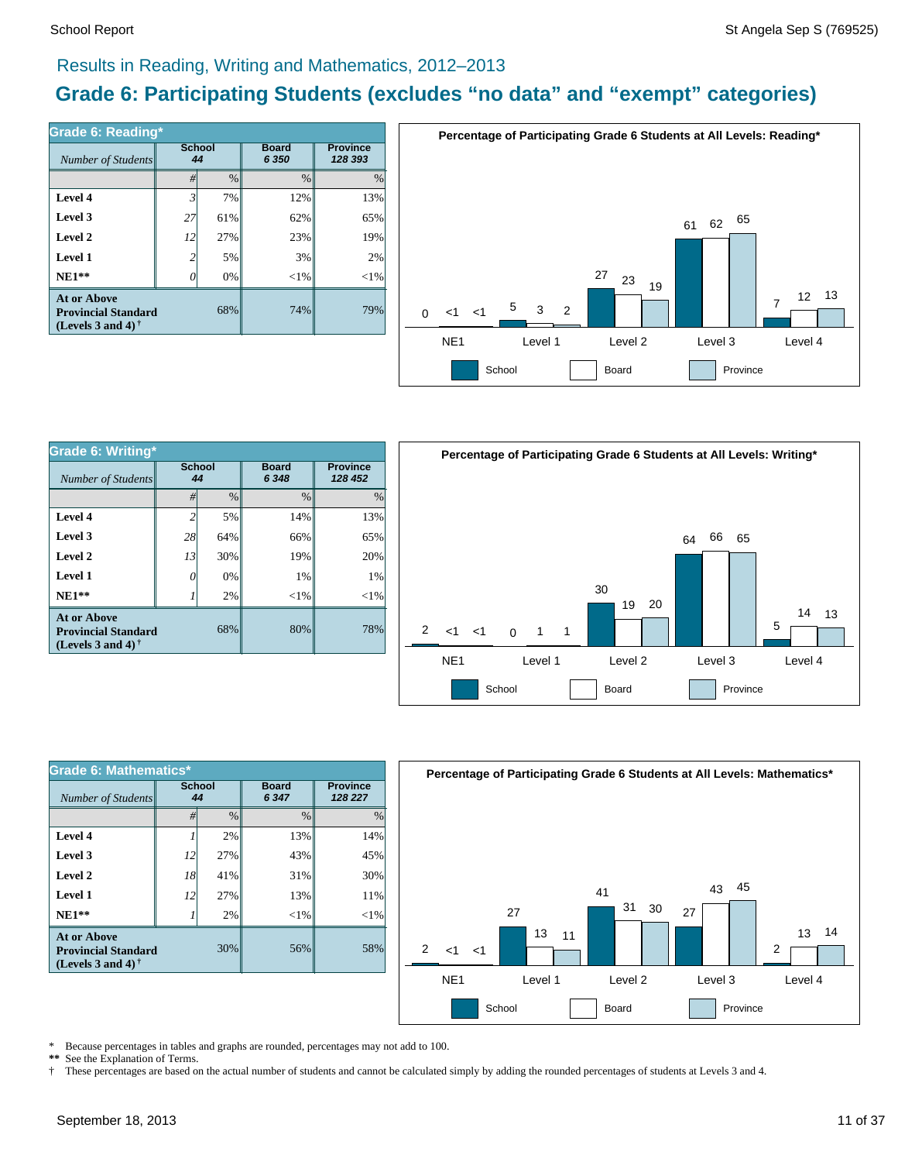#### Results in Reading, Writing and Mathematics, 2012–2013

# **Grade 6: Participating Students (excludes "no data" and "exempt" categories)**

| <b>Grade 6: Reading*</b>                                                          |                     |      |                         |                            |  |  |  |  |
|-----------------------------------------------------------------------------------|---------------------|------|-------------------------|----------------------------|--|--|--|--|
| Number of Students                                                                | <b>School</b><br>44 |      | <b>Board</b><br>6 3 5 0 | <b>Province</b><br>128 393 |  |  |  |  |
|                                                                                   | #                   | $\%$ | $\%$                    | $\frac{0}{0}$              |  |  |  |  |
| Level 4                                                                           | $\mathfrak{Z}$      | 7%   | 12%                     | 13%                        |  |  |  |  |
| Level 3                                                                           | 27                  | 61%  | 62%                     | 65%                        |  |  |  |  |
| Level 2                                                                           | 12                  | 27%  | 23%                     | 19%                        |  |  |  |  |
| Level 1                                                                           | 2                   | 5%   | 3%                      | 2%                         |  |  |  |  |
| $NE1**$                                                                           |                     | 0%   | ${<}1\%$                | $<$ 1%                     |  |  |  |  |
| <b>At or Above</b><br><b>Provincial Standard</b><br>(Levels 3 and 4) $^{\dagger}$ |                     | 68%  | 74%                     | 79%                        |  |  |  |  |



| Grade 6: Writing*                                                              |                     |               |                         |                            |  |  |
|--------------------------------------------------------------------------------|---------------------|---------------|-------------------------|----------------------------|--|--|
| Number of Students                                                             | <b>School</b><br>44 |               | <b>Board</b><br>6 3 4 8 | <b>Province</b><br>128 452 |  |  |
|                                                                                | #                   | $\frac{0}{0}$ | $\frac{0}{0}$           | $\%$                       |  |  |
| Level 4                                                                        | 2                   | 5%            | 14%                     | 13%                        |  |  |
| Level 3                                                                        | 28                  | 64%           | 66%                     | 65%                        |  |  |
| Level 2                                                                        | 13                  | 30%           | 19%                     | 20%                        |  |  |
| Level 1                                                                        | Ω                   | 0%            | 1%                      | 1%                         |  |  |
| $NE1**$                                                                        |                     | 2%            | ${<}1\%$                | ${<}1\%$                   |  |  |
| <b>At or Above</b><br><b>Provincial Standard</b><br>(Levels 3 and 4) $\dagger$ |                     | 68%           | 80%                     | 78%                        |  |  |



| <b>Grade 6: Mathematics*</b>                                            |                     |               |                         |                            |  |  |  |  |
|-------------------------------------------------------------------------|---------------------|---------------|-------------------------|----------------------------|--|--|--|--|
| Number of Students                                                      | <b>School</b><br>44 |               | <b>Board</b><br>6 3 4 7 | <b>Province</b><br>128 227 |  |  |  |  |
|                                                                         | #                   | $\frac{0}{0}$ | $\frac{0}{0}$           | $\%$                       |  |  |  |  |
| Level 4                                                                 |                     | 2%            | 13%                     | 14%                        |  |  |  |  |
| Level 3                                                                 | 12                  | 27%           | 43%                     | 45%                        |  |  |  |  |
| Level 2                                                                 | 18                  | 41%           | 31%                     | 30%                        |  |  |  |  |
| Level 1                                                                 | 12                  | 27%           | 13%                     | 11%                        |  |  |  |  |
| $NE1**$                                                                 |                     | 2%            | $<$ 1%                  | $<$ 1%                     |  |  |  |  |
| At or Above<br><b>Provincial Standard</b><br>(Levels 3 and 4) $\dagger$ |                     | 30%           | 56%                     | 58%                        |  |  |  |  |



\* Because percentages in tables and graphs are rounded, percentages may not add to 100.

**\*\*** See the Explanation of Terms.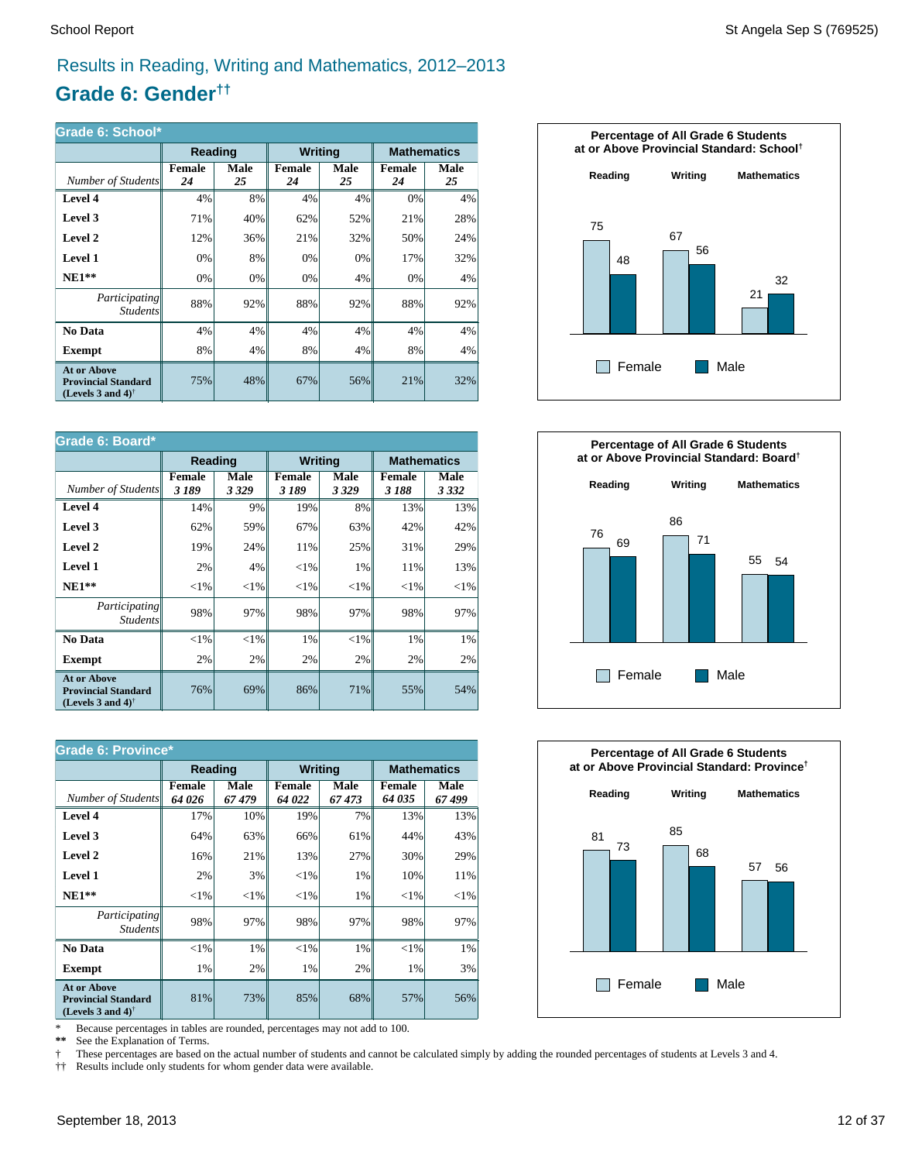### Results in Reading, Writing and Mathematics, 2012–2013

# **Grade 6: Gender††**

| Grade 6: School*                                                                                     |              |            |                |            |                     |                    |  |
|------------------------------------------------------------------------------------------------------|--------------|------------|----------------|------------|---------------------|--------------------|--|
|                                                                                                      | Reading      |            | <b>Writing</b> |            |                     | <b>Mathematics</b> |  |
| Number of Students                                                                                   | Female<br>24 | Male<br>25 | Female<br>24   | Male<br>25 | <b>Female</b><br>24 | Male<br>25         |  |
| Level 4                                                                                              | 4%           | 8%         | 4%             | 4%         | 0%                  | 4%                 |  |
| Level 3                                                                                              | 71%          | 40%        | 62%            | 52%        | 21%                 | 28%                |  |
| Level 2                                                                                              | 12%          | 36%        | 21%            | 32%        | 50%                 | 24%                |  |
| Level 1                                                                                              | 0%           | 8%         | 0%             | 0%         | 17%                 | 32%                |  |
| $NE1**$                                                                                              | 0%           | 0%         | 0%             | 4%         | 0%                  | 4%                 |  |
| <i>Participating</i><br><b>Students</b>                                                              | 88%          | 92%        | 88%            | 92%        | 88%                 | 92%                |  |
| No Data                                                                                              | 4%           | 4%         | 4%             | 4%         | 4%                  | 4%                 |  |
| Exempt                                                                                               | 8%           | 4%         | 8%             | 4%         | 8%                  | 4%                 |  |
| <b>At or Above</b><br><b>Provincial Standard</b><br>(Levels 3 and 4) <sup><math>\dagger</math></sup> | 75%          | 48%        | 67%            | 56%        | 21%                 | 32%                |  |

| Grade 6: Board*                                                                                      |                |              |                        |              |                        |                 |  |
|------------------------------------------------------------------------------------------------------|----------------|--------------|------------------------|--------------|------------------------|-----------------|--|
|                                                                                                      | <b>Reading</b> |              | <b>Writing</b>         |              | <b>Mathematics</b>     |                 |  |
| Number of Students                                                                                   | Female<br>3189 | Male<br>3329 | <b>Female</b><br>3 189 | Male<br>3329 | <b>Female</b><br>3 188 | Male<br>3 3 3 2 |  |
| Level 4                                                                                              | 14%            | 9%           | 19%                    | 8%           | 13%                    | 13%             |  |
| Level 3                                                                                              | 62%            | 59%          | 67%                    | 63%          | 42%                    | 42%             |  |
| Level 2                                                                                              | 19%            | 24%          | 11%                    | 25%          | 31%                    | 29%             |  |
| Level 1                                                                                              | 2%             | 4%           | ${<}1\%$               | 1%           | 11%                    | 13%             |  |
| $NE1**$                                                                                              | ${<}1\%$       | ${<}1\%$     | ${<}1\%$               | ${<}1\%$     | ${<}1\%$               | ${<}1\%$        |  |
| Participating<br><b>Students</b>                                                                     | 98%            | 97%          | 98%                    | 97%          | 98%                    | 97%             |  |
| No Data                                                                                              | ${<}1\%$       | $< 1\%$      | 1%                     | $<$ 1%       | 1%                     | 1%              |  |
| <b>Exempt</b>                                                                                        | 2%             | 2%           | 2%                     | 2%           | 2%                     | 2%              |  |
| <b>At or Above</b><br><b>Provincial Standard</b><br>(Levels 3 and 4) <sup><math>\dagger</math></sup> | 76%            | 69%          | 86%                    | 71%          | 55%                    | 54%             |  |

| <b>Grade 6: Province*</b>                                                                            |                        |               |                  |               |                         |                    |  |
|------------------------------------------------------------------------------------------------------|------------------------|---------------|------------------|---------------|-------------------------|--------------------|--|
|                                                                                                      | Reading                |               | <b>Writing</b>   |               |                         | <b>Mathematics</b> |  |
| Number of Students                                                                                   | <b>Female</b><br>64026 | Male<br>67479 | Female<br>64 022 | Male<br>67473 | <b>Female</b><br>64 035 | Male<br>67499      |  |
| Level 4                                                                                              | 17%                    | 10%           | 19%              | 7%            | 13%                     | 13%                |  |
| Level 3                                                                                              | 64%                    | 63%           | 66%              | 61%           | 44%                     | 43%                |  |
| Level 2                                                                                              | 16%                    | 21%           | 13%              | 27%           | 30%                     | 29%                |  |
| Level 1                                                                                              | 2%                     | 3%            | ${<}1\%$         | 1%            | 10%                     | 11%                |  |
| $NE1**$                                                                                              | ${<}1\%$               | ${<}1\%$      | ${<}1\%$         | 1%            | ${<}1\%$                | ${<}1\%$           |  |
| Participating<br><b>Students</b>                                                                     | 98%                    | 97%           | 98%              | 97%           | 98%                     | 97%                |  |
| No Data                                                                                              | $<$ 1%                 | 1%            | $<$ 1%           | 1%            | $<$ 1%                  | 1%                 |  |
| <b>Exempt</b>                                                                                        | 1%                     | 2%            | 1%               | 2%            | 1%                      | 3%                 |  |
| <b>At or Above</b><br><b>Provincial Standard</b><br>(Levels 3 and 4) <sup><math>\dagger</math></sup> | 81%                    | 73%           | 85%              | 68%           | 57%                     | 56%                |  |

\* Because percentages in tables are rounded, percentages may not add to 100.<br>\*\* See the Explanation of Terms

See the Explanation of Terms.

† These percentages are based on the actual number of students and cannot be calculated simply by adding the rounded percentages of students at Levels 3 and 4.

†† Results include only students for whom gender data were available.





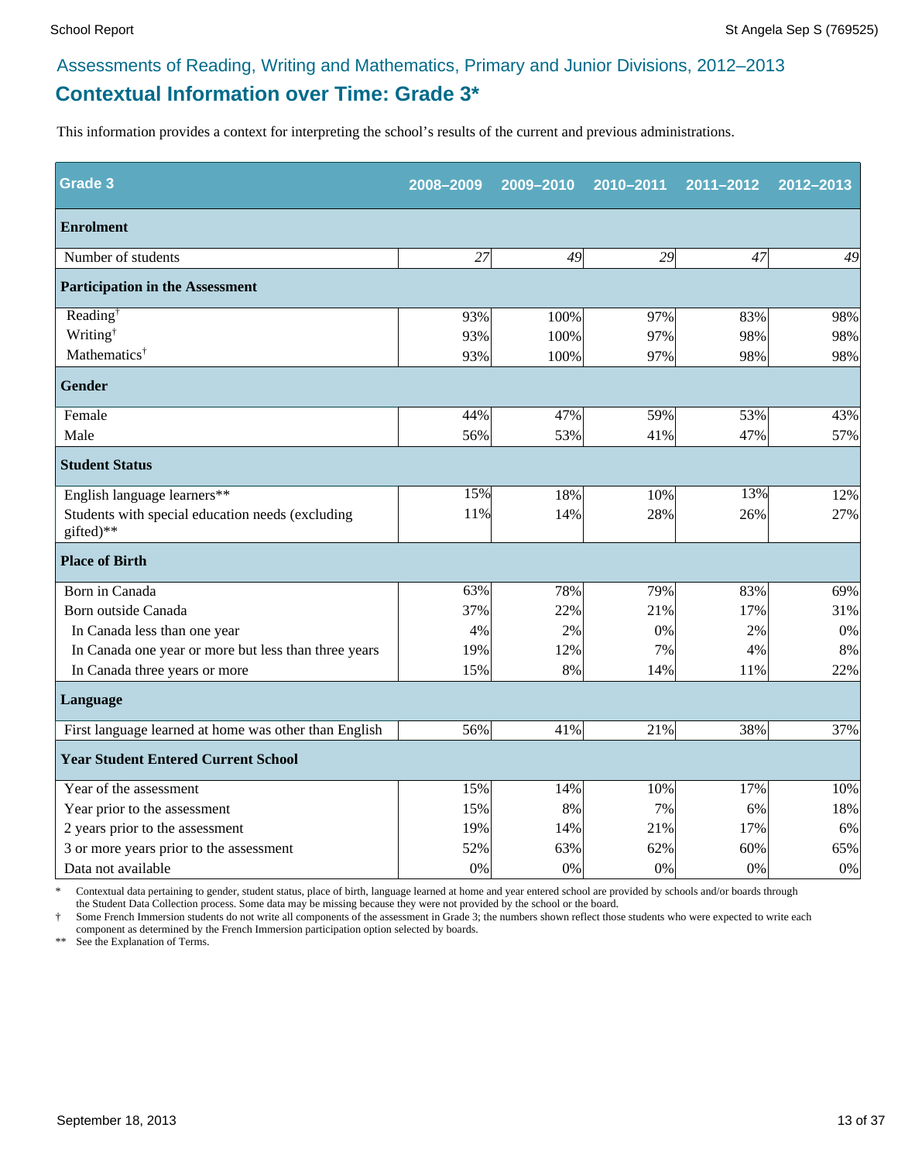# **Contextual Information over Time: Grade 3\***

This information provides a context for interpreting the school's results of the current and previous administrations.

| <b>Grade 3</b>                                                | 2008-2009 | 2009-2010 | 2010-2011 | 2011-2012 | 2012-2013 |
|---------------------------------------------------------------|-----------|-----------|-----------|-----------|-----------|
| <b>Enrolment</b>                                              |           |           |           |           |           |
| Number of students                                            | 27        | 49        | 29        | 47        | 49        |
| <b>Participation in the Assessment</b>                        |           |           |           |           |           |
| Reading <sup>†</sup>                                          | 93%       | 100%      | 97%       | 83%       | 98%       |
| Writing <sup>†</sup>                                          | 93%       | 100%      | 97%       | 98%       | 98%       |
| Mathematics <sup>†</sup>                                      | 93%       | 100%      | 97%       | 98%       | 98%       |
| <b>Gender</b>                                                 |           |           |           |           |           |
| Female                                                        | 44%       | 47%       | 59%       | 53%       | 43%       |
| Male                                                          | 56%       | 53%       | 41%       | 47%       | 57%       |
| <b>Student Status</b>                                         |           |           |           |           |           |
| English language learners**                                   | 15%       | 18%       | 10%       | 13%       | 12%       |
| Students with special education needs (excluding<br>gifted)** | 11%       | 14%       | 28%       | 26%       | 27%       |
| <b>Place of Birth</b>                                         |           |           |           |           |           |
| Born in Canada                                                | 63%       | 78%       | 79%       | 83%       | 69%       |
| Born outside Canada                                           | 37%       | 22%       | 21%       | 17%       | 31%       |
| In Canada less than one year                                  | 4%        | 2%        | 0%        | 2%        | 0%        |
| In Canada one year or more but less than three years          | 19%       | 12%       | 7%        | 4%        | 8%        |
| In Canada three years or more                                 | 15%       | 8%        | 14%       | 11%       | 22%       |
| Language                                                      |           |           |           |           |           |
| First language learned at home was other than English         | 56%       | 41%       | 21%       | 38%       | 37%       |
| <b>Year Student Entered Current School</b>                    |           |           |           |           |           |
| Year of the assessment                                        | 15%       | 14%       | 10%       | 17%       | 10%       |
| Year prior to the assessment                                  | 15%       | 8%        | 7%        | 6%        | 18%       |
| 2 years prior to the assessment                               | 19%       | 14%       | 21%       | 17%       | 6%        |
| 3 or more years prior to the assessment                       | 52%       | 63%       | 62%       | 60%       | 65%       |
| Data not available                                            | 0%        | 0%        | 0%        | $0\%$     | $0\%$     |

Contextual data pertaining to gender, student status, place of birth, language learned at home and year entered school are provided by schools and/or boards through the Student Data Collection process. Some data may be missing because they were not provided by the school or the board.

† Some French Immersion students do not write all components of the assessment in Grade 3; the numbers shown reflect those students who were expected to write each component as determined by the French Immersion participation option selected by boards.

\*\* See the Explanation of Terms.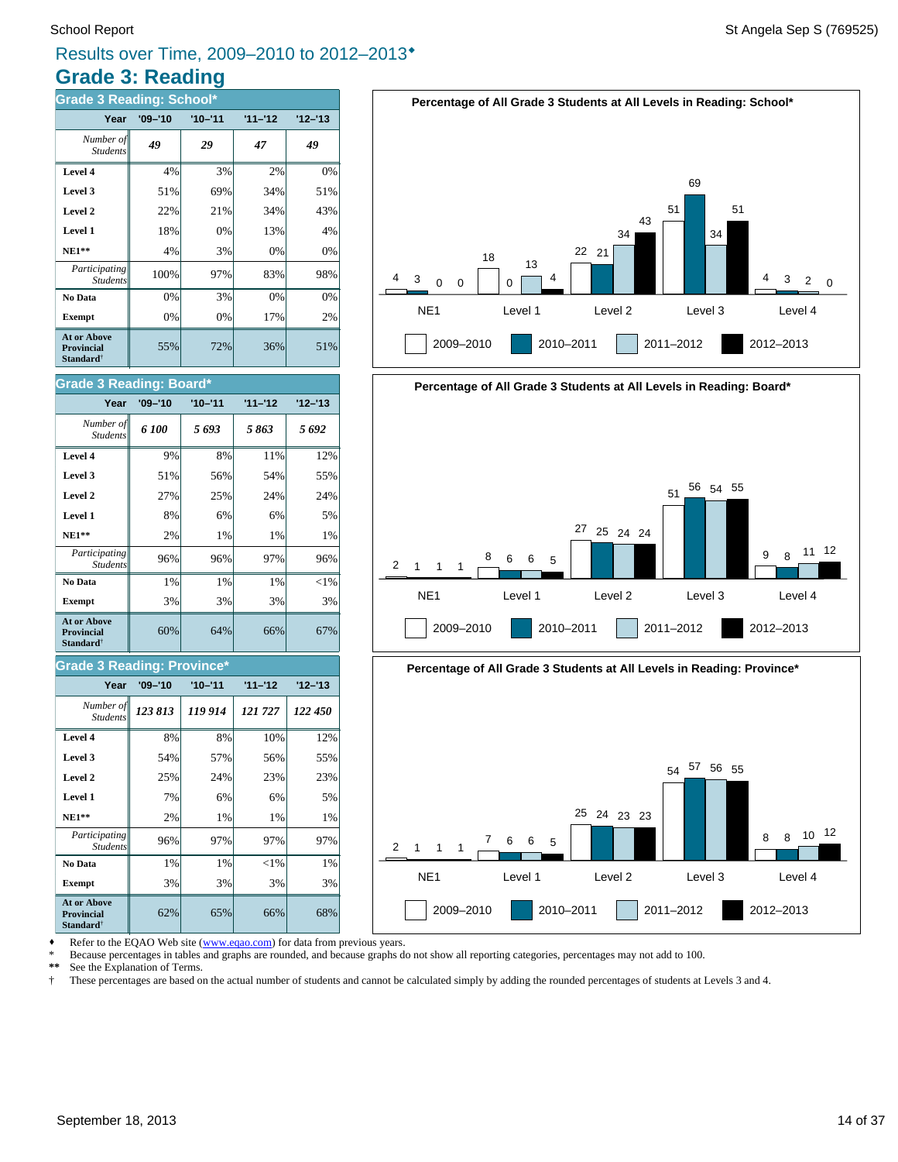# **Grade 3: Reading** Results over Time, 2009–2010 to 2012–2013®

| <b>Grade 3 Reading: School*</b>                                  |             |             |           |           |
|------------------------------------------------------------------|-------------|-------------|-----------|-----------|
| Year                                                             | $'09 - '10$ | $'10 - '11$ | $11 - 12$ | $12 - 13$ |
| Number of<br><b>Students</b>                                     | 49          | 29          | 47        | 49        |
| Level 4                                                          | 4%          | 3%          | 2%        | 0%        |
| Level 3                                                          | 51%         | 69%         | 34%       | 51%       |
| Level 2                                                          | 22%         | 21%         | 34%       | 43%       |
| <b>Level 1</b>                                                   | 18%         | 0%          | 13%       | 4%        |
| <b>NE1**</b>                                                     | 4%          | 3%          | 0%        | 0%        |
| Participating<br><b>Students</b>                                 | 100%        | 97%         | 83%       | 98%       |
| No Data                                                          | 0%          | 3%          | 0%        | 0%        |
| <b>Exempt</b>                                                    | 0%          | 0%          | 17%       | 2%        |
| At or Above<br><b>Provincial</b><br><b>Standard</b> <sup>†</sup> | 55%         | 72%         | 36%       | 51%       |

#### **Grade 3 Reading: Board\***

| Year                                                                    | $'09 - '10$ | $'10 - '11$ | $11 - 12$ | $12 - 13$ |
|-------------------------------------------------------------------------|-------------|-------------|-----------|-----------|
| Number of<br><b>Students</b>                                            | 6 100       | 5693        | 5863      | 5692      |
| Level 4                                                                 | 9%          | 8%          | 11%       | 12%       |
| Level 3                                                                 | 51%         | 56%         | 54%       | 55%       |
| Level 2                                                                 | 27%         | 25%         | 24%       | 24%       |
| Level 1                                                                 | 8%          | 6%          | 6%        | 5%        |
| $NE1**$                                                                 | 2%          | 1%          | $1\%$     | 1%        |
| Participating<br><b>Students</b>                                        | 96%         | 96%         | 97%       | 96%       |
| No Data                                                                 | 1%          | $1\%$       | $1\%$     | $< 1\%$   |
| <b>Exempt</b>                                                           | 3%          | 3%          | 3%        | 3%        |
| <b>At or Above</b><br><b>Provincial</b><br><b>Standard</b> <sup>†</sup> | 60%         | 64%         | 66%       | 67%       |

#### **Grade 3 Reading: Province\***

| Year                                                         | $'09 - '10$ | $'10 - '11$ | $11 - 12$ | $12 - 13$ |
|--------------------------------------------------------------|-------------|-------------|-----------|-----------|
| Number of<br><b>Students</b>                                 | 123 813     | 119 914     | 121727    | 122 450   |
| Level 4                                                      | 8%          | 8%          | 10%       | 12%       |
| Level 3                                                      | 54%         | 57%         | 56%       | 55%       |
| Level 2                                                      | 25%         | 24%         | 23%       | 23%       |
| Level 1                                                      | 7%          | 6%          | 6%        | 5%        |
| <b>NE1**</b>                                                 | 2%          | 1%          | 1%        | 1%        |
| Participating<br><b>Students</b>                             | 96%         | 97%         | 97%       | 97%       |
| No Data                                                      | 1%          | 1%          | $<$ 1%    | $1\%$     |
| <b>Exempt</b>                                                | 3%          | 3%          | 3%        | 3%        |
| <b>At or Above</b><br><b>Provincial</b><br><b>Standard</b> † | 62%         | 65%         | 66%       | 68%       |









Refer to the EQAO Web site (www.eqao.com) for data from previous years.

\* Because percentages in tables and graphs are rounded, and because graphs do not show all reporting categories, percentages may not add to 100.

\*\* See the Explanation of Terms.<br><sup>†</sup> These percentages are based of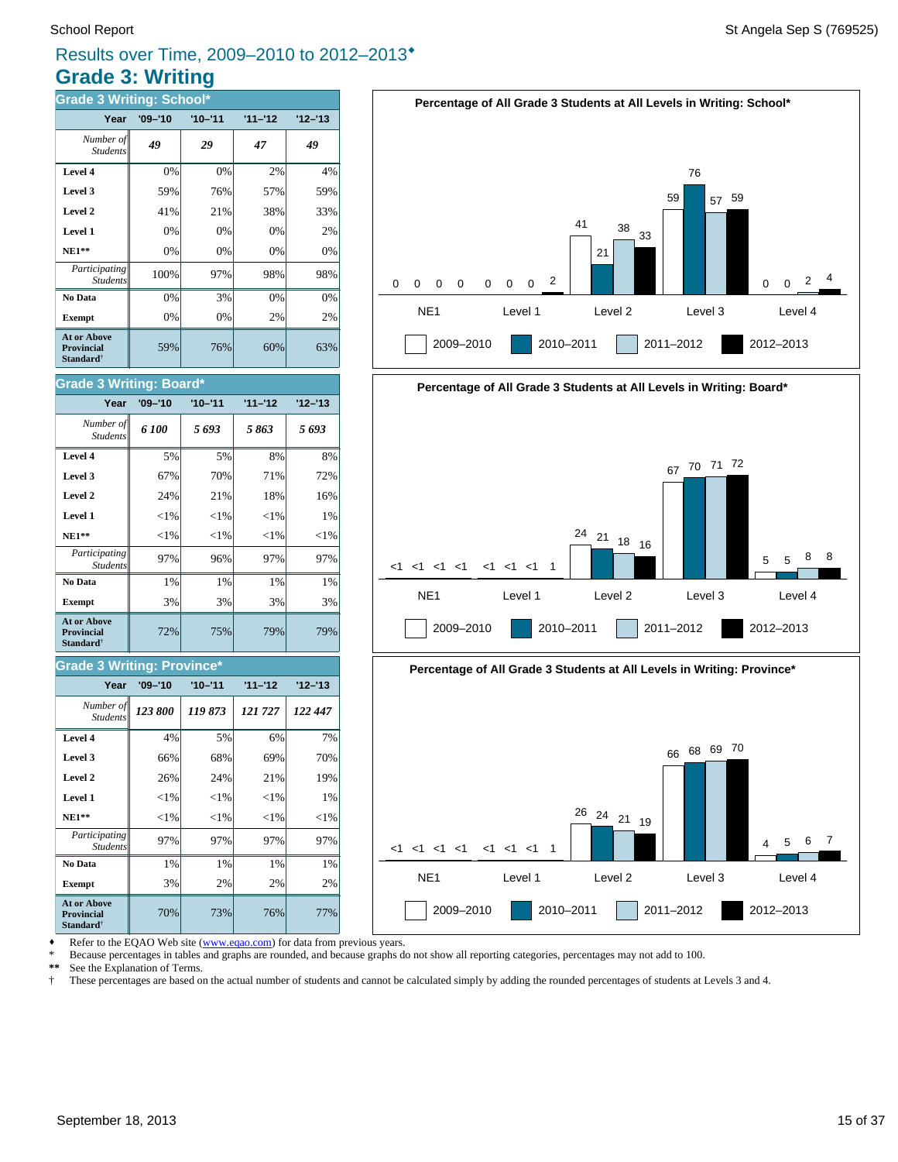# **Grade 3: Writing** Results over Time, 2009–2010 to 2012–2013®

| <b>Grade 3 Writing: School*</b>                                         |             |             |           |           |  |  |  |
|-------------------------------------------------------------------------|-------------|-------------|-----------|-----------|--|--|--|
| Year                                                                    | $'09 - '10$ | $'10 - '11$ | $11 - 12$ | $12 - 13$ |  |  |  |
| Number of<br><b>Students</b>                                            | 49          | 29          | 47        | 49        |  |  |  |
| Level 4                                                                 | 0%          | 0%          | 2%        | 4%        |  |  |  |
| Level 3                                                                 | 59%         | 76%         | 57%       | 59%       |  |  |  |
| Level 2                                                                 | 41%         | 21%         | 38%       | 33%       |  |  |  |
| Level 1                                                                 | 0%          | 0%          | 0%        | 2%        |  |  |  |
| $NE1**$                                                                 | 0%          | 0%          | 0%        | 0%        |  |  |  |
| Participating<br><b>Students</b>                                        | 100%        | 97%         | 98%       | 98%       |  |  |  |
| No Data                                                                 | 0%          | 3%          | 0%        | 0%        |  |  |  |
| <b>Exempt</b>                                                           | 0%          | 0%          | 2%        | 2%        |  |  |  |
| <b>At or Above</b><br><b>Provincial</b><br><b>Standard</b> <sup>†</sup> | 59%         | 76%         | 60%       | 63%       |  |  |  |

#### **Grade 3 Writing: Board\***

| Year                                                             | $'09 - '10$ | $'10 - '11$ | $11 - 12$ | $'12 - 13$ |
|------------------------------------------------------------------|-------------|-------------|-----------|------------|
| Number of<br><b>Students</b>                                     | 6 100       | 5693        | 5863      | 5 693      |
| Level 4                                                          | 5%          | 5%          | 8%        | 8%         |
| Level 3                                                          | 67%         | 70%         | 71%       | 72%        |
| Level 2                                                          | 24%         | 21%         | 18%       | 16%        |
| Level 1                                                          | ${<}1\%$    | ${<}1\%$    | ${<}1\%$  | 1%         |
| $NE1**$                                                          | ${<}1\%$    | ${<}1\%$    | ${<}1\%$  | ${<}1\%$   |
| Participating<br><b>Students</b>                                 | 97%         | 96%         | 97%       | 97%        |
| No Data                                                          | 1%          | 1%          | 1%        | 1%         |
| <b>Exempt</b>                                                    | 3%          | 3%          | 3%        | 3%         |
| <b>At or Above</b><br><b>Provincial</b><br>Standard <sup>†</sup> | 72%         | 75%         | 79%       | 79%        |

#### **Grade 3 Writing: Province\***

| Year                                                                    | $'09 - '10$ | $'10 - '11$ | $11 - 12$ | $12 - 13$ |
|-------------------------------------------------------------------------|-------------|-------------|-----------|-----------|
| Number of<br><b>Students</b>                                            | 123 800     | 119873      | 121727    | 122 447   |
| Level 4                                                                 | 4%          | 5%          | 6%        | 7%        |
| Level 3                                                                 | 66%         | 68%         | 69%       | 70%       |
| Level 2                                                                 | 26%         | 24%         | 21%       | 19%       |
| Level 1                                                                 | $< 1\%$     | ${<}1\%$    | ${<}1\%$  | 1%        |
| $NE1**$                                                                 | $<$ 1%      | $<$ 1%      | ${<}1\%$  | ${<}1\%$  |
| Participating<br><b>Students</b>                                        | 97%         | 97%         | 97%       | 97%       |
| No Data                                                                 | 1%          | 1%          | 1%        | 1%        |
| <b>Exempt</b>                                                           | 3%          | 2%          | 2%        | 2%        |
| <b>At or Above</b><br><b>Provincial</b><br><b>Standard</b> <sup>†</sup> | 70%         | 73%         | 76%       | 77%       |





Refer to the EQAO Web site (www.eqao.com) for data from previous years.

\* Because percentages in tables and graphs are rounded, and because graphs do not show all reporting categories, percentages may not add to 100.

\*\* See the Explanation of Terms.<br><sup>†</sup> These percentages are based o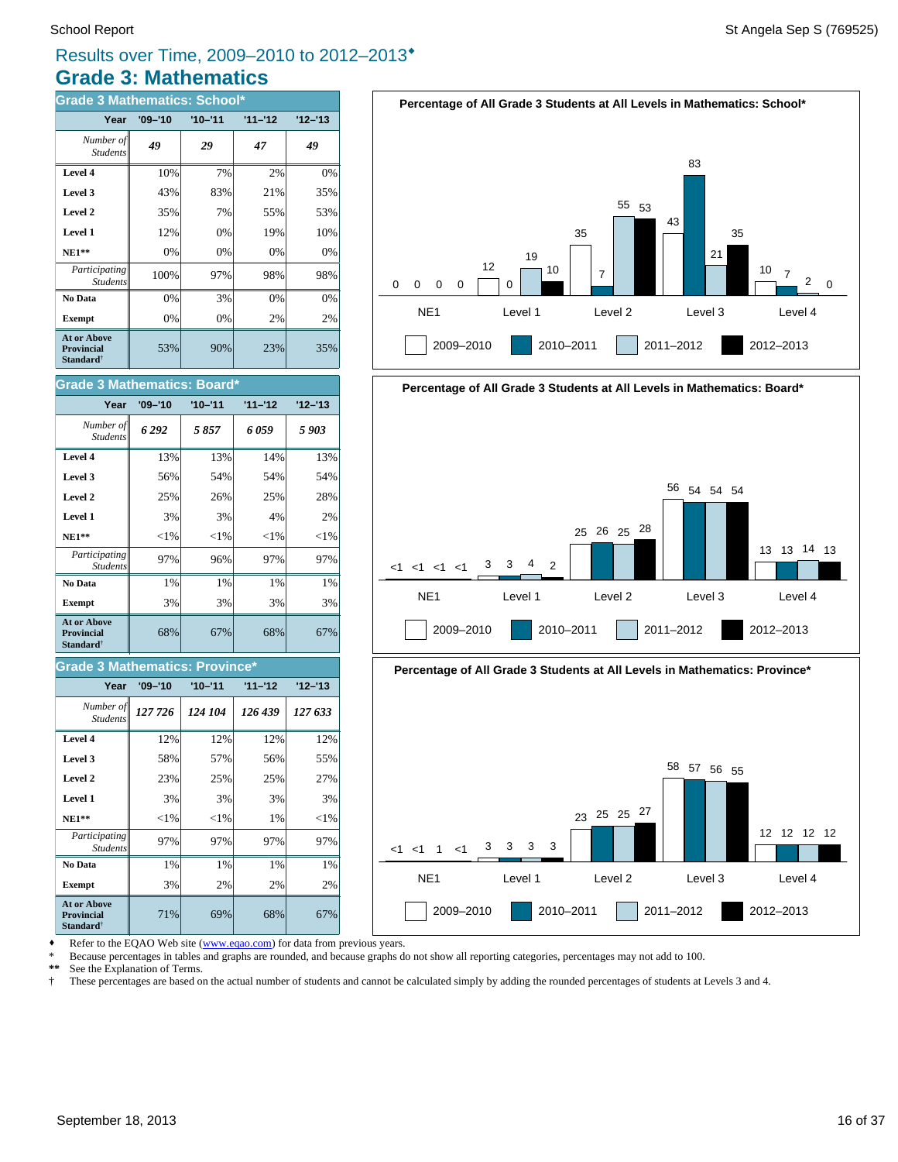# **Grade 3: Mathematics** Results over Time, 2009–2010 to 2012–2013®

| <b>Grade 3 Mathematics: School*</b>                                     |             |             |           |           |  |
|-------------------------------------------------------------------------|-------------|-------------|-----------|-----------|--|
| Year                                                                    | $'09 - '10$ | $'10 - '11$ | $11 - 12$ | $12 - 13$ |  |
| Number of<br><b>Students</b>                                            | 49          | 29          | 47        | 49        |  |
| Level 4                                                                 | 10%         | 7%          | 2%        | 0%        |  |
| Level 3                                                                 | 43%         | 83%         | 21%       | 35%       |  |
| Level 2                                                                 | 35%         | 7%          | 55%       | 53%       |  |
| Level 1                                                                 | 12%         | 0%          | 19%       | 10%       |  |
| $NE1**$                                                                 | 0%          | $0\%$       | 0%        | 0%        |  |
| <i>Participating</i><br><b>Students</b>                                 | 100%        | 97%         | 98%       | 98%       |  |
| No Data                                                                 | 0%          | 3%          | 0%        | 0%        |  |
| <b>Exempt</b>                                                           | 0%          | 0%          | 2%        | 2%        |  |
| <b>At or Above</b><br><b>Provincial</b><br><b>Standard</b> <sup>†</sup> | 53%         | 90%         | 23%       | 35%       |  |



#### **Grade 3 Mathematics: Province\***

| Year                                                                    | $'09 - '10$ | $'10 - '11$ | $11 - 12$ | $12 - 13$ |
|-------------------------------------------------------------------------|-------------|-------------|-----------|-----------|
| Number of<br><b>Students</b>                                            | 127 726     | 124 104     | 126 439   | 127 633   |
| Level 4                                                                 | 12%         | 12%         | 12%       | 12%       |
| Level 3                                                                 | 58%         | 57%         | 56%       | 55%       |
| Level 2                                                                 | 23%         | 25%         | 25%       | 27%       |
| Level 1                                                                 | 3%          | 3%          | 3%        | 3%        |
| $NE1**$                                                                 | ${<}1\%$    | ${<}1\%$    | 1%        | ${<}1\%$  |
| Participating<br><b>Students</b>                                        | 97%         | 97%         | 97%       | 97%       |
| No Data                                                                 | 1%          | 1%          | 1%        | 1%        |
| <b>Exempt</b>                                                           | 3%          | 2%          | 2%        | 2%        |
| <b>At or Above</b><br><b>Provincial</b><br><b>Standard</b> <sup>†</sup> | 71%         | 69%         | 68%       | 67%       |











Refer to the EQAO Web site (www.eqao.com) for data from previous years.

\* Because percentages in tables and graphs are rounded, and because graphs do not show all reporting categories, percentages may not add to 100.

\*\* See the Explanation of Terms.<br>
<sup>†</sup> These percentages are based on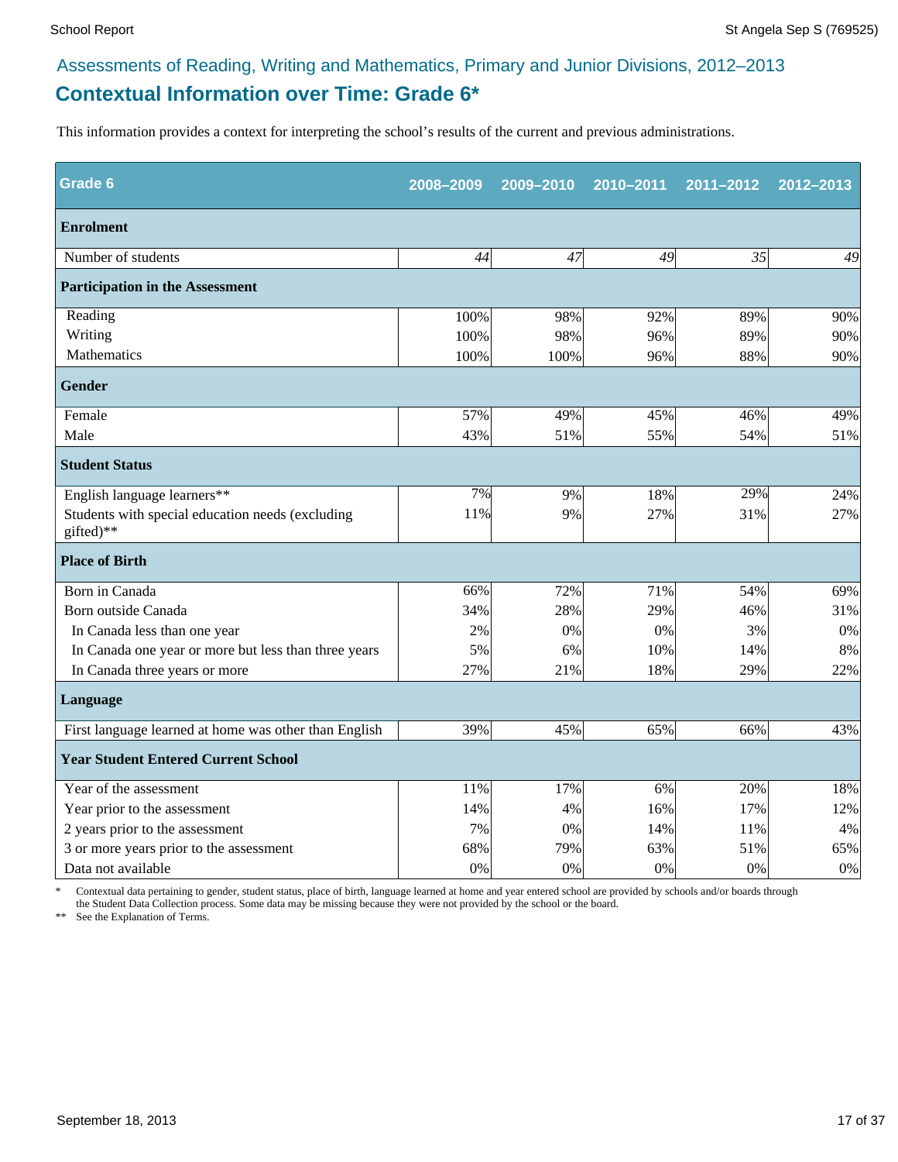# **Contextual Information over Time: Grade 6\***

This information provides a context for interpreting the school's results of the current and previous administrations.

| <b>Grade 6</b>                                                | 2008-2009 | 2009-2010 | 2010-2011 | 2011-2012 | 2012-2013 |
|---------------------------------------------------------------|-----------|-----------|-----------|-----------|-----------|
| <b>Enrolment</b>                                              |           |           |           |           |           |
| Number of students                                            | 44        | 47        | 49        | 35        | 49        |
| <b>Participation in the Assessment</b>                        |           |           |           |           |           |
| Reading                                                       | 100%      | 98%       | 92%       | 89%       | 90%       |
| Writing                                                       | 100%      | 98%       | 96%       | 89%       | 90%       |
| Mathematics                                                   | 100%      | 100%      | 96%       | 88%       | 90%       |
| <b>Gender</b>                                                 |           |           |           |           |           |
| Female                                                        | 57%       | 49%       | 45%       | 46%       | 49%       |
| Male                                                          | 43%       | 51%       | 55%       | 54%       | 51%       |
| <b>Student Status</b>                                         |           |           |           |           |           |
| English language learners**                                   | 7%        | 9%        | 18%       | 29%       | 24%       |
| Students with special education needs (excluding<br>gifted)** | 11%       | 9%        | 27%       | 31%       | 27%       |
| <b>Place of Birth</b>                                         |           |           |           |           |           |
| Born in Canada                                                | 66%       | 72%       | 71%       | 54%       | 69%       |
| Born outside Canada                                           | 34%       | 28%       | 29%       | 46%       | 31%       |
| In Canada less than one year                                  | 2%        | 0%        | 0%        | 3%        | 0%        |
| In Canada one year or more but less than three years          | 5%        | 6%        | 10%       | 14%       | 8%        |
| In Canada three years or more                                 | 27%       | 21%       | 18%       | 29%       | 22%       |
| Language                                                      |           |           |           |           |           |
| First language learned at home was other than English         | 39%       | 45%       | 65%       | 66%       | 43%       |
| <b>Year Student Entered Current School</b>                    |           |           |           |           |           |
| Year of the assessment                                        | 11%       | 17%       | 6%        | 20%       | 18%       |
| Year prior to the assessment                                  | 14%       | 4%        | 16%       | 17%       | 12%       |
| 2 years prior to the assessment                               | 7%        | 0%        | 14%       | 11%       | 4%        |
| 3 or more years prior to the assessment                       | 68%       | 79%       | 63%       | 51%       | 65%       |
| Data not available                                            | 0%        | 0%        | 0%        | 0%        | $0\%$     |

\* Contextual data pertaining to gender, student status, place of birth, language learned at home and year entered school are provided by schools and/or boards through the Student Data Collection process. Some data may be missing because they were not provided by the school or the board.

\*\* See the Explanation of Terms.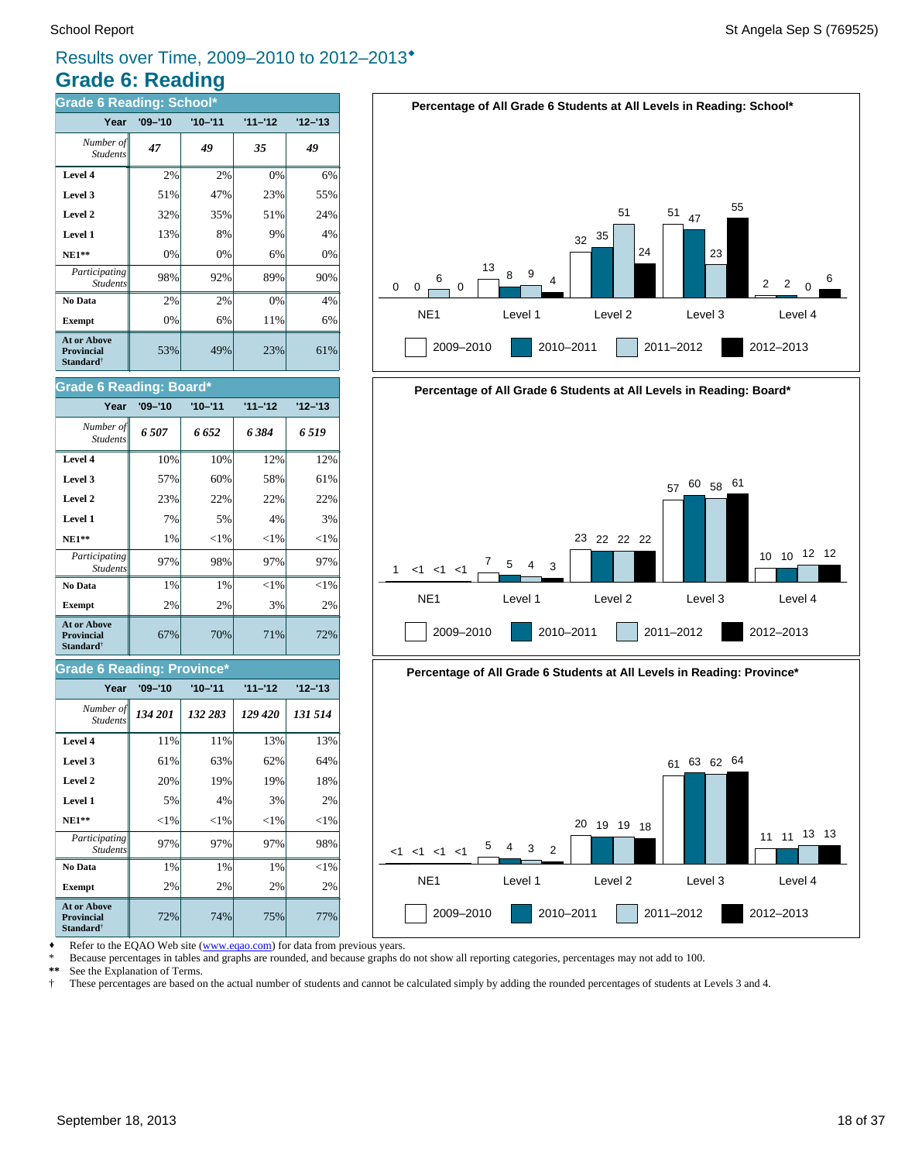# **Grade 6: Reading** Results over Time, 2009–2010 to 2012–2013®

| <b>Grade 6 Reading: School*</b>                                  |             |             |           |           |  |
|------------------------------------------------------------------|-------------|-------------|-----------|-----------|--|
| Year                                                             | $'09 - '10$ | $'10 - '11$ | $11 - 12$ | $12 - 13$ |  |
| Number of<br><b>Students</b>                                     | 47          | 49          | 35        | 49        |  |
| Level 4                                                          | 2%          | 2%          | 0%        | 6%        |  |
| Level 3                                                          | 51%         | 47%         | 23%       | 55%       |  |
| Level 2                                                          | 32%         | 35%         | 51%       | 24%       |  |
| Level 1                                                          | 13%         | 8%          | 9%        | 4%        |  |
| $NE1**$                                                          | 0%          | 0%          | 6%        | 0%        |  |
| Participating<br><b>Students</b>                                 | 98%         | 92%         | 89%       | 90%       |  |
| No Data                                                          | 2%          | 2%          | 0%        | 4%        |  |
| <b>Exempt</b>                                                    | 0%          | 6%          | 11%       | 6%        |  |
| At or Above<br><b>Provincial</b><br><b>Standard</b> <sup>†</sup> | 53%         | 49%         | 23%       | 61%       |  |

| Grade 6 Reading: Board*                                   |             |             |           |           |  |
|-----------------------------------------------------------|-------------|-------------|-----------|-----------|--|
| Year                                                      | $'09 - '10$ | $'10 - '11$ | $11 - 12$ | $12 - 13$ |  |
| Number of<br><b>Students</b>                              | 6507        | 6 652       | 6 384     | 6 5 19    |  |
| Level 4                                                   | 10%         | 10%         | 12%       | 12%       |  |
| Level 3                                                   | 57%         | 60%         | 58%       | 61%       |  |
| Level 2                                                   | 23%         | 22%         | 22%       | 22%       |  |
| Level 1                                                   | 7%          | 5%          | 4%        | 3%        |  |
| $NE1**$                                                   | 1%          | ${<}1\%$    | $<$ 1%    | ${<}1\%$  |  |
| Participating<br><b>Students</b>                          | 97%         | 98%         | 97%       | 97%       |  |
| No Data                                                   | 1%          | 1%          | ${<}1\%$  | ${<}1\%$  |  |
| <b>Exempt</b>                                             | 2%          | 2%          | 3%        | 2%        |  |
| <b>At or Above</b><br>Provincial<br>Standard <sup>†</sup> | 67%         | 70%         | 71%       | 72%       |  |

#### **Grade 6 Reading: Province\***

| Year                                                                    | $'09 - '10$ | $'10 - '11$ | $11 - 12$ | $12 - 13$ |
|-------------------------------------------------------------------------|-------------|-------------|-----------|-----------|
| Number of<br><b>Students</b>                                            | 134 201     | 132 283     | 129 420   | 131 514   |
| Level 4                                                                 | 11%         | 11%         | 13%       | 13%       |
| Level 3                                                                 | 61%         | 63%         | 62%       | 64%       |
| Level 2                                                                 | 20%         | 19%         | 19%       | 18%       |
| Level 1                                                                 | 5%          | 4%          | 3%        | 2%        |
| $NE1**$                                                                 | ${<}1\%$    | ${<}1\%$    | ${<}1\%$  | ${<}1\%$  |
| Participating<br><b>Students</b>                                        | 97%         | 97%         | 97%       | 98%       |
| No Data                                                                 | 1%          | 1%          | 1%        | $<$ 1%    |
| <b>Exempt</b>                                                           | 2%          | 2%          | 2%        | 2%        |
| <b>At or Above</b><br><b>Provincial</b><br><b>Standard</b> <sup>†</sup> | 72%         | 74%         | 75%       | 77%       |







• Refer to the EQAO Web site (www.eqao.com) for data from previous years.

\* Because percentages in tables and graphs are rounded, and because graphs do not show all reporting categories, percentages may not add to 100.

\*\* See the Explanation of Terms.<br><sup>†</sup> These percentages are based on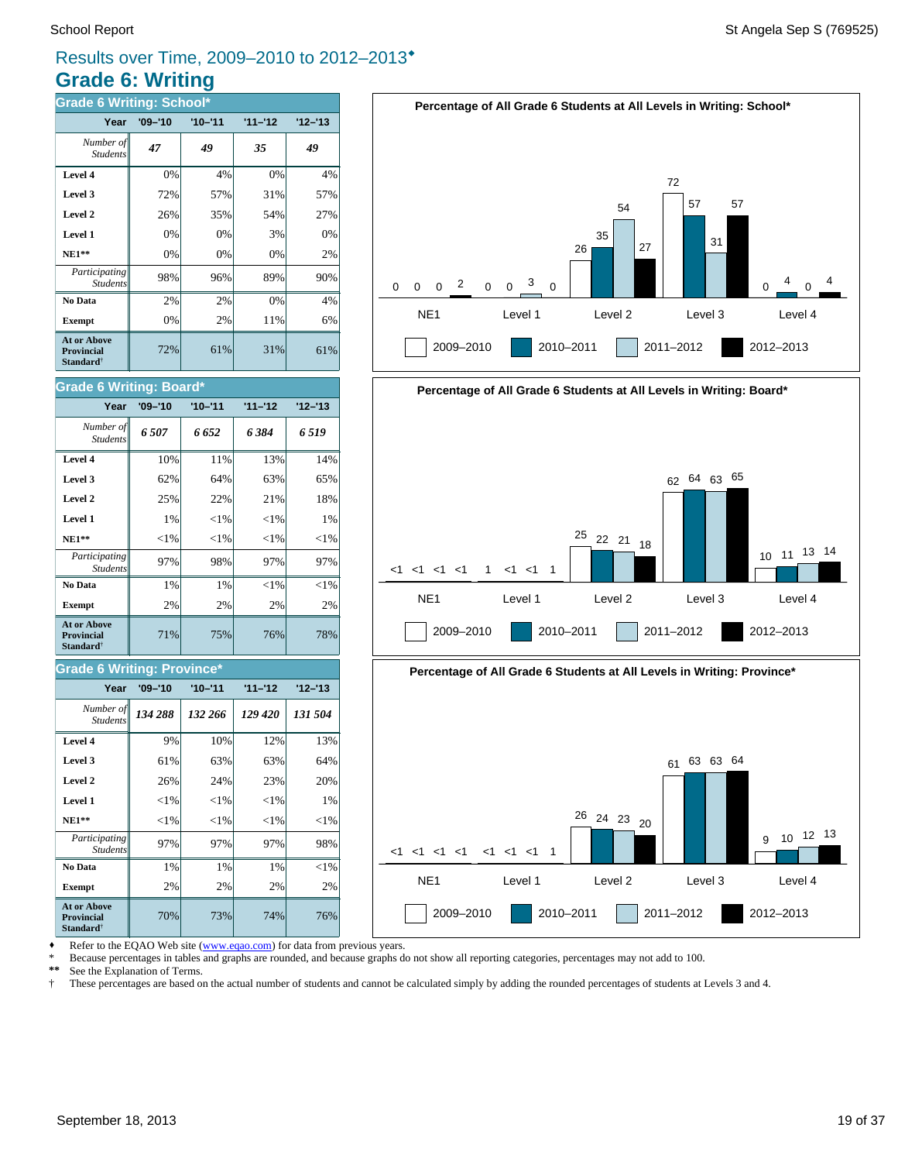# **Grade 6: Writing** Results over Time, 2009–2010 to 2012–2013<sup>\*</sup>

| <b>Grade 6 Writing: School*</b>                                  |             |             |           |           |  |
|------------------------------------------------------------------|-------------|-------------|-----------|-----------|--|
| Year                                                             | $'09 - '10$ | $'10 - '11$ | $11 - 12$ | $12 - 13$ |  |
| Number of<br><b>Students</b>                                     | 47          | 49          | 35        | 49        |  |
| Level 4                                                          | 0%          | 4%          | 0%        | 4%        |  |
| Level 3                                                          | 72%         | 57%         | 31%       | 57%       |  |
| Level 2                                                          | 26%         | 35%         | 54%       | 27%       |  |
| Level 1                                                          | 0%          | 0%          | 3%        | 0%        |  |
| $NE1**$                                                          | 0%          | 0%          | 0%        | 2%        |  |
| Participating<br><b>Students</b>                                 | 98%         | 96%         | 89%       | 90%       |  |
| No Data                                                          | 2%          | 2%          | 0%        | 4%        |  |
| <b>Exempt</b>                                                    | 0%          | 2%          | 11%       | 6%        |  |
| <b>At or Above</b><br><b>Provincial</b><br>Standard <sup>†</sup> | 72%         | 61%         | 31%       | 61%       |  |

#### 71% 75% 76% 78% **Exempt** 2% 2% 2% 2% 2%  **No Data** 1% 1% <1% <1%  $Participating \sim 97\%$  98% 97% 97% 97% Students **NE1\*\***  $\| \le 1\% \| \le 1\% \| \le 1\% \| \le 1\%$  **Level 1** 1% <1% <1% 1% **Level 2**  $\begin{array}{|c|c|c|c|c|} \hline \end{array}$  25% 22% 21% 21% 21% **Level 3**  $\begin{vmatrix} 62\% & 64\% \end{vmatrix}$  63% 65% **Level 4** 10% 11% 13% 13% 14% *6 507 6 652 6 384 6 519 Number of Students* **Year '09–'10 '10–'11 '11–'12 '12–'13 Grade 6 Writing: Board\* At or Above Provincial Standard**†

#### **Grade 6 Writing: Province\***

| Year                                                                    | $'09 - '10$ | $'10 - '11$ | $11 - 12$ | $12 - 13$ |
|-------------------------------------------------------------------------|-------------|-------------|-----------|-----------|
| Number of<br><b>Students</b>                                            | 134 288     | 132 266     | 129 420   | 131 504   |
| Level 4                                                                 | 9%          | 10%         | 12%       | 13%       |
| Level 3                                                                 | 61%         | 63%         | 63%       | 64%       |
| Level 2                                                                 | 26%         | 24%         | 23%       | 20%       |
| Level 1                                                                 | ${<}1\%$    | ${<}1\%$    | ${<}1\%$  | 1%        |
| $NE1**$                                                                 | ${<}1\%$    | $<$ 1%      | ${<}1\%$  | ${<}1\%$  |
| <i>Participating</i><br><b>Students</b>                                 | 97%         | 97%         | 97%       | 98%       |
| No Data                                                                 | 1%          | 1%          | 1%        | $<$ 1%    |
| <b>Exempt</b>                                                           | 2%          | 2%          | 2%        | 2%        |
| <b>At or Above</b><br><b>Provincial</b><br><b>Standard</b> <sup>†</sup> | 70%         | 73%         | 74%       | 76%       |





NE1 Level 1 Level 2 Level 3 Level 4

Refer to the EQAO Web site (www.eqao.com) for data from previous years.

\* Because percentages in tables and graphs are rounded, and because graphs do not show all reporting categories, percentages may not add to 100.

\*\* See the Explanation of Terms.<br><sup>†</sup> These percentages are based on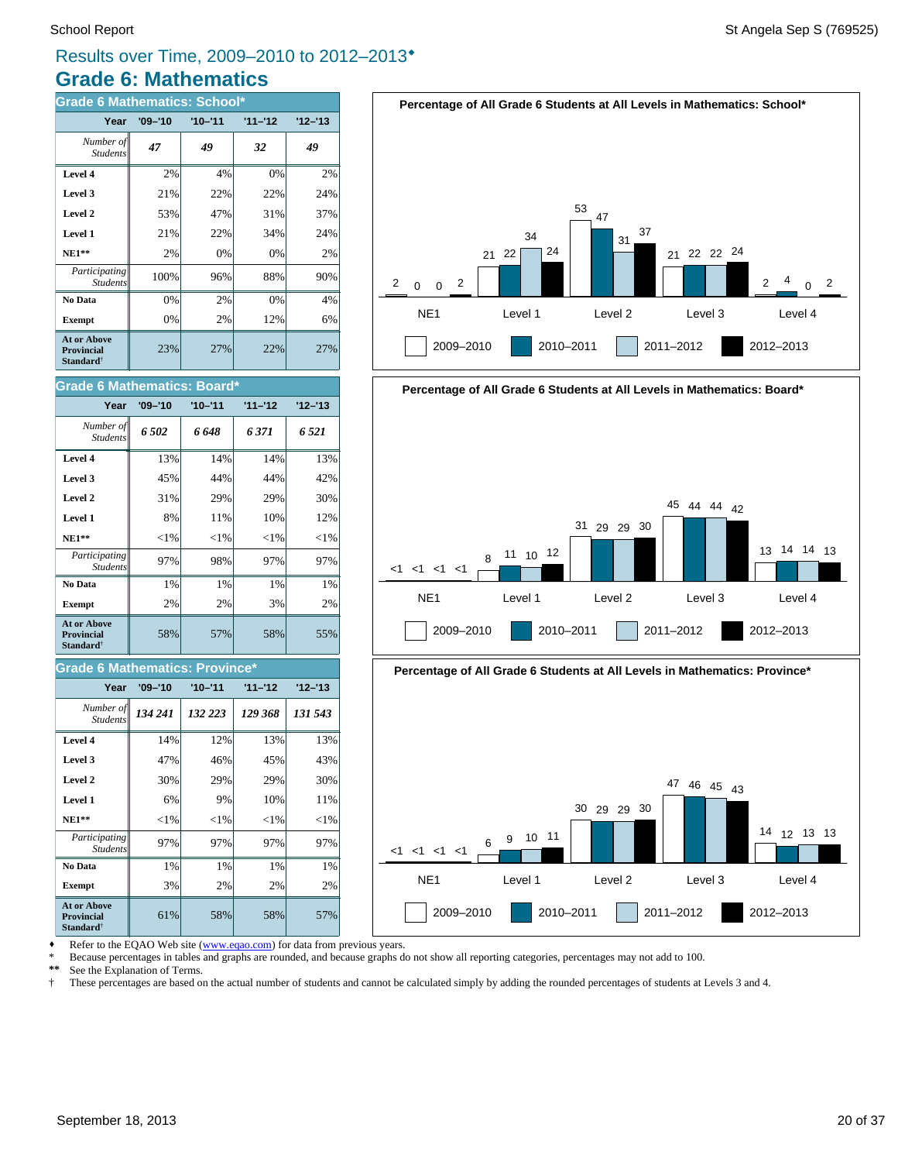# **Grade 6: Mathematics** Results over Time, 2009–2010 to 2012–2013<sup>\*</sup>

| <b>Grade 6 Mathematics: School*</b>                                     |             |             |           |           |
|-------------------------------------------------------------------------|-------------|-------------|-----------|-----------|
| Year                                                                    | $'09 - '10$ | $'10 - '11$ | $11 - 12$ | $12 - 13$ |
| Number of<br><b>Students</b>                                            | 47          | 49          | 32        | 49        |
| Level 4                                                                 | 2%          | 4%          | 0%        | 2%        |
| Level 3                                                                 | 21%         | 22%         | 22%       | 24%       |
| Level 2                                                                 | 53%         | 47%         | 31%       | 37%       |
| Level 1                                                                 | 21%         | 22%         | 34%       | 24%       |
| $NE1**$                                                                 | 2%          | 0%          | 0%        | 2%        |
| Participating<br><b>Students</b>                                        | 100%        | 96%         | 88%       | 90%       |
| No Data                                                                 | 0%          | 2%          | 0%        | 4%        |
| <b>Exempt</b>                                                           | 0%          | 2%          | 12%       | 6%        |
| <b>At or Above</b><br><b>Provincial</b><br><b>Standard</b> <sup>†</sup> | 23%         | 27%         | 22%       | 27%       |

| <b>Grade 6 Mathematics: Board*</b>                                      |             |             |           |           |  |
|-------------------------------------------------------------------------|-------------|-------------|-----------|-----------|--|
| Year                                                                    | $'09 - '10$ | $'10 - '11$ | $11 - 12$ | $12 - 13$ |  |
| Number of<br><b>Students</b>                                            | 6.502       | 6 648       | 6371      | 6 521     |  |
| Level 4                                                                 | 13%         | 14%         | 14%       | 13%       |  |
| Level 3                                                                 | 45%         | 44%         | 44%       | 42%       |  |
| Level 2                                                                 | 31%         | 29%         | 29%       | 30%       |  |
| Level 1                                                                 | 8%          | 11%         | 10%       | 12%       |  |
| $NE1**$                                                                 | ${<}1\%$    | ${<}1\%$    | ${<}1\%$  | ${<}1\%$  |  |
| Participating<br><b>Students</b>                                        | 97%         | 98%         | 97%       | 97%       |  |
| No Data                                                                 | 1%          | 1%          | 1%        | 1%        |  |
| <b>Exempt</b>                                                           | 2%          | 2%          | 3%        | 2%        |  |
| <b>At or Above</b><br><b>Provincial</b><br><b>Standard</b> <sup>†</sup> | 58%         | 57%         | 58%       | 55%       |  |

#### **Grade 6 Mathematics: Province\***

| Year                                                                    | $'09 - '10$ | $'10 - '11$ | $11 - 12$ | $12 - 13$ |
|-------------------------------------------------------------------------|-------------|-------------|-----------|-----------|
| Number of<br><b>Students</b>                                            | 134 241     | 132 223     | 129 368   | 131 543   |
| Level 4                                                                 | 14%         | 12%         | 13%       | 13%       |
| Level 3                                                                 | 47%         | 46%         | 45%       | 43%       |
| Level 2                                                                 | 30%         | 29%         | 29%       | 30%       |
| Level 1                                                                 | 6%          | 9%          | 10%       | 11%       |
| $NE1**$                                                                 | $<$ 1%      | ${<}1\%$    | ${<}1\%$  | $<$ 1%    |
| Participating<br><b>Students</b>                                        | 97%         | 97%         | 97%       | 97%       |
| No Data                                                                 | 1%          | 1%          | 1%        | 1%        |
| <b>Exempt</b>                                                           | 3%          | 2%          | 2%        | 2%        |
| <b>At or Above</b><br><b>Provincial</b><br><b>Standard</b> <sup>†</sup> | 61%         | 58%         | 58%       | 57%       |







NE1 Level 1 Level 2 Level 3 Level 4

2009–2010 2010–2011 2011–2012 2012–2013

Refer to the EQAO Web site (www.eqao.com) for data from previous years.

\* Because percentages in tables and graphs are rounded, and because graphs do not show all reporting categories, percentages may not add to 100.<br>\*\* See the Explanation of Terms

See the Explanation of Terms.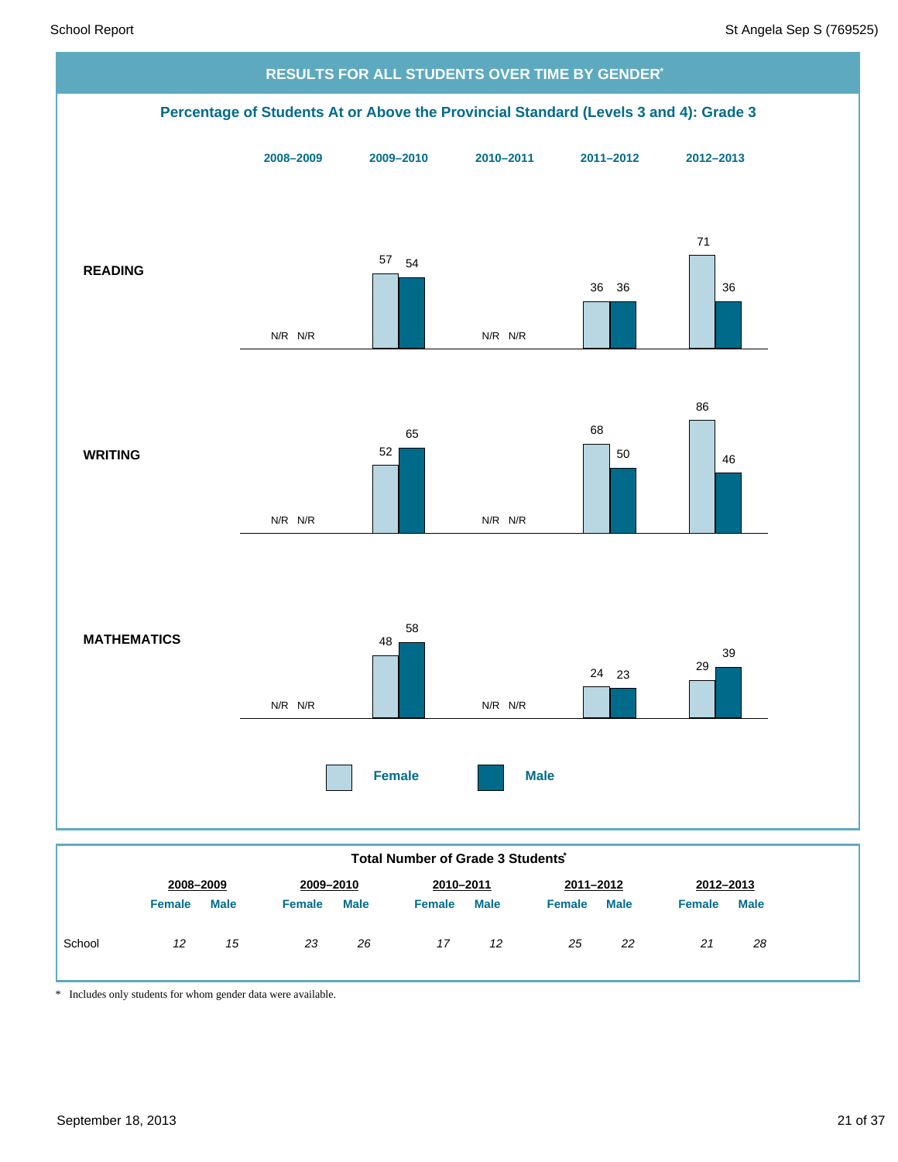

\* Includes only students for whom gender data were available.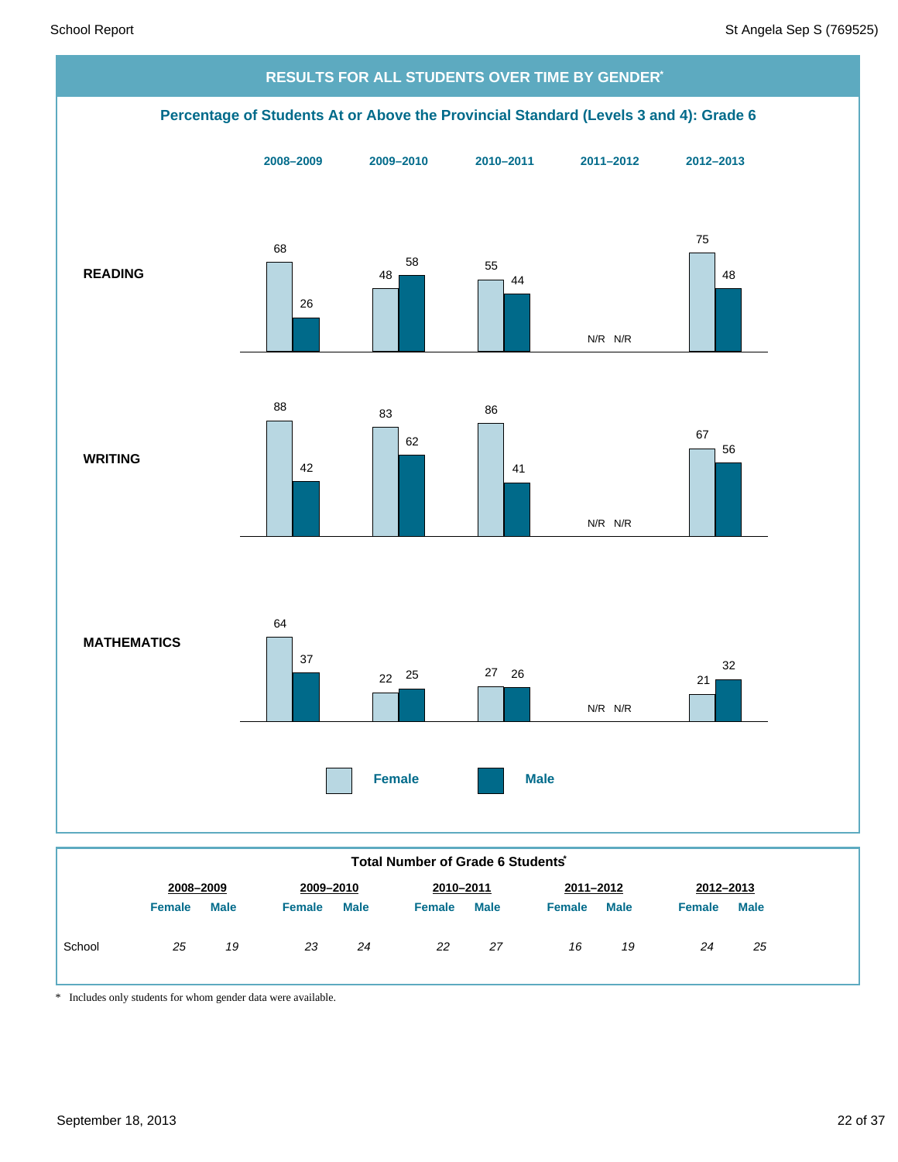

|        | Total number of Grade 6 Students |             |               |             |               |             |               |             |               |             |
|--------|----------------------------------|-------------|---------------|-------------|---------------|-------------|---------------|-------------|---------------|-------------|
|        | 2008-2009                        |             |               | 2009-2010   |               | 2010-2011   | 2011-2012     |             | 2012-2013     |             |
|        | <b>Female</b>                    | <b>Male</b> | <b>Female</b> | <b>Male</b> | <b>Female</b> | <b>Male</b> | <b>Female</b> | <b>Male</b> | <b>Female</b> | <b>Male</b> |
| School | 25                               | 19          | 23            | 24          | 22            | 27          | 16            | 19          | 24            | 25          |

\* Includes only students for whom gender data were available.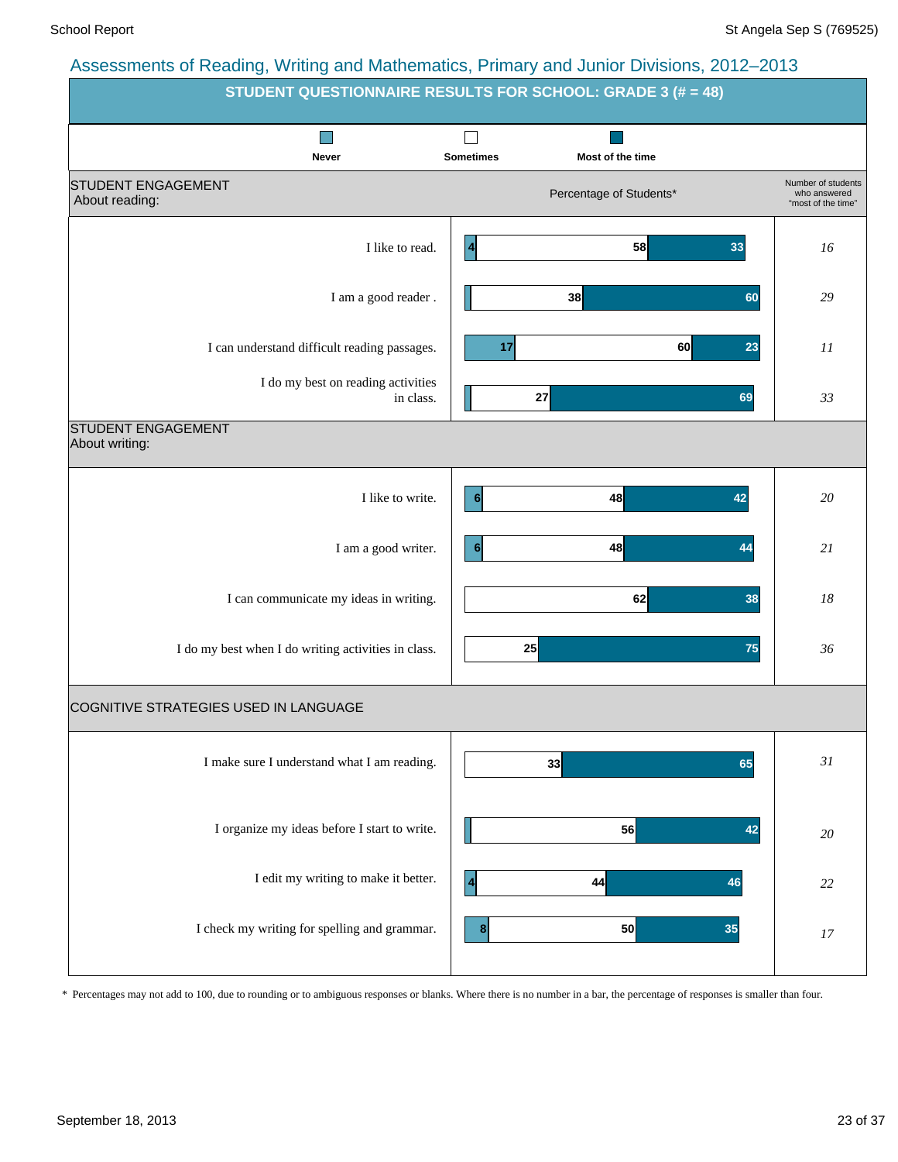| $\frac{1}{2}$ and $\frac{1}{2}$ and $\frac{1}{2}$ and $\frac{1}{2}$ and $\frac{1}{2}$ and $\frac{1}{2}$ and $\frac{1}{2}$ and $\frac{1}{2}$ and $\frac{1}{2}$ and $\frac{1}{2}$ and $\frac{1}{2}$ and $\frac{1}{2}$ and $\frac{1}{2}$ and $\frac{1}{2}$ and $\frac{1}{2}$ and $\frac{1}{2}$ a | <b>STUDENT QUESTIONNAIRE RESULTS FOR SCHOOL: GRADE 3 (# = 48)</b> |                                                          |
|-----------------------------------------------------------------------------------------------------------------------------------------------------------------------------------------------------------------------------------------------------------------------------------------------|-------------------------------------------------------------------|----------------------------------------------------------|
| Never                                                                                                                                                                                                                                                                                         | <b>Sometimes</b><br>Most of the time                              |                                                          |
| <b>STUDENT ENGAGEMENT</b><br>About reading:                                                                                                                                                                                                                                                   | Percentage of Students*                                           | Number of students<br>who answered<br>"most of the time" |
| I like to read.                                                                                                                                                                                                                                                                               | 58<br>33<br>$\vert$ 4                                             | 16                                                       |
| I am a good reader.                                                                                                                                                                                                                                                                           | 38<br>60                                                          | 29                                                       |
| I can understand difficult reading passages.                                                                                                                                                                                                                                                  | 60<br>17<br>23                                                    | 11                                                       |
| I do my best on reading activities<br>in class.                                                                                                                                                                                                                                               | 27<br>69                                                          | 33                                                       |
| <b>STUDENT ENGAGEMENT</b><br>About writing:                                                                                                                                                                                                                                                   |                                                                   |                                                          |
| I like to write.                                                                                                                                                                                                                                                                              | 48<br>42<br>6                                                     | 20                                                       |
| I am a good writer.                                                                                                                                                                                                                                                                           | 48<br>44<br>6                                                     | 21                                                       |
| I can communicate my ideas in writing.                                                                                                                                                                                                                                                        | 62<br>38                                                          | 18                                                       |
| I do my best when I do writing activities in class.                                                                                                                                                                                                                                           | 25<br>75                                                          | 36                                                       |
| COGNITIVE STRATEGIES USED IN LANGUAGE                                                                                                                                                                                                                                                         |                                                                   |                                                          |
| I make sure I understand what I am reading.                                                                                                                                                                                                                                                   | 33<br>65                                                          | 31                                                       |
| I organize my ideas before I start to write.                                                                                                                                                                                                                                                  | 56<br>42                                                          | $20\,$                                                   |
| I edit my writing to make it better.                                                                                                                                                                                                                                                          | 44<br>46<br>  4                                                   | $22\,$                                                   |
| I check my writing for spelling and grammar.                                                                                                                                                                                                                                                  | 50<br>35<br>8 <sup>1</sup>                                        | 17                                                       |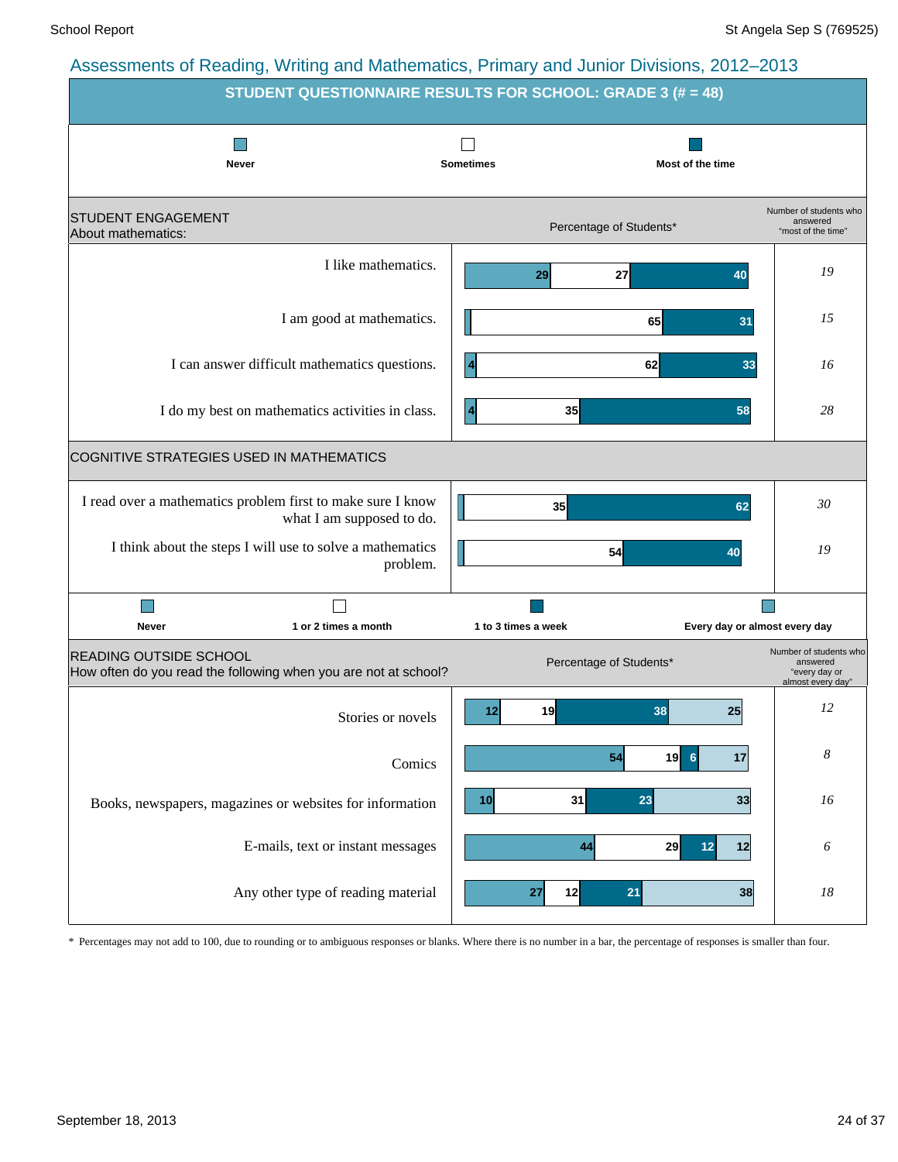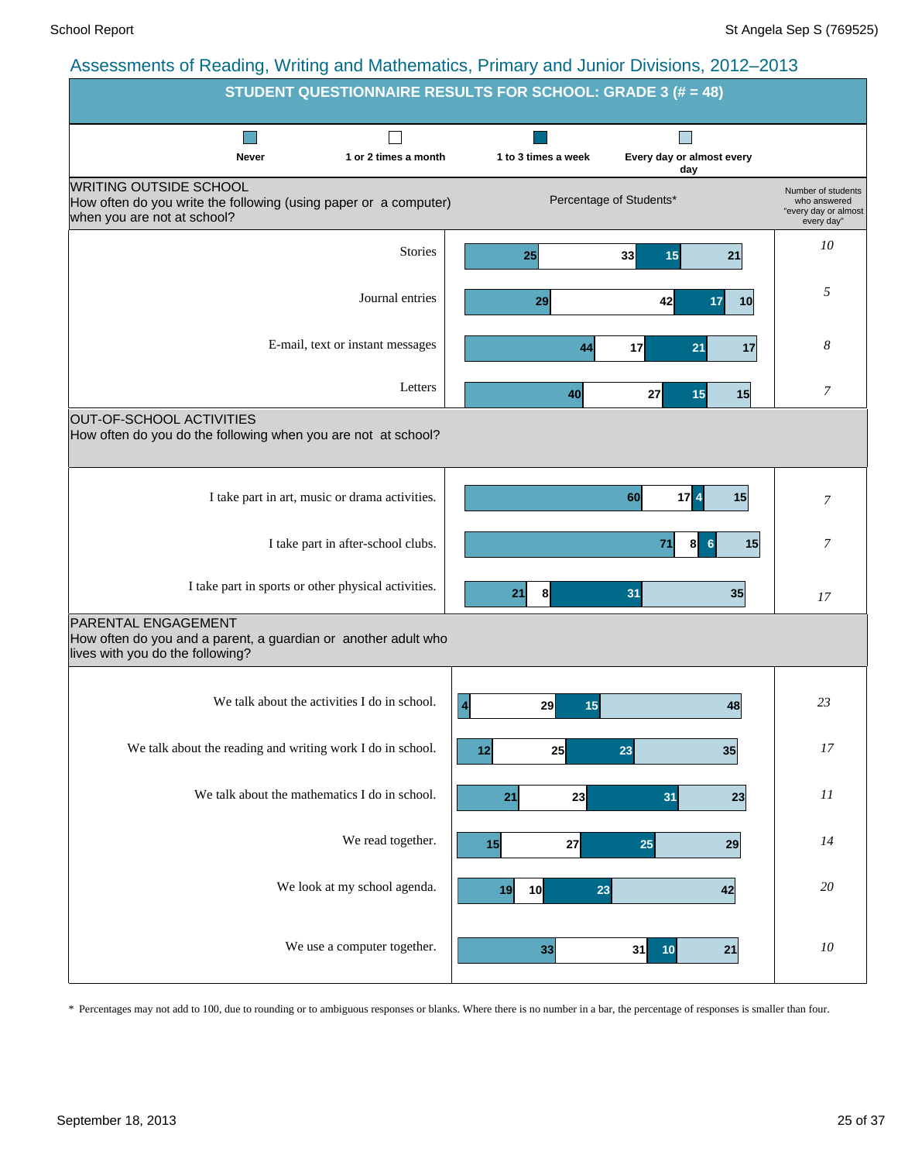|                                                                                                                                  |                                    | STUDENT QUESTIONNAIRE RESULTS FOR SCHOOL: GRADE 3 (# = 48) |                                  |                                                                          |
|----------------------------------------------------------------------------------------------------------------------------------|------------------------------------|------------------------------------------------------------|----------------------------------|--------------------------------------------------------------------------|
| <b>Never</b>                                                                                                                     | 1 or 2 times a month               | 1 to 3 times a week                                        | Every day or almost every<br>day |                                                                          |
| <b>WRITING OUTSIDE SCHOOL</b><br>How often do you write the following (using paper or a computer)<br>when you are not at school? |                                    |                                                            | Percentage of Students*          | Number of students<br>who answered<br>"every day or almost<br>every day" |
|                                                                                                                                  | <b>Stories</b>                     | 25                                                         | 33<br>15<br>21                   | 10                                                                       |
|                                                                                                                                  | Journal entries                    | 29                                                         | 42<br>17<br>10                   | 5                                                                        |
|                                                                                                                                  | E-mail, text or instant messages   | 44                                                         | 17<br>21<br>17                   | 8                                                                        |
|                                                                                                                                  | Letters                            | 40                                                         | 15<br>27<br>15                   | 7                                                                        |
| OUT-OF-SCHOOL ACTIVITIES<br>How often do you do the following when you are not at school?                                        |                                    |                                                            |                                  |                                                                          |
| I take part in art, music or drama activities.                                                                                   |                                    |                                                            | 60<br>17 <sup>2</sup><br>15      | 7                                                                        |
|                                                                                                                                  | I take part in after-school clubs. |                                                            | 8<br>15<br>71<br>6               | 7                                                                        |
| I take part in sports or other physical activities.                                                                              |                                    | 8<br>21                                                    | 31<br>35                         | 17                                                                       |
| PARENTAL ENGAGEMENT<br>How often do you and a parent, a guardian or another adult who<br>lives with you do the following?        |                                    |                                                            |                                  |                                                                          |
| We talk about the activities I do in school.                                                                                     |                                    | $\overline{4}$<br>29<br>15                                 | 48                               | 23                                                                       |
| We talk about the reading and writing work I do in school.                                                                       |                                    | 25<br>12                                                   | 23<br>35                         | 17                                                                       |
| We talk about the mathematics I do in school.                                                                                    |                                    | 23<br>21                                                   | 31<br>23                         | 11                                                                       |
|                                                                                                                                  | We read together.                  | 27<br>15                                                   | 25<br>29                         | 14                                                                       |
|                                                                                                                                  | We look at my school agenda.       | 10<br>19<br>23                                             | 42                               | $20\,$                                                                   |
|                                                                                                                                  | We use a computer together.        | 33                                                         | 31<br>10<br>21                   | ${\it 10}$                                                               |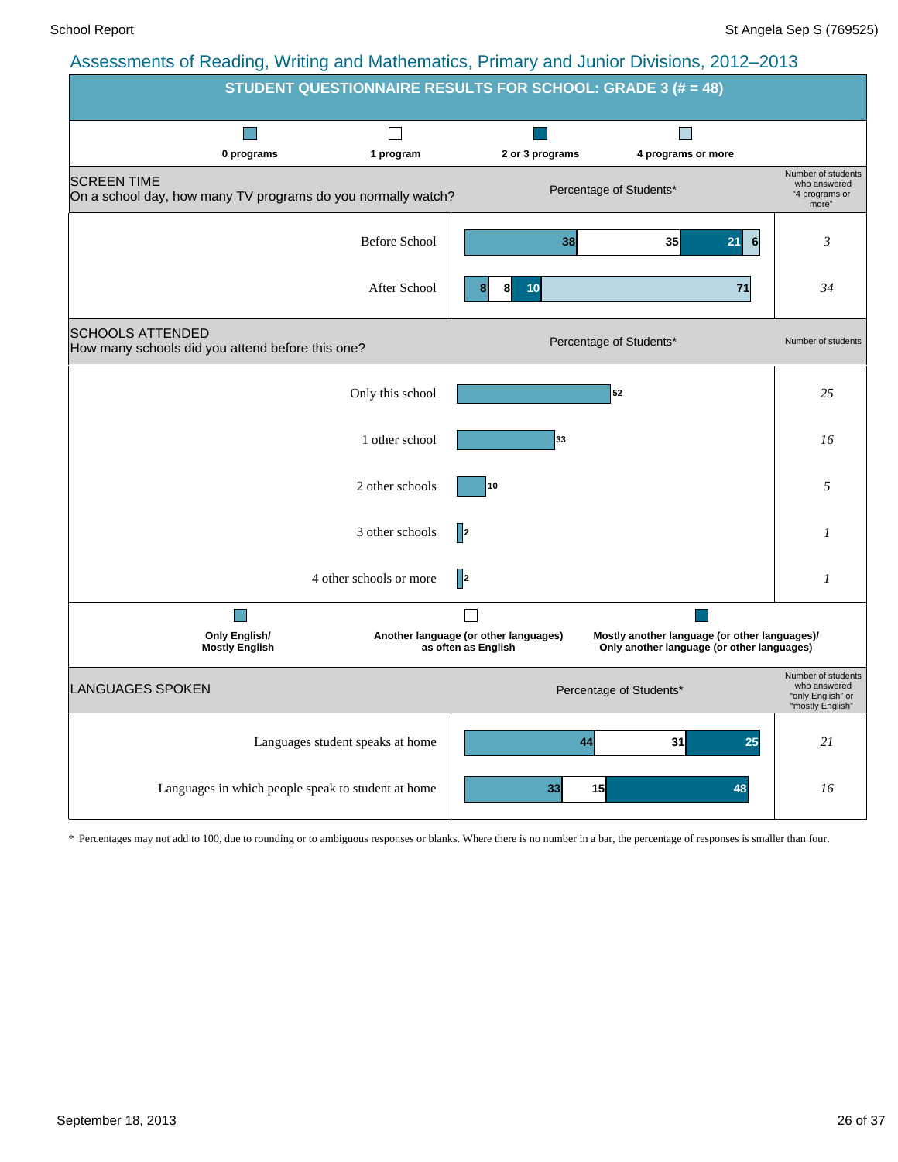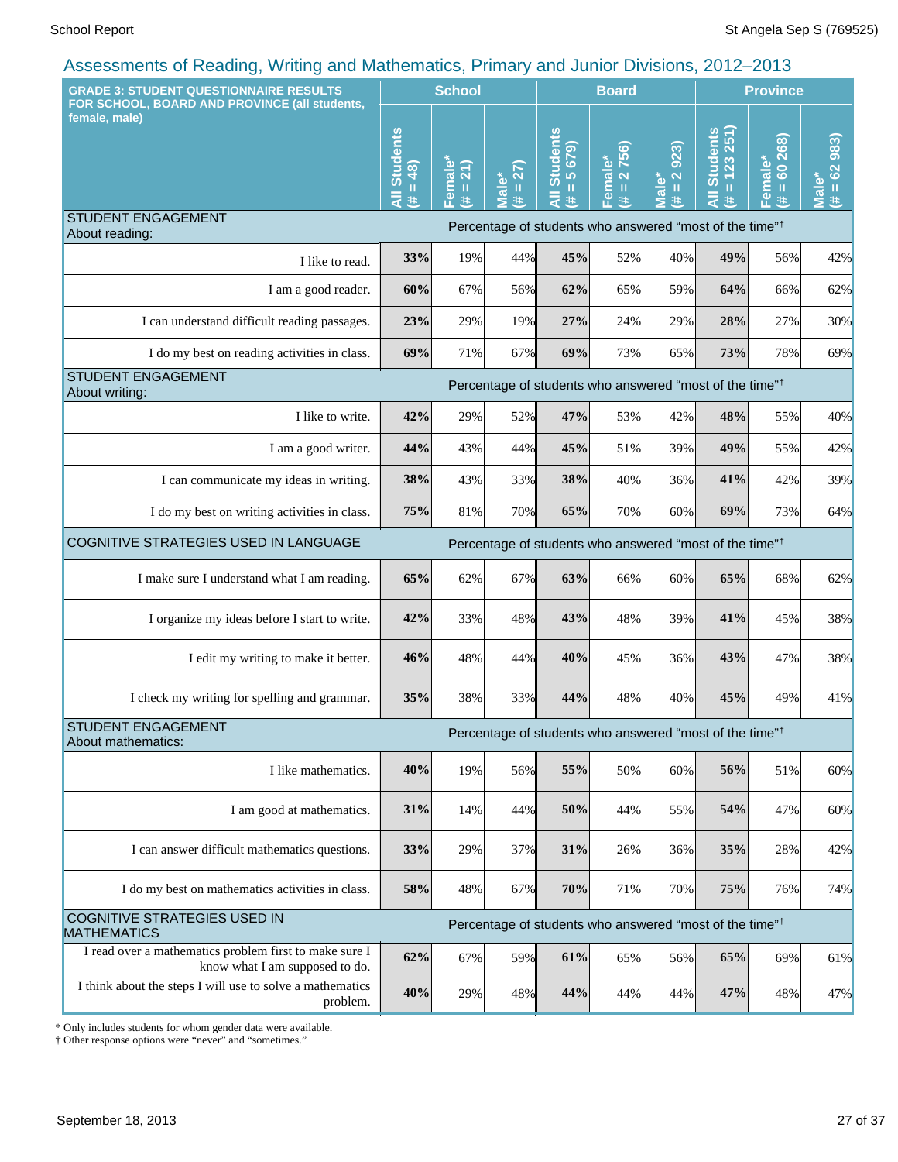| <b>GRADE 3: STUDENT QUESTIONNAIRE RESULTS</b><br>FOR SCHOOL, BOARD AND PROVINCE (all students, | <b>School</b>               |                     |                      | <b>Board</b>                           |                                                 |                          | <b>Province</b>                                                     |                                           |                                          |
|------------------------------------------------------------------------------------------------|-----------------------------|---------------------|----------------------|----------------------------------------|-------------------------------------------------|--------------------------|---------------------------------------------------------------------|-------------------------------------------|------------------------------------------|
| female, male)                                                                                  | All Students<br>$= 48$<br># | Female*<br>(# = 21) | $= 27$<br>Male*<br># | Students<br>$= 5679$<br>$\bar{a}$<br>进 | 2756)<br>Female*<br>$\mathbf{I}\mathbf{I}$<br>巷 | $= 2.923$<br>Male*<br>¥, | $= 123251$<br><b>Students</b><br>#                                  | 268)<br>Female*<br>8<br>$\mathbf{u}$<br>违 | 983)<br>$= 62$<br>Male <sup>®</sup><br>进 |
| <b>STUDENT ENGAGEMENT</b>                                                                      |                             |                     |                      |                                        |                                                 |                          | Percentage of students who answered "most of the time" <sup>†</sup> |                                           |                                          |
| About reading:<br>I like to read.                                                              | 33%                         | 19%                 | 44%                  | 45%                                    | 52%                                             | 40%                      | 49%                                                                 | 56%                                       | 42%                                      |
| I am a good reader.                                                                            | 60%                         | 67%                 | 56%                  | 62%                                    | 65%                                             | 59%                      | 64%                                                                 | 66%                                       | 62%                                      |
| I can understand difficult reading passages.                                                   | 23%                         | 29%                 | 19%                  | 27%                                    | 24%                                             | 29%                      | 28%                                                                 | 27%                                       | 30%                                      |
| I do my best on reading activities in class.                                                   | 69%                         | 71%                 | 67%                  | 69%                                    | 73%                                             | 65%                      | 73%                                                                 | 78%                                       | 69%                                      |
| <b>STUDENT ENGAGEMENT</b>                                                                      |                             |                     |                      |                                        |                                                 |                          | Percentage of students who answered "most of the time" <sup>†</sup> |                                           |                                          |
| About writing:<br>I like to write.                                                             | 42%                         | 29%                 | 52%                  | 47%                                    | 53%                                             | 42%                      | 48%                                                                 | 55%                                       | 40%                                      |
| I am a good writer.                                                                            | 44%                         | 43%                 | 44%                  | 45%                                    | 51%                                             | 39%                      | 49%                                                                 | 55%                                       | 42%                                      |
| I can communicate my ideas in writing.                                                         | 38%                         | 43%                 | 33%                  | 38%                                    | 40%                                             | 36%                      | 41%                                                                 | 42%                                       | 39%                                      |
| I do my best on writing activities in class.                                                   | 75%                         | 81%                 | 70%                  | 65%                                    | 70%                                             | 60%                      | 69%                                                                 | 73%                                       | 64%                                      |
| COGNITIVE STRATEGIES USED IN LANGUAGE                                                          |                             |                     |                      |                                        |                                                 |                          | Percentage of students who answered "most of the time" <sup>†</sup> |                                           |                                          |
|                                                                                                |                             |                     |                      |                                        |                                                 |                          |                                                                     |                                           |                                          |
| I make sure I understand what I am reading.                                                    | 65%                         | 62%                 | 67%                  | 63%                                    | 66%                                             | 60%                      | 65%                                                                 | 68%                                       | 62%                                      |
| I organize my ideas before I start to write.                                                   | 42%                         | 33%                 | 48%                  | 43%                                    | 48%                                             | 39%                      | 41%                                                                 | 45%                                       | 38%                                      |
| I edit my writing to make it better.                                                           | 46%                         | 48%                 | 44%                  | 40%                                    | 45%                                             | 36%                      | 43%                                                                 | 47%                                       | 38%                                      |
| I check my writing for spelling and grammar.                                                   | 35%                         | 38%                 | 33%                  | 44%                                    | 48%                                             | 40%                      | 45%                                                                 | 49%                                       | 41%                                      |
| <b>STUDENT ENGAGEMENT</b><br>About mathematics:                                                |                             |                     |                      |                                        |                                                 |                          | Percentage of students who answered "most of the time" <sup>†</sup> |                                           |                                          |
| I like mathematics.                                                                            | 40%                         | 19%                 | 56%                  | 55%                                    | 50%                                             | 60%                      | 56%                                                                 | 51%                                       | 60%                                      |
| I am good at mathematics.                                                                      | 31%                         | 14%                 | 44%                  | 50%                                    | 44%                                             | 55%                      | 54%                                                                 | 47%                                       | 60%                                      |
| I can answer difficult mathematics questions.                                                  | 33%                         | 29%                 | 37%                  | 31%                                    | 26%                                             | 36%                      | 35%                                                                 | 28%                                       | 42%                                      |
| I do my best on mathematics activities in class.                                               | 58%                         | 48%                 | 67%                  | 70%                                    | 71%                                             | 70%                      | 75%                                                                 | 76%                                       | 74%                                      |
| <b>COGNITIVE STRATEGIES USED IN</b><br><b>MATHEMATICS</b>                                      |                             |                     |                      |                                        |                                                 |                          | Percentage of students who answered "most of the time" <sup>†</sup> |                                           |                                          |
| I read over a mathematics problem first to make sure I<br>know what I am supposed to do.       | 62%                         | 67%                 | 59%                  | 61%                                    | 65%                                             | 56%                      | 65%                                                                 | 69%                                       | 61%                                      |
| I think about the steps I will use to solve a mathematics<br>problem.                          | 40%                         | 29%                 | 48%                  | 44%                                    | 44%                                             | 44%                      | 47%                                                                 | 48%                                       | 47%                                      |

\* Only includes students for whom gender data were available.

† Other response options were "never" and "sometimes."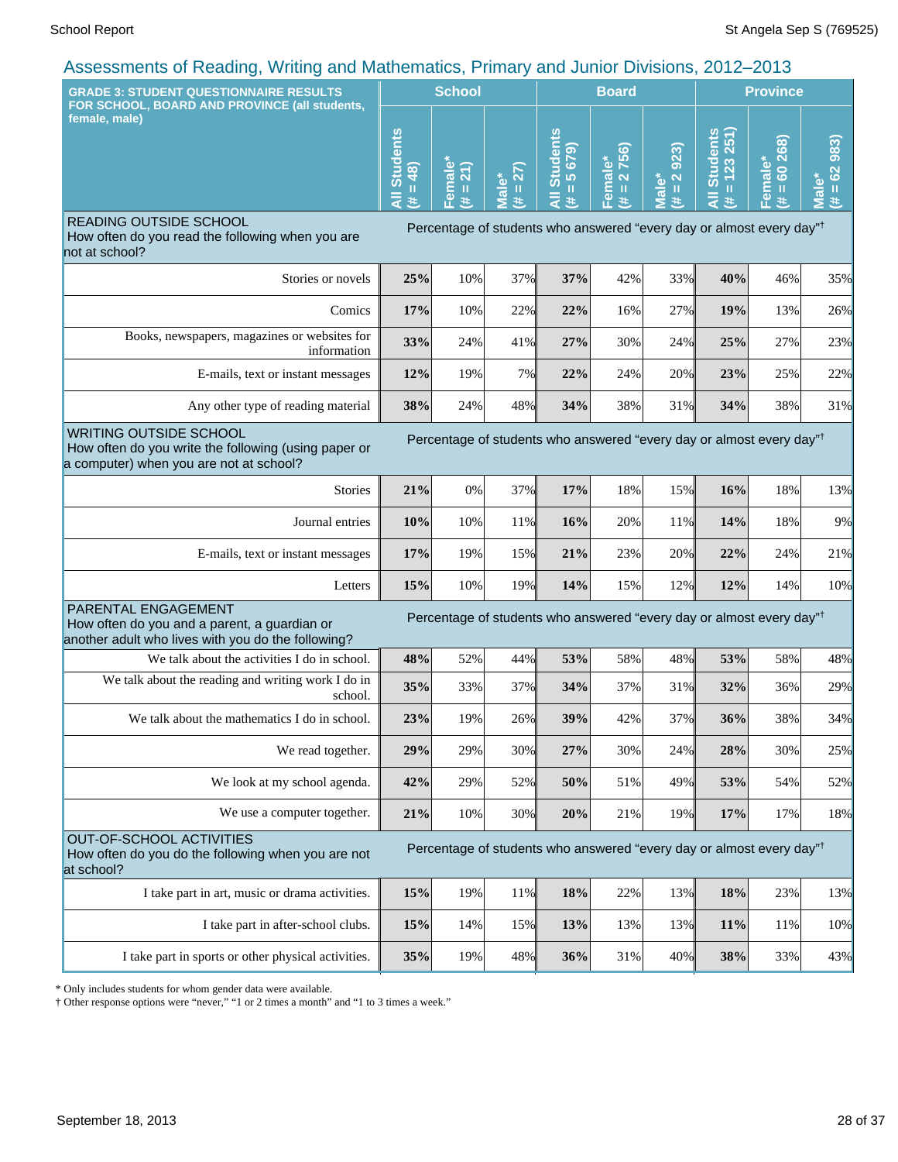| $\frac{1}{2}$ to coordinate of redding, verifing and mathematics, i mindig and cannot Divisions, Long Long                       |                                            |                              |                                            |                                                    |                        |                                                                          |                                         |                                                                                  |                                                                          |
|----------------------------------------------------------------------------------------------------------------------------------|--------------------------------------------|------------------------------|--------------------------------------------|----------------------------------------------------|------------------------|--------------------------------------------------------------------------|-----------------------------------------|----------------------------------------------------------------------------------|--------------------------------------------------------------------------|
| <b>GRADE 3: STUDENT QUESTIONNAIRE RESULTS</b><br>FOR SCHOOL, BOARD AND PROVINCE (all students,                                   |                                            | <b>School</b>                |                                            | <b>Board</b>                                       |                        |                                                                          | <b>Province</b>                         |                                                                                  |                                                                          |
| female, male)                                                                                                                    | <b>Students</b><br>48)<br>Ш<br>ä<br>$\ast$ | $\frac{a}{2}$<br>Ш<br>உ<br>违 | 27)<br>Ш<br>$\overline{\mathfrak{a}}$<br>共 | <b>Students</b><br>679<br>$\overline{5}$<br>Ш<br>共 | Female*<br>(# = 2 756) | 923)<br>$\overline{\mathbf{N}}$<br>ale <sup>*</sup><br>$\mathbf{u}$<br>违 | $= 123251$<br><b>Students</b><br>₹<br>违 | Female*<br>(# = 60 268)                                                          | 983)<br>62<br>$\bullet$<br>$\rm H$<br>$\bar{\bar{\mathbf{c}}}$<br>违<br>Ξ |
| READING OUTSIDE SCHOOL<br>How often do you read the following when you are<br>not at school?                                     |                                            |                              |                                            |                                                    |                        |                                                                          |                                         | Percentage of students who answered "every day or almost every day" <sup>†</sup> |                                                                          |
| Stories or novels                                                                                                                | 25%                                        | 10%                          | 37%                                        | 37%                                                | 42%                    | 33%                                                                      | 40%                                     | 46%                                                                              | 35%                                                                      |
| Comics                                                                                                                           | 17%                                        | 10%                          | 22%                                        | 22%                                                | 16%                    | 27%                                                                      | 19%                                     | 13%                                                                              | 26%                                                                      |
| Books, newspapers, magazines or websites for<br>information                                                                      | 33%                                        | 24%                          | 41%                                        | 27%                                                | 30%                    | 24%                                                                      | 25%                                     | 27%                                                                              | 23%                                                                      |
| E-mails, text or instant messages                                                                                                | 12%                                        | 19%                          | 7%                                         | 22%                                                | 24%                    | 20%                                                                      | 23%                                     | 25%                                                                              | 22%                                                                      |
| Any other type of reading material                                                                                               | 38%                                        | 24%                          | 48%                                        | 34%                                                | 38%                    | 31%                                                                      | 34%                                     | 38%                                                                              | 31%                                                                      |
| <b>WRITING OUTSIDE SCHOOL</b><br>How often do you write the following (using paper or<br>a computer) when you are not at school? |                                            |                              |                                            |                                                    |                        |                                                                          |                                         | Percentage of students who answered "every day or almost every day" <sup>†</sup> |                                                                          |
| <b>Stories</b>                                                                                                                   | 21%                                        | 0%                           | 37%                                        | 17%                                                | 18%                    | 15%                                                                      | 16%                                     | 18%                                                                              | 13%                                                                      |
| Journal entries                                                                                                                  | 10%                                        | 10%                          | 11%                                        | 16%                                                | 20%                    | 11%                                                                      | 14%                                     | 18%                                                                              | 9%                                                                       |
| E-mails, text or instant messages                                                                                                | 17%                                        | 19%                          | 15%                                        | 21%                                                | 23%                    | 20%                                                                      | 22%                                     | 24%                                                                              | 21%                                                                      |
| Letters                                                                                                                          | 15%                                        | 10%                          | 19%                                        | 14%                                                | 15%                    | 12%                                                                      | 12%                                     | 14%                                                                              | 10%                                                                      |
| PARENTAL ENGAGEMENT<br>How often do you and a parent, a guardian or<br>another adult who lives with you do the following?        |                                            |                              |                                            |                                                    |                        |                                                                          |                                         | Percentage of students who answered "every day or almost every day" <sup>†</sup> |                                                                          |
| We talk about the activities I do in school.                                                                                     | 48%                                        | 52%                          | 44%                                        | 53%                                                | 58%                    | 48%                                                                      | 53%                                     | 58%                                                                              | 48%                                                                      |
| We talk about the reading and writing work I do in<br>school.                                                                    | 35%                                        | 33%                          | 37%                                        | 34%                                                | 37%                    | 31%                                                                      | 32%                                     | 36%                                                                              | 29%                                                                      |
| We talk about the mathematics I do in school.                                                                                    | 23%                                        | 19%                          | 26%                                        | 39%                                                | 42%                    | 37%                                                                      | 36%                                     | 38%                                                                              | 34%                                                                      |
| We read together.                                                                                                                | 29%                                        | 29%                          | 30%                                        | 27%                                                | 30%                    | 24%                                                                      | 28%                                     | 30%                                                                              | 25%                                                                      |
| We look at my school agenda.                                                                                                     | 42%                                        | 29%                          | 52%                                        | 50%                                                | 51%                    | 49%                                                                      | 53%                                     | 54%                                                                              | 52%                                                                      |
| We use a computer together.                                                                                                      | 21%                                        | 10%                          | 30%                                        | 20%                                                | 21%                    | 19%                                                                      | 17%                                     | 17%                                                                              | 18%                                                                      |
| <b>OUT-OF-SCHOOL ACTIVITIES</b><br>How often do you do the following when you are not<br>at school?                              |                                            |                              |                                            |                                                    |                        |                                                                          |                                         | Percentage of students who answered "every day or almost every day" <sup>†</sup> |                                                                          |
| I take part in art, music or drama activities.                                                                                   | 15%                                        | 19%                          | 11%                                        | 18%                                                | 22%                    | 13%                                                                      | 18%                                     | 23%                                                                              | 13%                                                                      |
| I take part in after-school clubs.                                                                                               | 15%                                        | 14%                          | 15%                                        | 13%                                                | 13%                    | 13%                                                                      | 11%                                     | 11%                                                                              | 10%                                                                      |
| I take part in sports or other physical activities.                                                                              | 35%                                        | 19%                          | 48%                                        | 36%                                                | 31%                    | 40%                                                                      | 38%                                     | 33%                                                                              | 43%                                                                      |

\* Only includes students for whom gender data were available.

† Other response options were "never," "1 or 2 times a month" and "1 to 3 times a week."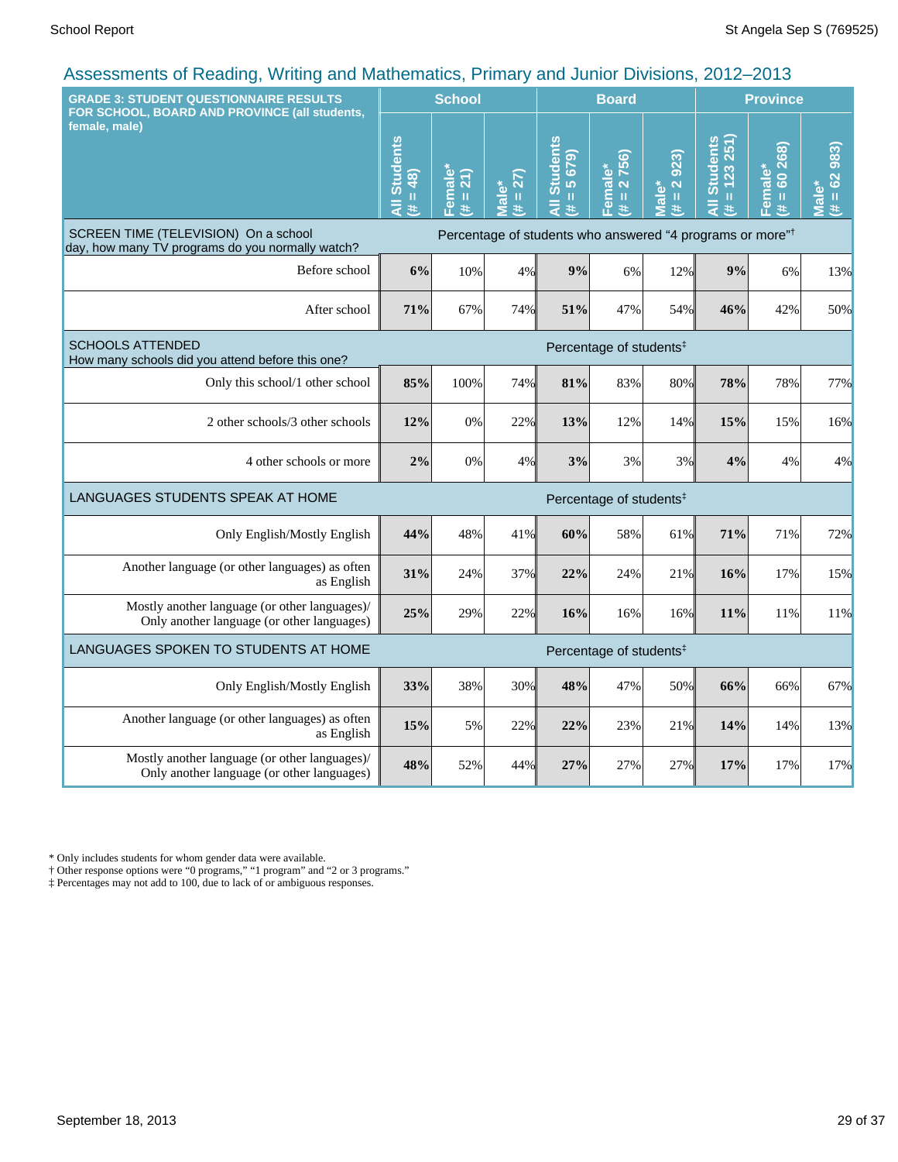| <b>GRADE 3: STUDENT QUESTIONNAIRE RESULTS</b><br>FOR SCHOOL, BOARD AND PROVINCE (all students, |                                                                       | <b>School</b>       |                      |                                      | <b>Board</b>                                     |                     | <b>Province</b>                 |                         |                               |
|------------------------------------------------------------------------------------------------|-----------------------------------------------------------------------|---------------------|----------------------|--------------------------------------|--------------------------------------------------|---------------------|---------------------------------|-------------------------|-------------------------------|
| female, male)                                                                                  | All Students<br>$= 48$<br>$\ddot{\ast}$                               | Female*<br>(# = 21) | $(14 = 27)$<br>Male* | <b>All Students</b><br>$= 5679$<br>主 | 2756)<br>Female*<br>$\mathbf{u}$<br>$\mathbf{H}$ | $# = 2923$<br>Male* | All Students<br>$= 123251$<br>共 | Female*<br>(# = 60 268) | $(4 = 62983)$<br><b>Male*</b> |
| SCREEN TIME (TELEVISION) On a school<br>day, how many TV programs do you normally watch?       | Percentage of students who answered "4 programs or more" <sup>†</sup> |                     |                      |                                      |                                                  |                     |                                 |                         |                               |
| Before school                                                                                  | 6%                                                                    | 10%                 | 4%                   | 9%                                   | 6%                                               | 12%                 | 9%                              | 6%                      | 13%                           |
| After school                                                                                   | 71%                                                                   | 67%                 | 74%                  | 51%                                  | 47%                                              | 54%                 | 46%                             | 42%                     | 50%                           |
| <b>SCHOOLS ATTENDED</b><br>How many schools did you attend before this one?                    | Percentage of students <sup>‡</sup>                                   |                     |                      |                                      |                                                  |                     |                                 |                         |                               |
| Only this school/1 other school                                                                | 85%                                                                   | 100%                | 74%                  | 81%                                  | 83%                                              | 80%                 | 78%                             | 78%                     | 77%                           |
| 2 other schools/3 other schools                                                                | 12%                                                                   | 0%                  | 22%                  | 13%                                  | 12%                                              | 14%                 | 15%                             | 15%                     | 16%                           |
| 4 other schools or more                                                                        | 2%                                                                    | 0%                  | 4%                   | 3%                                   | 3%                                               | 3%                  | 4%                              | 4%                      | 4%                            |
| LANGUAGES STUDENTS SPEAK AT HOME                                                               |                                                                       |                     |                      |                                      | Percentage of students <sup>#</sup>              |                     |                                 |                         |                               |
| Only English/Mostly English                                                                    | 44%                                                                   | 48%                 | 41%                  | 60%                                  | 58%                                              | 61%                 | 71%                             | 71%                     | 72%                           |
| Another language (or other languages) as often<br>as English                                   | 31%                                                                   | 24%                 | 37%                  | 22%                                  | 24%                                              | 21%                 | 16%                             | 17%                     | 15%                           |
| Mostly another language (or other languages)/<br>Only another language (or other languages)    | 25%                                                                   | 29%                 | 22%                  | 16%                                  | 16%                                              | 16%                 | 11%                             | 11%                     | 11%                           |
| LANGUAGES SPOKEN TO STUDENTS AT HOME                                                           |                                                                       |                     |                      |                                      | Percentage of students <sup>‡</sup>              |                     |                                 |                         |                               |
| Only English/Mostly English                                                                    | 33%                                                                   | 38%                 | 30%                  | 48%                                  | 47%                                              | 50%                 | 66%                             | 66%                     | 67%                           |
| Another language (or other languages) as often<br>as English                                   | 15%                                                                   | 5%                  | 22%                  | 22%                                  | 23%                                              | 21%                 | 14%                             | 14%                     | 13%                           |
| Mostly another language (or other languages)/<br>Only another language (or other languages)    | 48%                                                                   | 52%                 | 44%                  | 27%                                  | 27%                                              | 27%                 | 17%                             | 17%                     | 17%                           |

\* Only includes students for whom gender data were available.

† Other response options were "0 programs," "1 program" and "2 or 3 programs."

‡ Percentages may not add to 100, due to lack of or ambiguous responses.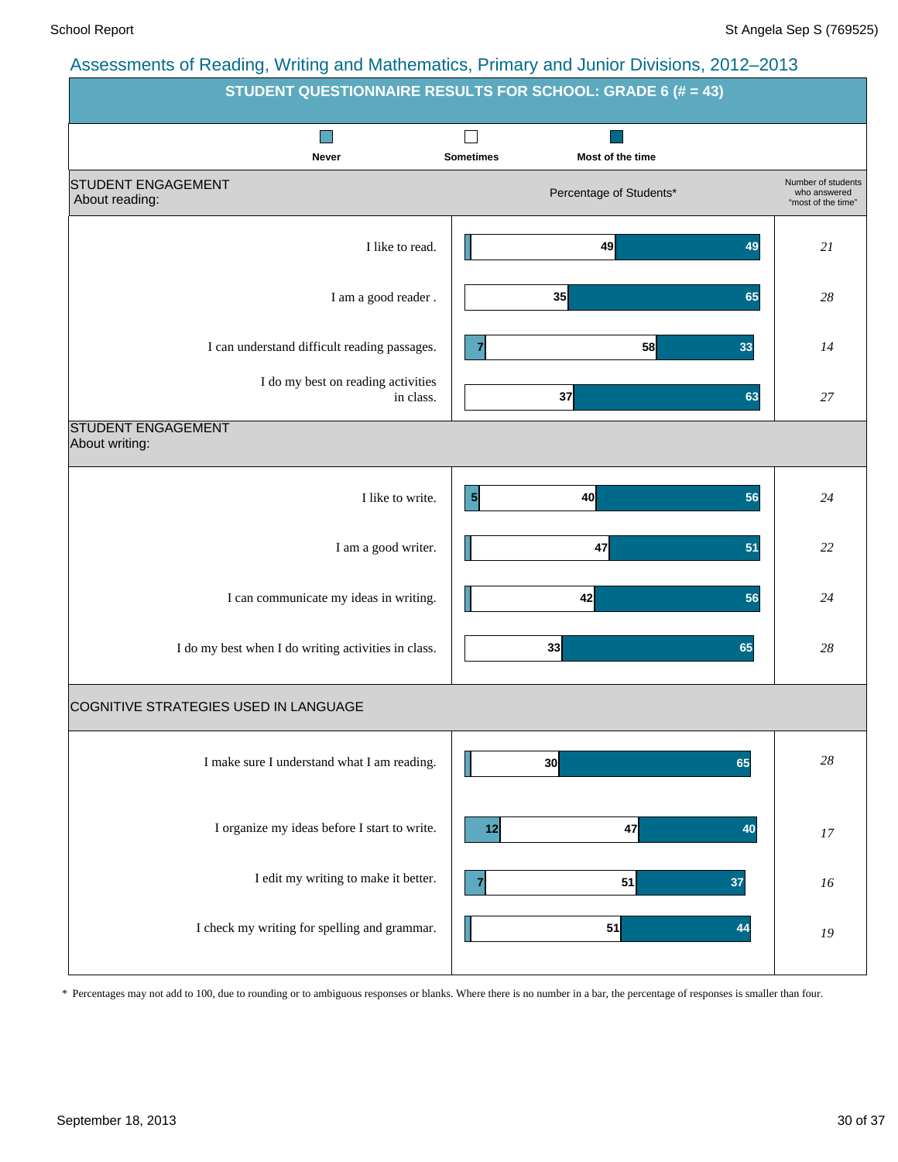| $\overline{a}$ to comments of reduiring, verifing and mathematics, it initially and currich Divisions, 2012 2010 | STUDENT QUESTIONNAIRE RESULTS FOR SCHOOL: GRADE 6 (# = 43) |                                                          |
|------------------------------------------------------------------------------------------------------------------|------------------------------------------------------------|----------------------------------------------------------|
| ٠<br><b>Never</b>                                                                                                | <b>Sometimes</b><br>Most of the time                       |                                                          |
| <b>STUDENT ENGAGEMENT</b><br>About reading:                                                                      | Percentage of Students*                                    | Number of students<br>who answered<br>"most of the time" |
| I like to read.                                                                                                  | 49<br>49                                                   | 21                                                       |
| I am a good reader .                                                                                             | 35<br>65                                                   | 28                                                       |
| I can understand difficult reading passages.                                                                     | 58<br>33<br>7                                              | 14                                                       |
| I do my best on reading activities<br>in class.                                                                  | 37<br>63                                                   | 27                                                       |
| <b>STUDENT ENGAGEMENT</b><br>About writing:                                                                      |                                                            |                                                          |
| I like to write.                                                                                                 | $\vert 5 \vert$<br>40<br>56                                | 24                                                       |
| I am a good writer.                                                                                              | 47<br>51                                                   | 22                                                       |
| I can communicate my ideas in writing.                                                                           | 42<br>56                                                   | 24                                                       |
| I do my best when I do writing activities in class.                                                              | 33<br>65                                                   | 28                                                       |
| COGNITIVE STRATEGIES USED IN LANGUAGE                                                                            |                                                            |                                                          |
| I make sure I understand what I am reading.                                                                      | 30<br>65                                                   | $28\,$                                                   |
| I organize my ideas before I start to write.                                                                     | 47<br>40<br>12                                             | 17                                                       |
| I edit my writing to make it better.                                                                             | 51<br>37<br>7                                              | 16                                                       |
| I check my writing for spelling and grammar.                                                                     | 51<br>44                                                   | 19                                                       |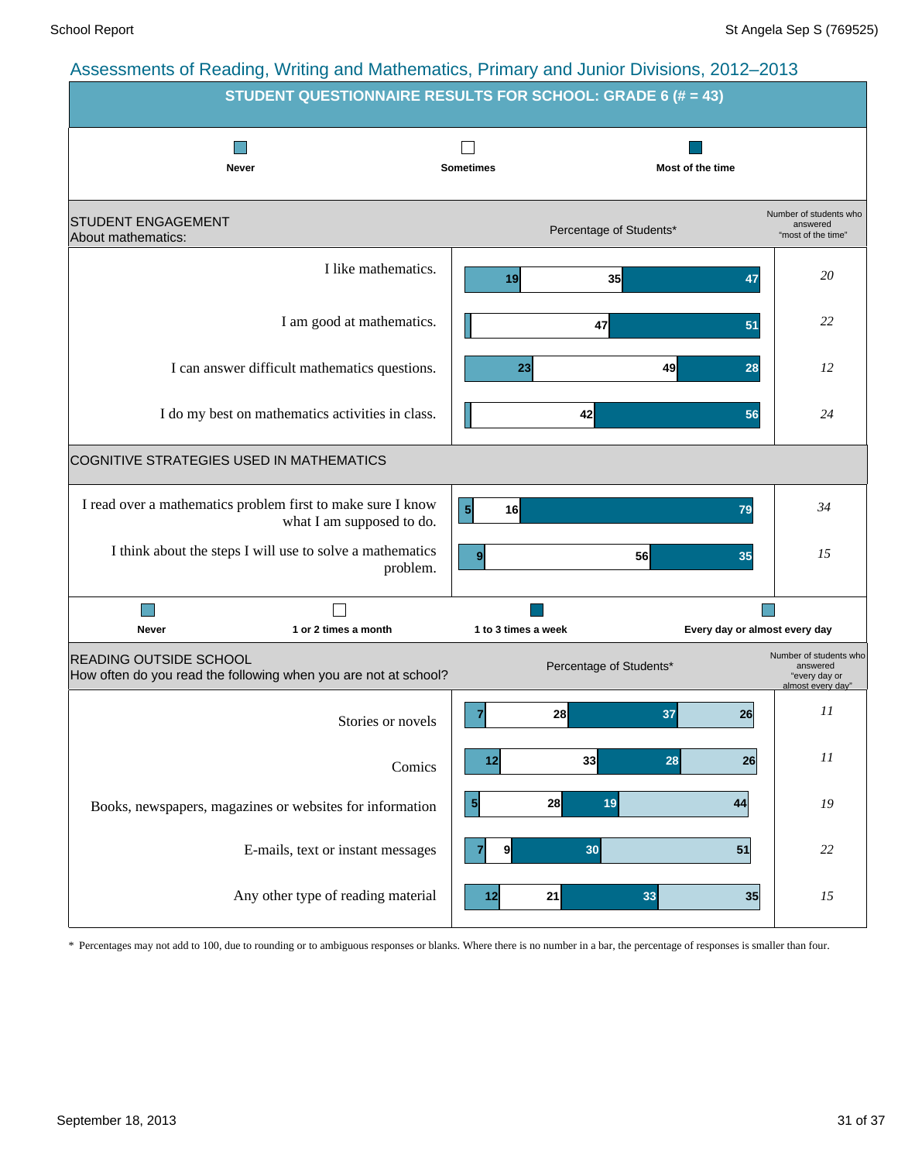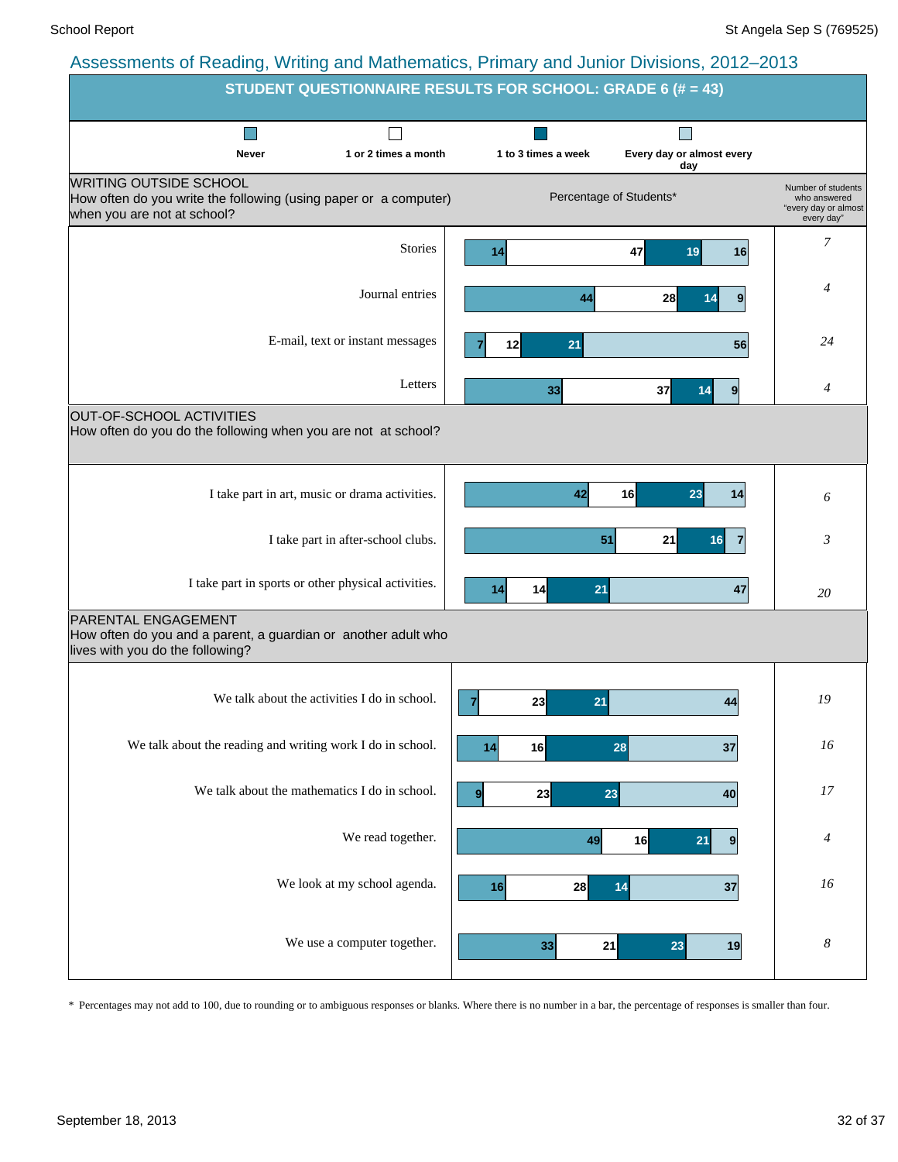|                                                                                                                                  | <b>STUDENT QUESTIONNAIRE RESULTS FOR SCHOOL: GRADE 6 (# = 43)</b> |                      |                                  |                                                                          |  |  |  |  |  |  |
|----------------------------------------------------------------------------------------------------------------------------------|-------------------------------------------------------------------|----------------------|----------------------------------|--------------------------------------------------------------------------|--|--|--|--|--|--|
|                                                                                                                                  |                                                                   |                      |                                  |                                                                          |  |  |  |  |  |  |
| Never                                                                                                                            | 1 or 2 times a month                                              | 1 to 3 times a week  | Every day or almost every<br>day |                                                                          |  |  |  |  |  |  |
| <b>WRITING OUTSIDE SCHOOL</b><br>How often do you write the following (using paper or a computer)<br>when you are not at school? |                                                                   |                      | Percentage of Students*          | Number of students<br>who answered<br>"every day or almost<br>every day" |  |  |  |  |  |  |
|                                                                                                                                  | <b>Stories</b>                                                    | 14                   | 47<br>19<br>16                   | 7                                                                        |  |  |  |  |  |  |
|                                                                                                                                  | Journal entries                                                   | 44                   | 28<br>9<br>14                    | 4                                                                        |  |  |  |  |  |  |
|                                                                                                                                  | E-mail, text or instant messages                                  | 21<br>12             | 56                               | 24                                                                       |  |  |  |  |  |  |
|                                                                                                                                  | Letters                                                           | 33                   | 37<br>$\boldsymbol{9}$<br>14     | $\overline{4}$                                                           |  |  |  |  |  |  |
| OUT-OF-SCHOOL ACTIVITIES<br>How often do you do the following when you are not at school?                                        |                                                                   |                      |                                  |                                                                          |  |  |  |  |  |  |
| I take part in art, music or drama activities.                                                                                   |                                                                   | 42                   | 16<br>23<br>14                   | 6                                                                        |  |  |  |  |  |  |
|                                                                                                                                  | I take part in after-school clubs.                                | 51                   | 21<br>16                         | 3                                                                        |  |  |  |  |  |  |
| I take part in sports or other physical activities.                                                                              |                                                                   | 14<br>21<br>14       | 47                               | 20                                                                       |  |  |  |  |  |  |
| <b>PARENTAL ENGAGEMENT</b><br>How often do you and a parent, a guardian or another adult who<br>lives with you do the following? |                                                                   |                      |                                  |                                                                          |  |  |  |  |  |  |
| We talk about the activities I do in school.                                                                                     |                                                                   | 23<br>21<br>7        | 44                               | 19                                                                       |  |  |  |  |  |  |
| We talk about the reading and writing work I do in school.                                                                       |                                                                   | 16<br>14             | 28<br>37                         | 16                                                                       |  |  |  |  |  |  |
| We talk about the mathematics I do in school.                                                                                    |                                                                   | 23<br>9 <sup>1</sup> | 23<br>40                         | $17\,$                                                                   |  |  |  |  |  |  |
|                                                                                                                                  | We read together.                                                 | 49                   | 16<br>21<br>9                    | 4                                                                        |  |  |  |  |  |  |
|                                                                                                                                  | We look at my school agenda.                                      | 16<br>28             | 14<br>37                         | 16                                                                       |  |  |  |  |  |  |
|                                                                                                                                  | We use a computer together.                                       | 33<br>21             | 23<br>19                         | $\boldsymbol{8}$                                                         |  |  |  |  |  |  |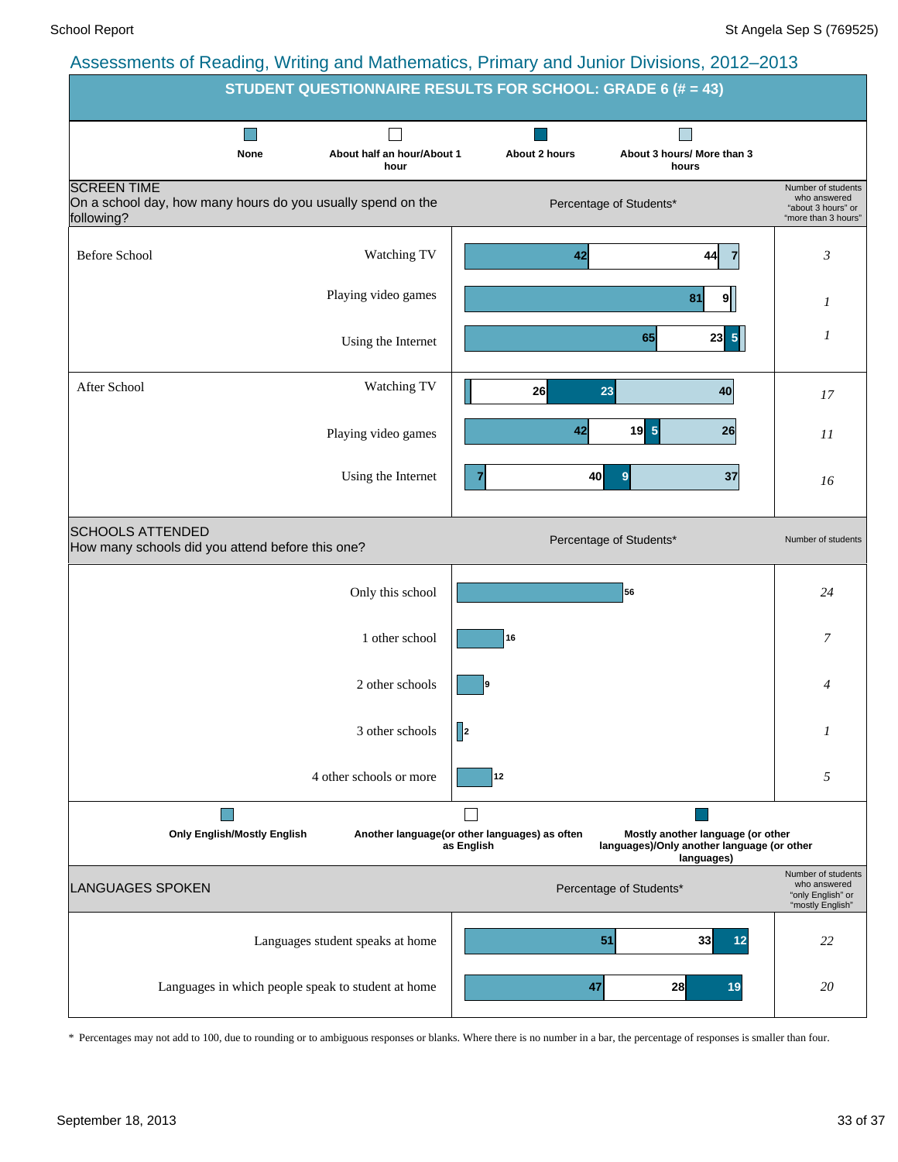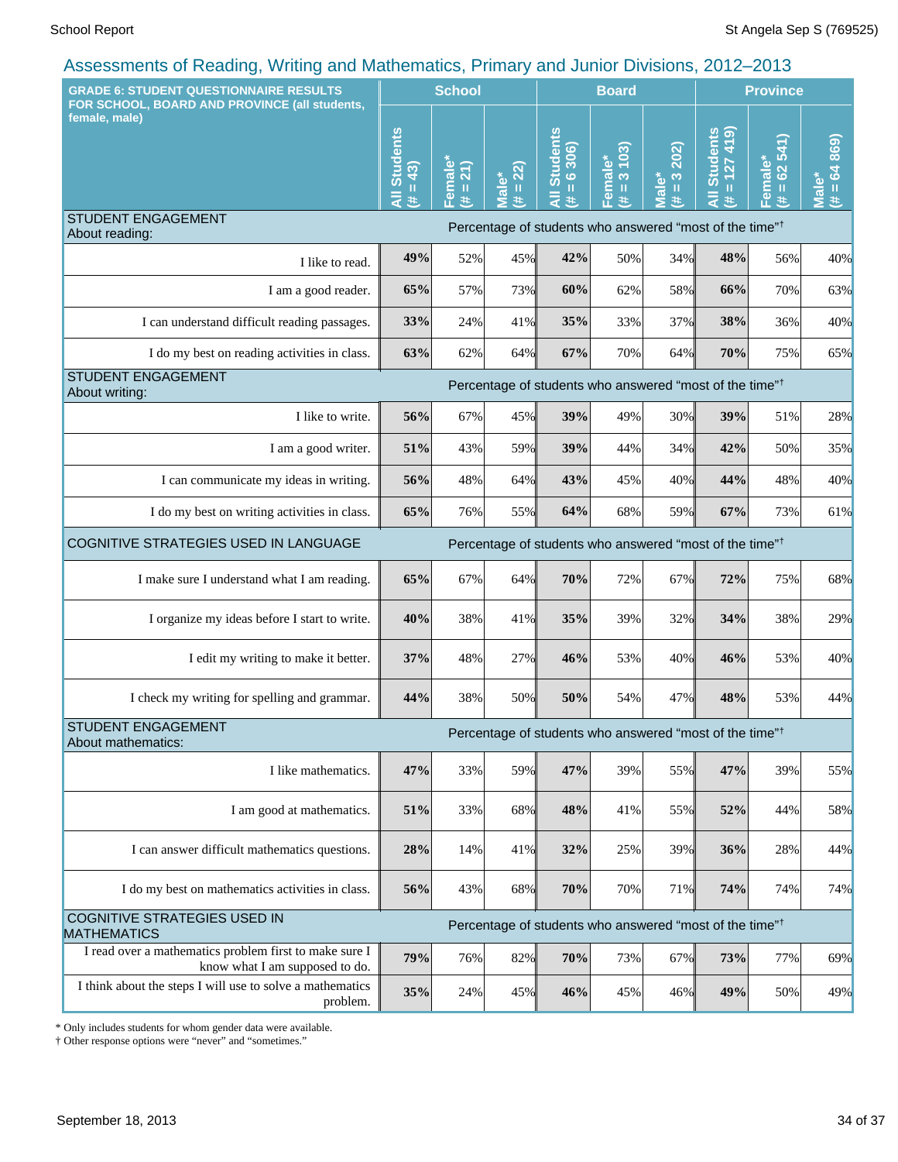| <b>GRADE 6: STUDENT QUESTIONNAIRE RESULTS</b>                                            |                                        | <b>School</b>                       |                                              |                                      | <b>Board</b>                      |                                     | <b>Province</b>                                                          |                           |                                               |
|------------------------------------------------------------------------------------------|----------------------------------------|-------------------------------------|----------------------------------------------|--------------------------------------|-----------------------------------|-------------------------------------|--------------------------------------------------------------------------|---------------------------|-----------------------------------------------|
| FOR SCHOOL, BOARD AND PROVINCE (all students,<br>female, male)                           | <b>Students</b><br>$= 43$<br>$\ddot{}$ | emale*<br>21)<br>$\rm H$<br>共<br>π. | 22)<br><b>Male*</b><br>$\mathbf u$<br>$\ast$ | <b>All Students</b><br>$= 6306$<br>共 | 3103<br>Female*<br>$\rm{II}$<br>进 | 202)<br>$\frac{3}{2}$<br>lale*<br>共 | <b>Students</b><br>$\alpha$<br>$\frac{4}{1}$<br>127<br>$\mathbf{u}$<br># | $= 62541$<br>Female*<br>巷 | $\frac{60}{28}$<br>$= 64$<br><b>Male</b><br>进 |
| <b>STUDENT ENGAGEMENT</b><br>About reading:                                              |                                        |                                     |                                              |                                      |                                   |                                     | Percentage of students who answered "most of the time" <sup>†</sup>      |                           |                                               |
| I like to read.                                                                          | 49%                                    | 52%                                 | 45%                                          | 42%                                  | 50%                               | 34%                                 | 48%                                                                      | 56%                       | 40%                                           |
| I am a good reader.                                                                      | 65%                                    | 57%                                 | 73%                                          | 60%                                  | 62%                               | 58%                                 | 66%                                                                      | 70%                       | 63%                                           |
| I can understand difficult reading passages.                                             | 33%                                    | 24%                                 | 41%                                          | 35%                                  | 33%                               | 37%                                 | 38%                                                                      | 36%                       | 40%                                           |
| I do my best on reading activities in class.                                             | 63%                                    | 62%                                 | 64%                                          | 67%                                  | 70%                               | 64%                                 | 70%                                                                      | 75%                       | 65%                                           |
| <b>STUDENT ENGAGEMENT</b><br>About writing:                                              |                                        |                                     |                                              |                                      |                                   |                                     | Percentage of students who answered "most of the time" <sup>†</sup>      |                           |                                               |
| I like to write.                                                                         | 56%                                    | 67%                                 | 45%                                          | 39%                                  | 49%                               | 30%                                 | 39%                                                                      | 51%                       | 28%                                           |
| I am a good writer.                                                                      | 51%                                    | 43%                                 | 59%                                          | 39%                                  | 44%                               | 34%                                 | 42%                                                                      | 50%                       | 35%                                           |
| I can communicate my ideas in writing.                                                   | 56%                                    | 48%                                 | 64%                                          | 43%                                  | 45%                               | 40%                                 | 44%                                                                      | 48%                       | 40%                                           |
| I do my best on writing activities in class.                                             | 65%                                    | 76%                                 | 55%                                          | 64%                                  | 68%                               | 59%                                 | 67%                                                                      | 73%                       | 61%                                           |
| COGNITIVE STRATEGIES USED IN LANGUAGE                                                    |                                        |                                     |                                              |                                      |                                   |                                     | Percentage of students who answered "most of the time" <sup>†</sup>      |                           |                                               |
| I make sure I understand what I am reading.                                              | 65%                                    | 67%                                 | 64%                                          | 70%                                  | 72%                               | 67%                                 | 72%                                                                      | 75%                       | 68%                                           |
| I organize my ideas before I start to write.                                             | 40%                                    | 38%                                 | 41%                                          | 35%                                  | 39%                               | 32%                                 | 34%                                                                      | 38%                       | 29%                                           |
| I edit my writing to make it better.                                                     | 37%                                    | 48%                                 | 27%                                          | 46%                                  | 53%                               | 40%                                 | 46%                                                                      | 53%                       | 40%                                           |
| I check my writing for spelling and grammar.                                             | 44%                                    | 38%                                 | 50%                                          | 50%                                  | 54%                               | 47%                                 | 48%                                                                      | 53%                       | 44%                                           |
| <b>STUDENT ENGAGEMENT</b><br>About mathematics:                                          |                                        |                                     |                                              |                                      |                                   |                                     | Percentage of students who answered "most of the time" <sup>†</sup>      |                           |                                               |
| I like mathematics.                                                                      | 47%                                    | 33%                                 | 59%                                          | 47%                                  | 39%                               | 55%                                 | 47%                                                                      | 39%                       | 55%                                           |
| I am good at mathematics.                                                                | 51%                                    | 33%                                 | 68%                                          | 48%                                  | 41%                               | 55%                                 | 52%                                                                      | 44%                       | 58%                                           |
| I can answer difficult mathematics questions.                                            | 28%                                    | 14%                                 | 41%                                          | 32%                                  | 25%                               | 39%                                 | 36%                                                                      | 28%                       | 44%                                           |
| I do my best on mathematics activities in class.                                         | 56%                                    | 43%                                 | 68%                                          | 70%                                  | 70%                               | 71%                                 | 74%                                                                      | 74%                       | 74%                                           |
| COGNITIVE STRATEGIES USED IN<br><b>MATHEMATICS</b>                                       |                                        |                                     |                                              |                                      |                                   |                                     | Percentage of students who answered "most of the time" <sup>†</sup>      |                           |                                               |
| I read over a mathematics problem first to make sure I<br>know what I am supposed to do. | 79%                                    | 76%                                 | 82%                                          | 70%                                  | 73%                               | 67%                                 | 73%                                                                      | 77%                       | 69%                                           |
| I think about the steps I will use to solve a mathematics<br>problem.                    | 35%                                    | 24%                                 | 45%                                          | 46%                                  | 45%                               | 46%                                 | 49%                                                                      | 50%                       | 49%                                           |

\* Only includes students for whom gender data were available.

† Other response options were "never" and "sometimes."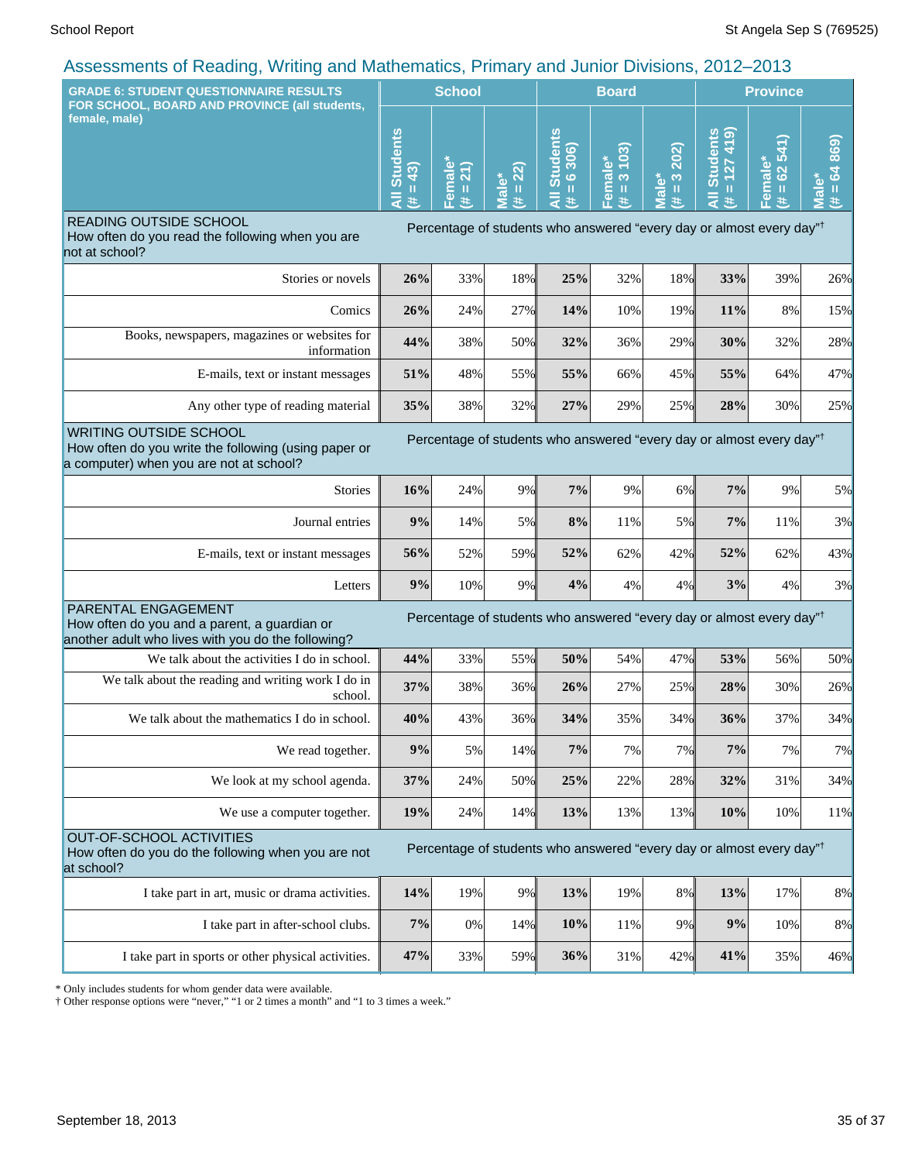| $\frac{1}{2}$ to be equivalently the contract of the contract of $\frac{1}{2}$ in the value of the control of $\frac{1}{2}$ and $\frac{1}{2}$<br><b>GRADE 6: STUDENT QUESTIONNAIRE RESULTS</b> |                             | <b>School</b>                     |                                                           | <b>Board</b>                            |                                              |                                                 | <b>Province</b>                               |                                                                                  |                           |
|------------------------------------------------------------------------------------------------------------------------------------------------------------------------------------------------|-----------------------------|-----------------------------------|-----------------------------------------------------------|-----------------------------------------|----------------------------------------------|-------------------------------------------------|-----------------------------------------------|----------------------------------------------------------------------------------|---------------------------|
| FOR SCHOOL, BOARD AND PROVINCE (all students,<br>female, male)                                                                                                                                 | <b>Students</b><br>43)<br>Ш | $\bullet$<br>21)<br>nai<br>Ш<br>共 | 22)<br>ؙۜ۫۫ۜۛڡ<br>$\mathbf{H}$<br>$\overline{\mathbf{c}}$ | <b>Students</b><br>6306)<br>$\mathbf H$ | 103<br>male*<br>$\infty$<br>$\,$ H<br>區<br>违 | 202)<br>$\frac{3}{2}$<br>Male <sup>*</sup><br>主 | (614)<br><b>Students</b><br>$= 127$<br>₹<br>共 | 62 541)<br>Female*<br>(# = 62 5.                                                 | (4.64869)<br><b>Male*</b> |
| READING OUTSIDE SCHOOL<br>How often do you read the following when you are<br>not at school?                                                                                                   |                             |                                   |                                                           |                                         |                                              |                                                 |                                               | Percentage of students who answered "every day or almost every day" <sup>†</sup> |                           |
| Stories or novels                                                                                                                                                                              | 26%                         | 33%                               | 18%                                                       | 25%                                     | 32%                                          | 18%                                             | 33%                                           | 39%                                                                              | 26%                       |
| Comics                                                                                                                                                                                         | 26%                         | 24%                               | 27%                                                       | 14%                                     | 10%                                          | 19%                                             | 11%                                           | 8%                                                                               | 15%                       |
| Books, newspapers, magazines or websites for<br>information                                                                                                                                    | 44%                         | 38%                               | 50%                                                       | 32%                                     | 36%                                          | 29%                                             | 30%                                           | 32%                                                                              | 28%                       |
| E-mails, text or instant messages                                                                                                                                                              | 51%                         | 48%                               | 55%                                                       | 55%                                     | 66%                                          | 45%                                             | 55%                                           | 64%                                                                              | 47%                       |
| Any other type of reading material                                                                                                                                                             | 35%                         | 38%                               | 32%                                                       | 27%                                     | 29%                                          | 25%                                             | 28%                                           | 30%                                                                              | 25%                       |
| <b>WRITING OUTSIDE SCHOOL</b><br>How often do you write the following (using paper or<br>a computer) when you are not at school?                                                               |                             |                                   |                                                           |                                         |                                              |                                                 |                                               | Percentage of students who answered "every day or almost every day" <sup>†</sup> |                           |
| <b>Stories</b>                                                                                                                                                                                 | 16%                         | 24%                               | 9%                                                        | 7%                                      | 9%                                           | 6%                                              | 7%                                            | 9%                                                                               | 5%                        |
| Journal entries                                                                                                                                                                                | 9%                          | 14%                               | 5%I                                                       | 8%                                      | 11%                                          | 5%                                              | 7%                                            | 11%                                                                              | 3%                        |
| E-mails, text or instant messages                                                                                                                                                              | 56%                         | 52%                               | 59%                                                       | 52%                                     | 62%                                          | 42%                                             | 52%                                           | 62%                                                                              | 43%                       |
| Letters                                                                                                                                                                                        | 9%                          | 10%                               | 9%                                                        | 4%                                      | 4%                                           | 4%                                              | 3%                                            | 4%                                                                               | 3%                        |
| PARENTAL ENGAGEMENT<br>How often do you and a parent, a guardian or<br>another adult who lives with you do the following?                                                                      |                             |                                   |                                                           |                                         |                                              |                                                 |                                               | Percentage of students who answered "every day or almost every day" <sup>†</sup> |                           |
| We talk about the activities I do in school.                                                                                                                                                   | 44%                         | 33%                               | 55%                                                       | 50%                                     | 54%                                          | 47%                                             | 53%                                           | 56%                                                                              | 50%                       |
| We talk about the reading and writing work I do in<br>school.                                                                                                                                  | 37%                         | 38%                               | 36%                                                       | 26%                                     | 27%                                          | 25%                                             | 28%                                           | 30%                                                                              | 26%                       |
| We talk about the mathematics I do in school.                                                                                                                                                  | 40%                         | 43%                               | 36%                                                       | 34%                                     | 35%                                          | 34%                                             | 36%                                           | 37%                                                                              | 34%                       |
| We read together.                                                                                                                                                                              | 9%                          | 5%                                | 14%                                                       | 7%                                      | 7%                                           | 7%                                              | 7%                                            | 7%                                                                               | 7%                        |
| We look at my school agenda.                                                                                                                                                                   | 37%                         | 24%                               | 50%                                                       | 25%                                     | 22%                                          | 28%                                             | 32%                                           | 31%                                                                              | 34%                       |
| We use a computer together.                                                                                                                                                                    | 19%                         | 24%                               | 14%                                                       | 13%                                     | 13%                                          | 13%                                             | 10%                                           | 10%                                                                              | 11%                       |
| OUT-OF-SCHOOL ACTIVITIES<br>How often do you do the following when you are not<br>at school?                                                                                                   |                             |                                   |                                                           |                                         |                                              |                                                 |                                               | Percentage of students who answered "every day or almost every day" <sup>†</sup> |                           |
| I take part in art, music or drama activities.                                                                                                                                                 | 14%                         | 19%                               | 9%                                                        | 13%                                     | 19%                                          | 8%                                              | 13%                                           | 17%                                                                              | 8%                        |
| I take part in after-school clubs.                                                                                                                                                             | 7%                          | 0%                                | 14%                                                       | 10%                                     | 11%                                          | 9%                                              | 9%                                            | 10%                                                                              | 8%                        |
| I take part in sports or other physical activities.                                                                                                                                            | 47%                         | 33%                               | 59%                                                       | 36%                                     | 31%                                          | 42%                                             | 41%                                           | 35%                                                                              | 46%                       |

\* Only includes students for whom gender data were available.

† Other response options were "never," "1 or 2 times a month" and "1 to 3 times a week."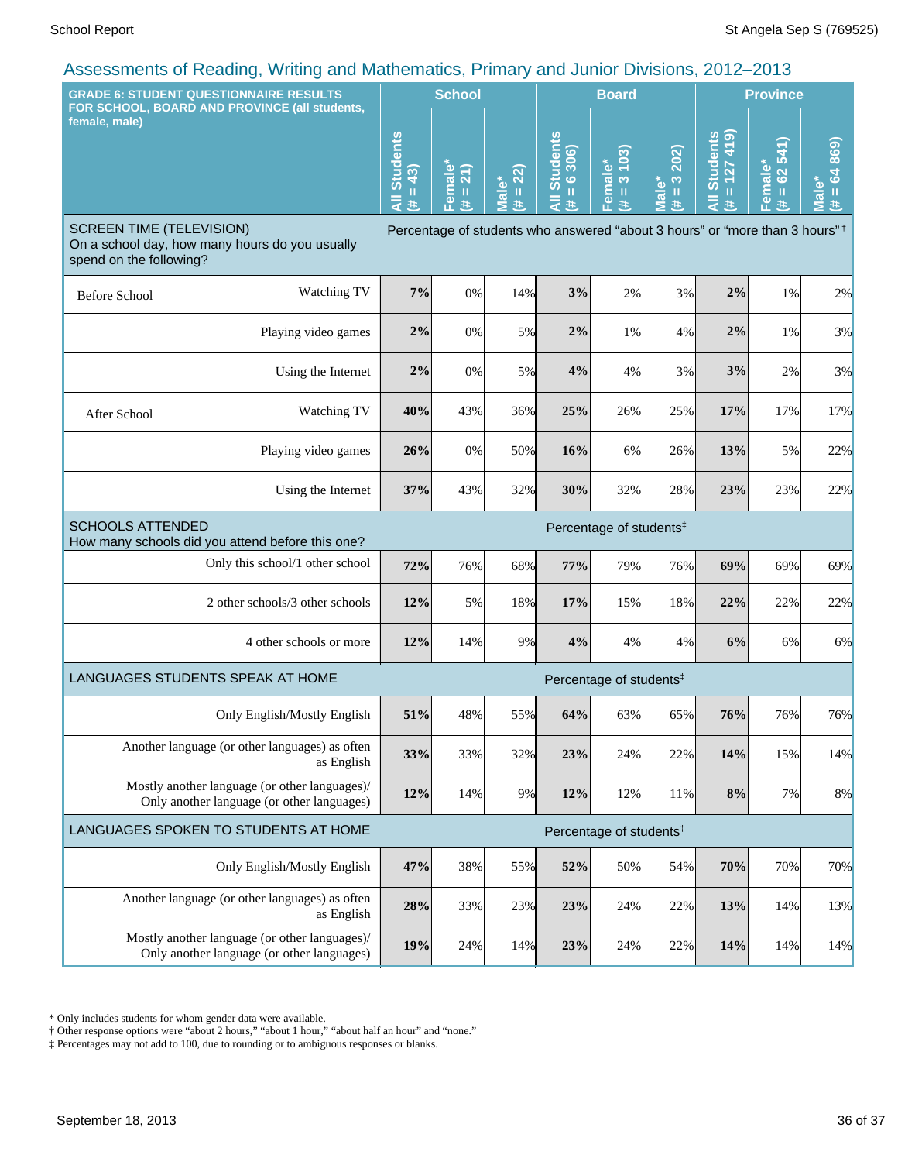| $\alpha$ to community of redding, remaining and mathematics, runnary and cannot Divisions, Long Long<br><b>GRADE 6: STUDENT QUESTIONNAIRE RESULTS</b>                                                   |                                  | <b>School</b>                  |                      |                                                           | <b>Board</b>                       |                                    |                                         | <b>Province</b>                        |                                                  |  |
|---------------------------------------------------------------------------------------------------------------------------------------------------------------------------------------------------------|----------------------------------|--------------------------------|----------------------|-----------------------------------------------------------|------------------------------------|------------------------------------|-----------------------------------------|----------------------------------------|--------------------------------------------------|--|
| FOR SCHOOL, BOARD AND PROVINCE (all students,<br>female, male)                                                                                                                                          | <b>Students</b><br>43)<br>Ш<br>共 | $rac{ie}{21}$<br>Fem<br>Ш<br>违 | $= 22$<br>lale*<br># | All Students<br>306<br>$\ddot{\circ}$<br>$\mathbf H$<br>共 | 3 103)<br>Female* $\sharp$ = 3 10. | 202)<br>$(\frac{\pi}{2})$<br>Male* | $= 127419$<br><b>Students</b><br>₹<br>共 | 62 541)<br>Female*<br>$\mathbf H$<br>主 | 869)<br>3<br>$\bullet$<br>$\mathbf{I}$<br>Ā<br>进 |  |
| <b>SCREEN TIME (TELEVISION)</b><br>Percentage of students who answered "about 3 hours" or "more than 3 hours" <sup>†</sup><br>On a school day, how many hours do you usually<br>spend on the following? |                                  |                                |                      |                                                           |                                    |                                    |                                         |                                        |                                                  |  |
| Watching TV<br><b>Before School</b>                                                                                                                                                                     | 7%                               | 0%                             | 14%                  | 3%                                                        | 2%                                 | 3%                                 | 2%                                      | 1%                                     | 2%                                               |  |
| Playing video games                                                                                                                                                                                     | 2%                               | 0%                             | 5%                   | 2%                                                        | $1\%$                              | 4%                                 | 2%                                      | 1%                                     | 3%                                               |  |
| Using the Internet                                                                                                                                                                                      | 2%                               | 0%                             | 5%                   | 4%                                                        | 4%                                 | 3%                                 | 3%                                      | 2%                                     | 3%                                               |  |
| Watching TV<br>After School                                                                                                                                                                             | 40%                              | 43%                            | 36%                  | 25%                                                       | 26%                                | 25%                                | 17%                                     | 17%                                    | 17%                                              |  |
| Playing video games                                                                                                                                                                                     | 26%                              | 0%                             | 50%                  | 16%                                                       | 6%                                 | 26%                                | 13%                                     | 5%                                     | 22%                                              |  |
| Using the Internet                                                                                                                                                                                      | 37%                              | 43%                            | 32%                  | 30%                                                       | 32%                                | 28%                                | 23%                                     | 23%                                    | 22%                                              |  |
| <b>SCHOOLS ATTENDED</b><br>Percentage of students <sup>#</sup><br>How many schools did you attend before this one?                                                                                      |                                  |                                |                      |                                                           |                                    |                                    |                                         |                                        |                                                  |  |
| Only this school/1 other school                                                                                                                                                                         | 72%                              | 76%                            | 68%                  | 77%                                                       | 79%                                | 76%                                | 69%                                     | 69%                                    | 69%                                              |  |
| 2 other schools/3 other schools                                                                                                                                                                         | 12%                              | 5%                             | 18%                  | 17%                                                       | 15%                                | 18%                                | 22%                                     | 22%                                    | 22%                                              |  |
| 4 other schools or more                                                                                                                                                                                 | 12%                              | 14%                            | 9%                   | 4%                                                        | 4%                                 | 4%                                 | 6%                                      | 6%                                     | 6%                                               |  |
| LANGUAGES STUDENTS SPEAK AT HOME<br>Percentage of students <sup>‡</sup>                                                                                                                                 |                                  |                                |                      |                                                           |                                    |                                    |                                         |                                        |                                                  |  |
| Only English/Mostly English                                                                                                                                                                             | 51%                              | 48%                            | 55%                  | 64%                                                       | 63%                                | 65%                                | 76%                                     | 76%                                    | 76%                                              |  |
| Another language (or other languages) as often<br>as English                                                                                                                                            | 33%                              | 33%                            | 32%                  | 23%                                                       | 24%                                | 22%                                | 14%                                     | 15%                                    | 14%                                              |  |
| Mostly another language (or other languages)/<br>Only another language (or other languages)                                                                                                             | 12%                              | 14%                            | 9%                   | 12%                                                       | 12%                                | 11%                                | 8%                                      | 7%                                     | 8%                                               |  |
| LANGUAGES SPOKEN TO STUDENTS AT HOME<br>Percentage of students <sup>#</sup>                                                                                                                             |                                  |                                |                      |                                                           |                                    |                                    |                                         |                                        |                                                  |  |
| Only English/Mostly English                                                                                                                                                                             | 47%                              | 38%                            | 55%                  | 52%                                                       | 50%                                | 54%                                | 70%                                     | 70%                                    | 70%                                              |  |
| Another language (or other languages) as often<br>as English                                                                                                                                            | 28%                              | 33%                            | 23%                  | 23%                                                       | 24%                                | 22%                                | 13%                                     | 14%                                    | 13%                                              |  |
| Mostly another language (or other languages)/<br>Only another language (or other languages)                                                                                                             | 19%                              | 24%                            | 14%                  | 23%                                                       | 24%                                | 22%                                | 14%                                     | 14%                                    | 14%                                              |  |

\* Only includes students for whom gender data were available.

† Other response options were "about 2 hours," "about 1 hour," "about half an hour" and "none."

‡ Percentages may not add to 100, due to rounding or to ambiguous responses or blanks.